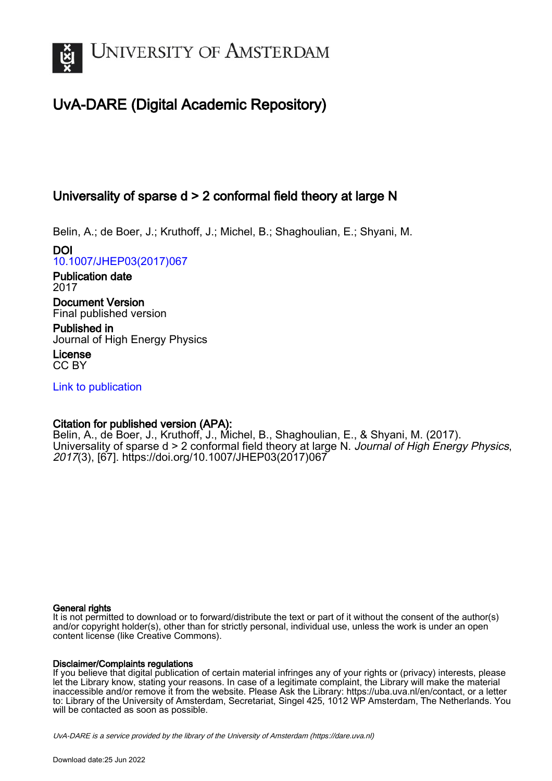

# UvA-DARE (Digital Academic Repository)

# Universality of sparse d > 2 conformal field theory at large N

Belin, A.; de Boer, J.; Kruthoff, J.; Michel, B.; Shaghoulian, E.; Shyani, M.

DOI [10.1007/JHEP03\(2017\)067](https://doi.org/10.1007/JHEP03(2017)067)

Publication date 2017

Document Version Final published version

Published in Journal of High Energy Physics

License CC BY

[Link to publication](https://dare.uva.nl/personal/pure/en/publications/universality-of-sparse-d--2-conformal-field-theory-at-large-n(694334e2-621c-4ccb-afc3-d3352ef2c8eb).html)

# Citation for published version (APA):

Belin, A., de Boer, J., Kruthoff, J., Michel, B., Shaghoulian, E., & Shyani, M. (2017). Universality of sparse d > 2 conformal field theory at large N. Journal of High Energy Physics, 2017(3), [67]. [https://doi.org/10.1007/JHEP03\(2017\)067](https://doi.org/10.1007/JHEP03(2017)067)

## General rights

It is not permitted to download or to forward/distribute the text or part of it without the consent of the author(s) and/or copyright holder(s), other than for strictly personal, individual use, unless the work is under an open content license (like Creative Commons).

# Disclaimer/Complaints regulations

If you believe that digital publication of certain material infringes any of your rights or (privacy) interests, please let the Library know, stating your reasons. In case of a legitimate complaint, the Library will make the material inaccessible and/or remove it from the website. Please Ask the Library: https://uba.uva.nl/en/contact, or a letter to: Library of the University of Amsterdam, Secretariat, Singel 425, 1012 WP Amsterdam, The Netherlands. You will be contacted as soon as possible.

UvA-DARE is a service provided by the library of the University of Amsterdam (http*s*://dare.uva.nl)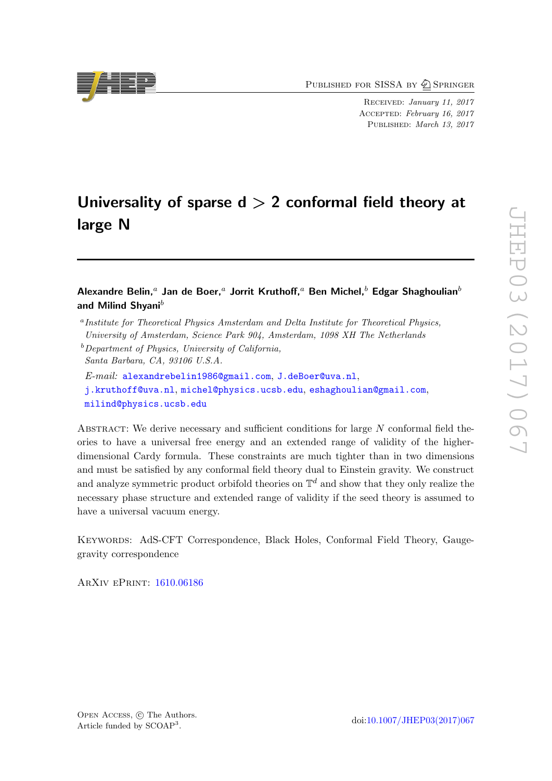PUBLISHED FOR SISSA BY 2 SPRINGER

Received: January 11, 2017 Accepted: February 16, 2017 PUBLISHED: March 13, 2017

# Universality of sparse  $d > 2$  conformal field theory at large N

# Alexandre Belin.<sup>*a*</sup> Jan de Boer.<sup>*a*</sup> Jorrit Kruthoff.<sup>*a*</sup> Ben Michel.<sup>b</sup> Edgar Shaghoulian<sup>b</sup> and Milind Shyani $^b$

 $b$ Department of Physics, University of California, Santa Barbara, CA, 93106 U.S.A. E-mail: [alexandrebelin1986@gmail.com](mailto:alexandrebelin1986@gmail.com), [J.deBoer@uva.nl](mailto:J.deBoer@uva.nl), [j.kruthoff@uva.nl](mailto:j.kruthoff@uva.nl), [michel@physics.ucsb.edu](mailto:michel@physics.ucsb.edu), [eshaghoulian@gmail.com](mailto:eshaghoulian@gmail.com), [milind@physics.ucsb.edu](mailto:milind@physics.ucsb.edu)

ABSTRACT: We derive necessary and sufficient conditions for large  $N$  conformal field theories to have a universal free energy and an extended range of validity of the higherdimensional Cardy formula. These constraints are much tighter than in two dimensions and must be satisfied by any conformal field theory dual to Einstein gravity. We construct and analyze symmetric product orbifold theories on  $\mathbb{T}^d$  and show that they only realize the necessary phase structure and extended range of validity if the seed theory is assumed to have a universal vacuum energy.

Keywords: AdS-CFT Correspondence, Black Holes, Conformal Field Theory, Gaugegravity correspondence

ArXiv ePrint: [1610.06186](https://arxiv.org/abs/1610.06186)



<sup>&</sup>lt;sup>a</sup> Institute for Theoretical Physics Amsterdam and Delta Institute for Theoretical Physics, University of Amsterdam, Science Park 904, Amsterdam, 1098 XH The Netherlands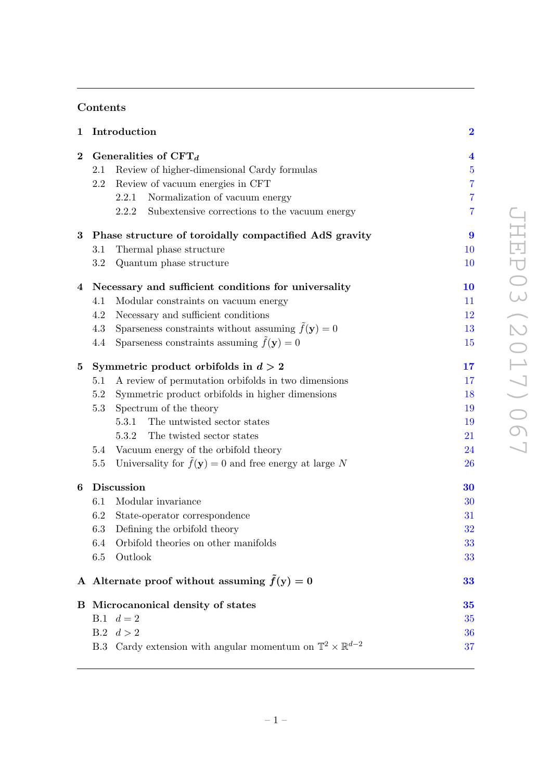# Contents

| 1        | Introduction                                                                        | $\overline{\mathbf{2}}$ |
|----------|-------------------------------------------------------------------------------------|-------------------------|
| $\bf{2}$ | Generalities of $CFTd$                                                              | $\overline{\mathbf{4}}$ |
|          | Review of higher-dimensional Cardy formulas<br>2.1                                  | $\overline{5}$          |
|          | Review of vacuum energies in CFT<br>2.2                                             | $\overline{7}$          |
|          | Normalization of vacuum energy<br>2.2.1                                             | $\overline{7}$          |
|          | Subextensive corrections to the vacuum energy<br>2.2.2                              | 7                       |
|          | 3 Phase structure of toroidally compactified AdS gravity                            | 9                       |
|          | 3.1<br>Thermal phase structure                                                      | 10                      |
|          | 3.2<br>Quantum phase structure                                                      | 10                      |
| 4        | Necessary and sufficient conditions for universality                                | 10                      |
|          | 4.1<br>Modular constraints on vacuum energy                                         | 11                      |
|          | 4.2<br>Necessary and sufficient conditions                                          | 12                      |
|          | Sparseness constraints without assuming $\tilde{f}(\mathbf{y}) = 0$<br>4.3          | 13                      |
|          | Sparseness constraints assuming $\tilde{f}(\mathbf{y}) = 0$<br>4.4                  | 15                      |
| $\bf{5}$ | Symmetric product orbifolds in $d > 2$                                              | 17                      |
|          | A review of permutation orbifolds in two dimensions<br>5.1                          | 17                      |
|          | Symmetric product orbifolds in higher dimensions<br>5.2                             | 18                      |
|          | 5.3<br>Spectrum of the theory                                                       | 19                      |
|          | The untwisted sector states<br>5.3.1                                                | 19                      |
|          | 5.3.2<br>The twisted sector states                                                  | 21                      |
|          | Vacuum energy of the orbifold theory<br>5.4                                         | 24                      |
|          | Universality for $\tilde{f}(\mathbf{y}) = 0$ and free energy at large N<br>5.5      | 26                      |
| 6        | <b>Discussion</b>                                                                   | 30                      |
|          | 6.1<br>Modular invariance                                                           | 30                      |
|          | 6.2<br>State-operator correspondence                                                | 31                      |
|          | Defining the orbifold theory<br>6.3                                                 | 32                      |
|          | 6.4 Orbifold theories on other manifolds                                            | 33                      |
|          | Outlook<br>6.5                                                                      | 33                      |
|          | A Alternate proof without assuming $\hat{f}(y) = 0$                                 | 33                      |
|          | B Microcanonical density of states                                                  | 35                      |
|          | B.1 $d = 2$                                                                         | 35                      |
|          | B.2 $d > 2$                                                                         | 36                      |
|          | B.3 Cardy extension with angular momentum on $\mathbb{T}^2 \times \mathbb{R}^{d-2}$ | 37                      |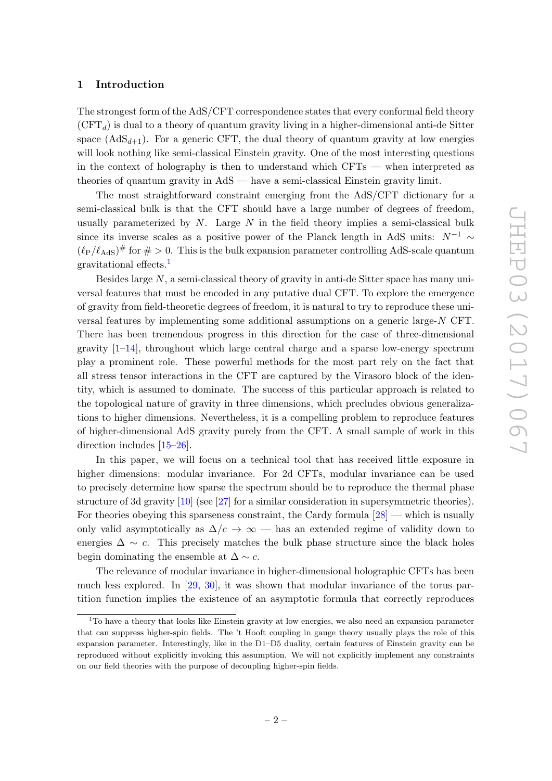#### <span id="page-3-0"></span>1 Introduction

The strongest form of the AdS/CFT correspondence states that every conformal field theory  $(CFT<sub>d</sub>)$  is dual to a theory of quantum gravity living in a higher-dimensional anti-de Sitter space  $(AdS_{d+1})$ . For a generic CFT, the dual theory of quantum gravity at low energies will look nothing like semi-classical Einstein gravity. One of the most interesting questions in the context of holography is then to understand which CFTs — when interpreted as theories of quantum gravity in AdS — have a semi-classical Einstein gravity limit.

The most straightforward constraint emerging from the AdS/CFT dictionary for a semi-classical bulk is that the CFT should have a large number of degrees of freedom, usually parameterized by  $N$ . Large  $N$  in the field theory implies a semi-classical bulk since its inverse scales as a positive power of the Planck length in AdS units:  $N^{-1}$  ~  $(\ell_{\rm P}/\ell_{\rm AdS})^{\#}$  for  $\# > 0$ . This is the bulk expansion parameter controlling AdS-scale quantum gravitational effects.<sup>[1](#page-3-1)</sup>

Besides large N, a semi-classical theory of gravity in anti-de Sitter space has many universal features that must be encoded in any putative dual CFT. To explore the emergence of gravity from field-theoretic degrees of freedom, it is natural to try to reproduce these universal features by implementing some additional assumptions on a generic large-N CFT. There has been tremendous progress in this direction for the case of three-dimensional gravity  $[1-14]$  $[1-14]$ , throughout which large central charge and a sparse low-energy spectrum play a prominent role. These powerful methods for the most part rely on the fact that all stress tensor interactions in the CFT are captured by the Virasoro block of the identity, which is assumed to dominate. The success of this particular approach is related to the topological nature of gravity in three dimensions, which precludes obvious generalizations to higher dimensions. Nevertheless, it is a compelling problem to reproduce features of higher-dimensional AdS gravity purely from the CFT. A small sample of work in this direction includes [\[15–](#page-42-1)[26\]](#page-42-2).

In this paper, we will focus on a technical tool that has received little exposure in higher dimensions: modular invariance. For 2d CFTs, modular invariance can be used to precisely determine how sparse the spectrum should be to reproduce the thermal phase structure of 3d gravity [\[10\]](#page-42-3) (see [\[27\]](#page-43-0) for a similar consideration in supersymmetric theories). For theories obeying this sparseness constraint, the Cardy formula  $[28]$  — which is usually only valid asymptotically as  $\Delta/c \rightarrow \infty$  — has an extended regime of validity down to energies  $\Delta \sim c$ . This precisely matches the bulk phase structure since the black holes begin dominating the ensemble at  $\Delta \sim c$ .

The relevance of modular invariance in higher-dimensional holographic CFTs has been much less explored. In [\[29,](#page-43-2) [30\]](#page-43-3), it was shown that modular invariance of the torus partition function implies the existence of an asymptotic formula that correctly reproduces

<span id="page-3-1"></span><sup>&</sup>lt;sup>1</sup>To have a theory that looks like Einstein gravity at low energies, we also need an expansion parameter that can suppress higher-spin fields. The 't Hooft coupling in gauge theory usually plays the role of this expansion parameter. Interestingly, like in the D1–D5 duality, certain features of Einstein gravity can be reproduced without explicitly invoking this assumption. We will not explicitly implement any constraints on our field theories with the purpose of decoupling higher-spin fields.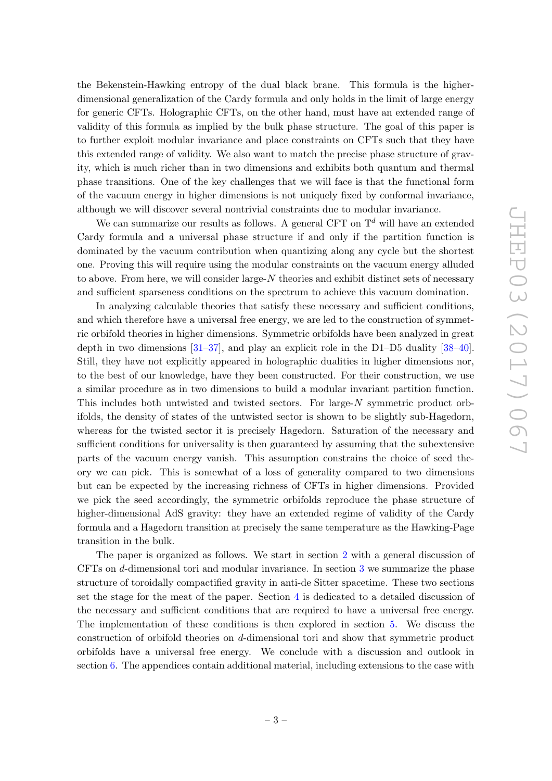the Bekenstein-Hawking entropy of the dual black brane. This formula is the higherdimensional generalization of the Cardy formula and only holds in the limit of large energy for generic CFTs. Holographic CFTs, on the other hand, must have an extended range of validity of this formula as implied by the bulk phase structure. The goal of this paper is to further exploit modular invariance and place constraints on CFTs such that they have this extended range of validity. We also want to match the precise phase structure of gravity, which is much richer than in two dimensions and exhibits both quantum and thermal phase transitions. One of the key challenges that we will face is that the functional form of the vacuum energy in higher dimensions is not uniquely fixed by conformal invariance, although we will discover several nontrivial constraints due to modular invariance.

We can summarize our results as follows. A general CFT on  $\mathbb{T}^d$  will have an extended Cardy formula and a universal phase structure if and only if the partition function is dominated by the vacuum contribution when quantizing along any cycle but the shortest one. Proving this will require using the modular constraints on the vacuum energy alluded to above. From here, we will consider large-N theories and exhibit distinct sets of necessary and sufficient sparseness conditions on the spectrum to achieve this vacuum domination.

In analyzing calculable theories that satisfy these necessary and sufficient conditions, and which therefore have a universal free energy, we are led to the construction of symmetric orbifold theories in higher dimensions. Symmetric orbifolds have been analyzed in great depth in two dimensions [\[31](#page-43-4)[–37\]](#page-43-5), and play an explicit role in the D1–D5 duality [\[38–](#page-43-6)[40\]](#page-43-7). Still, they have not explicitly appeared in holographic dualities in higher dimensions nor, to the best of our knowledge, have they been constructed. For their construction, we use a similar procedure as in two dimensions to build a modular invariant partition function. This includes both untwisted and twisted sectors. For large-N symmetric product orbifolds, the density of states of the untwisted sector is shown to be slightly sub-Hagedorn, whereas for the twisted sector it is precisely Hagedorn. Saturation of the necessary and sufficient conditions for universality is then guaranteed by assuming that the subextensive parts of the vacuum energy vanish. This assumption constrains the choice of seed theory we can pick. This is somewhat of a loss of generality compared to two dimensions but can be expected by the increasing richness of CFTs in higher dimensions. Provided we pick the seed accordingly, the symmetric orbifolds reproduce the phase structure of higher-dimensional AdS gravity: they have an extended regime of validity of the Cardy formula and a Hagedorn transition at precisely the same temperature as the Hawking-Page transition in the bulk.

The paper is organized as follows. We start in section [2](#page-5-0) with a general discussion of CFTs on d-dimensional tori and modular invariance. In section [3](#page-10-0) we summarize the phase structure of toroidally compactified gravity in anti-de Sitter spacetime. These two sections set the stage for the meat of the paper. Section [4](#page-11-2) is dedicated to a detailed discussion of the necessary and sufficient conditions that are required to have a universal free energy. The implementation of these conditions is then explored in section [5.](#page-18-0) We discuss the construction of orbifold theories on d-dimensional tori and show that symmetric product orbifolds have a universal free energy. We conclude with a discussion and outlook in section  $6.$  The appendices contain additional material, including extensions to the case with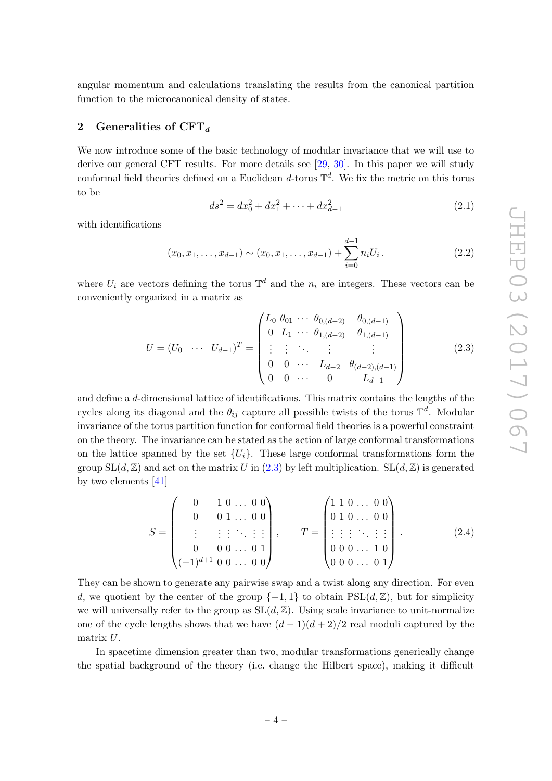angular momentum and calculations translating the results from the canonical partition function to the microcanonical density of states.

# <span id="page-5-0"></span>2 Generalities of  $CFT<sub>d</sub>$

We now introduce some of the basic technology of modular invariance that we will use to derive our general CFT results. For more details see [\[29,](#page-43-2) [30\]](#page-43-3). In this paper we will study conformal field theories defined on a Euclidean d-torus  $\mathbb{T}^d$ . We fix the metric on this torus to be

$$
ds^{2} = dx_{0}^{2} + dx_{1}^{2} + \dots + dx_{d-1}^{2}
$$
\n(2.1)

with identifications

$$
(x_0, x_1, \dots, x_{d-1}) \sim (x_0, x_1, \dots, x_{d-1}) + \sum_{i=0}^{d-1} n_i U_i.
$$
 (2.2)

where  $U_i$  are vectors defining the torus  $\mathbb{T}^d$  and the  $n_i$  are integers. These vectors can be conveniently organized in a matrix as

<span id="page-5-1"></span>
$$
U = (U_0 \cdots U_{d-1})^T = \begin{pmatrix} L_0 & \theta_{01} & \cdots & \theta_{0,(d-2)} & \theta_{0,(d-1)} \\ 0 & L_1 & \cdots & \theta_{1,(d-2)} & \theta_{1,(d-1)} \\ \vdots & \vdots & \ddots & \vdots & \vdots \\ 0 & 0 & \cdots & L_{d-2} & \theta_{(d-2),(d-1)} \\ 0 & 0 & \cdots & 0 & L_{d-1} \end{pmatrix}
$$
(2.3)

and define a d-dimensional lattice of identifications. This matrix contains the lengths of the cycles along its diagonal and the  $\theta_{ij}$  capture all possible twists of the torus  $\mathbb{T}^d$ . Modular invariance of the torus partition function for conformal field theories is a powerful constraint on the theory. The invariance can be stated as the action of large conformal transformations on the lattice spanned by the set  $\{U_i\}$ . These large conformal transformations form the group  $SL(d, \mathbb{Z})$  and act on the matrix U in [\(2.3\)](#page-5-1) by left multiplication.  $SL(d, \mathbb{Z})$  is generated by two elements [\[41\]](#page-43-8)

<span id="page-5-2"></span>
$$
S = \begin{pmatrix} 0 & 1 & 0 & \dots & 0 & 0 \\ 0 & 0 & 1 & \dots & 0 & 0 \\ \vdots & \vdots & \vdots & \ddots & \vdots & \vdots \\ 0 & 0 & 0 & \dots & 0 & 1 \\ (-1)^{d+1} & 0 & 0 & \dots & 0 & 0 \end{pmatrix}, \qquad T = \begin{pmatrix} 1 & 1 & 0 & \dots & 0 & 0 \\ 0 & 1 & 0 & \dots & 0 & 0 \\ \vdots & \vdots & \vdots & \ddots & \vdots & \vdots \\ 0 & 0 & 0 & \dots & 1 & 0 \\ 0 & 0 & 0 & \dots & 0 & 1 \end{pmatrix}.
$$
 (2.4)

They can be shown to generate any pairwise swap and a twist along any direction. For even d, we quotient by the center of the group  $\{-1,1\}$  to obtain PSL $(d,\mathbb{Z})$ , but for simplicity we will universally refer to the group as  $SL(d, \mathbb{Z})$ . Using scale invariance to unit-normalize one of the cycle lengths shows that we have  $(d-1)(d+2)/2$  real moduli captured by the matrix U.

In spacetime dimension greater than two, modular transformations generically change the spatial background of the theory (i.e. change the Hilbert space), making it difficult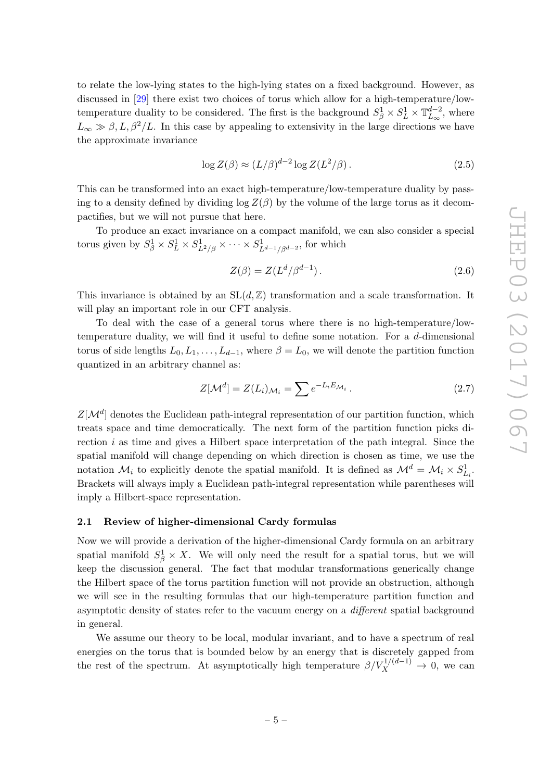to relate the low-lying states to the high-lying states on a fixed background. However, as discussed in [\[29\]](#page-43-2) there exist two choices of torus which allow for a high-temperature/lowtemperature duality to be considered. The first is the background  $S^1_\beta \times S^1_L \times \mathbb{T}^{d-2}_{L_\infty}$  $\frac{d-2}{L_{\infty}},$  where  $L_{\infty} \gg \beta, L, \beta^2/L$ . In this case by appealing to extensivity in the large directions we have the approximate invariance

$$
\log Z(\beta) \approx (L/\beta)^{d-2} \log Z(L^2/\beta). \tag{2.5}
$$

This can be transformed into an exact high-temperature/low-temperature duality by passing to a density defined by dividing  $\log Z(\beta)$  by the volume of the large torus as it decompactifies, but we will not pursue that here.

To produce an exact invariance on a compact manifold, we can also consider a special torus given by  $S^1_\beta \times S^1_L \times S^1_{L^2/\beta} \times \cdots \times S^1_{L^{d-1}/\beta^{d-2}}$ , for which

$$
Z(\beta) = Z(L^d/\beta^{d-1}).
$$
\n(2.6)

This invariance is obtained by an  $SL(d, \mathbb{Z})$  transformation and a scale transformation. It will play an important role in our CFT analysis.

To deal with the case of a general torus where there is no high-temperature/lowtemperature duality, we will find it useful to define some notation. For a d-dimensional torus of side lengths  $L_0, L_1, \ldots, L_{d-1}$ , where  $\beta = L_0$ , we will denote the partition function quantized in an arbitrary channel as:

$$
Z[\mathcal{M}^d] = Z(L_i)_{\mathcal{M}_i} = \sum e^{-L_i E_{\mathcal{M}_i}}.
$$
\n(2.7)

 $Z[\mathcal{M}^d]$  denotes the Euclidean path-integral representation of our partition function, which treats space and time democratically. The next form of the partition function picks direction  $i$  as time and gives a Hilbert space interpretation of the path integral. Since the spatial manifold will change depending on which direction is chosen as time, we use the notation  $\mathcal{M}_i$  to explicitly denote the spatial manifold. It is defined as  $\mathcal{M}^d = \mathcal{M}_i \times S^1_{L_i}$ . Brackets will always imply a Euclidean path-integral representation while parentheses will imply a Hilbert-space representation.

#### <span id="page-6-0"></span>2.1 Review of higher-dimensional Cardy formulas

Now we will provide a derivation of the higher-dimensional Cardy formula on an arbitrary spatial manifold  $S^1_\beta \times X$ . We will only need the result for a spatial torus, but we will keep the discussion general. The fact that modular transformations generically change the Hilbert space of the torus partition function will not provide an obstruction, although we will see in the resulting formulas that our high-temperature partition function and asymptotic density of states refer to the vacuum energy on a different spatial background in general.

We assume our theory to be local, modular invariant, and to have a spectrum of real energies on the torus that is bounded below by an energy that is discretely gapped from the rest of the spectrum. At asymptotically high temperature  $\beta/V_X^{1/(d-1)} \to 0$ , we can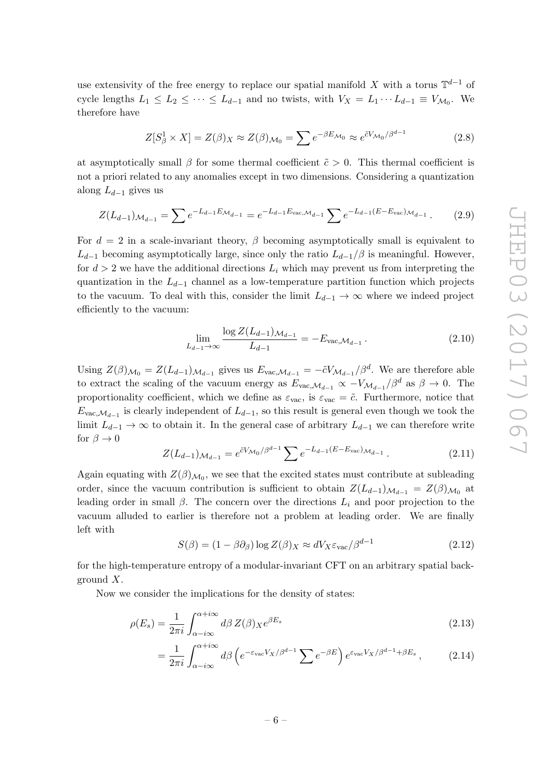use extensivity of the free energy to replace our spatial manifold X with a torus  $\mathbb{T}^{d-1}$  of cycle lengths  $L_1 \leq L_2 \leq \cdots \leq L_{d-1}$  and no twists, with  $V_X = L_1 \cdots L_{d-1} \equiv V_{\mathcal{M}_0}$ . We therefore have

<span id="page-7-0"></span>
$$
Z[S^1_{\beta} \times X] = Z(\beta)_X \approx Z(\beta)_{\mathcal{M}_0} = \sum e^{-\beta E_{\mathcal{M}_0}} \approx e^{\tilde{c}V_{\mathcal{M}_0}/\beta^{d-1}}
$$
(2.8)

at asymptotically small  $\beta$  for some thermal coefficient  $\tilde{c} > 0$ . This thermal coefficient is not a priori related to any anomalies except in two dimensions. Considering a quantization along  $L_{d-1}$  gives us

$$
Z(L_{d-1})_{\mathcal{M}_{d-1}} = \sum e^{-L_{d-1}E_{\mathcal{M}_{d-1}}} = e^{-L_{d-1}E_{\text{vac},\mathcal{M}_{d-1}}} \sum e^{-L_{d-1}(E - E_{\text{vac}})_{\mathcal{M}_{d-1}}}.
$$
 (2.9)

For  $d = 2$  in a scale-invariant theory,  $\beta$  becoming asymptotically small is equivalent to  $L_{d-1}$  becoming asymptotically large, since only the ratio  $L_{d-1}/\beta$  is meaningful. However, for  $d > 2$  we have the additional directions  $L_i$  which may prevent us from interpreting the quantization in the  $L_{d-1}$  channel as a low-temperature partition function which projects to the vacuum. To deal with this, consider the limit  $L_{d-1} \to \infty$  where we indeed project efficiently to the vacuum:

$$
\lim_{L_{d-1}\to\infty} \frac{\log Z(L_{d-1})\mathcal{M}_{d-1}}{L_{d-1}} = -E_{\text{vac},\mathcal{M}_{d-1}}.
$$
\n(2.10)

Using  $Z(\beta)_{\mathcal{M}_0} = Z(L_{d-1})_{\mathcal{M}_{d-1}}$  gives us  $E_{\text{vac},\mathcal{M}_{d-1}} = -\tilde{c}V_{\mathcal{M}_{d-1}}/\beta^d$ . We are therefore able to extract the scaling of the vacuum energy as  $E_{\text{vac},\mathcal{M}_{d-1}} \propto -V_{\mathcal{M}_{d-1}}/\beta^d$  as  $\beta \to 0$ . The proportionality coefficient, which we define as  $\varepsilon_{\text{vac}}$ , is  $\varepsilon_{\text{vac}} = \tilde{c}$ . Furthermore, notice that  $E_{\text{vac},\mathcal{M}_{d-1}}$  is clearly independent of  $L_{d-1}$ , so this result is general even though we took the limit  $L_{d-1} \to \infty$  to obtain it. In the general case of arbitrary  $L_{d-1}$  we can therefore write for  $\beta \to 0$ 

$$
Z(L_{d-1})_{\mathcal{M}_{d-1}} = e^{\tilde{c}V_{\mathcal{M}_0}/\beta^{d-1}} \sum e^{-L_{d-1}(E - E_{\text{vac}})_{\mathcal{M}_{d-1}}}.
$$
\n(2.11)

Again equating with  $Z(\beta)_{\mathcal{M}_0}$ , we see that the excited states must contribute at subleading order, since the vacuum contribution is sufficient to obtain  $Z(L_{d-1})_{\mathcal{M}_{d-1}} = Z(\beta)_{\mathcal{M}_0}$  at leading order in small  $\beta$ . The concern over the directions  $L_i$  and poor projection to the vacuum alluded to earlier is therefore not a problem at leading order. We are finally left with

$$
S(\beta) = (1 - \beta \partial_{\beta}) \log Z(\beta)_X \approx dV_X \varepsilon_{\text{vac}} / \beta^{d-1}
$$
\n(2.12)

for the high-temperature entropy of a modular-invariant CFT on an arbitrary spatial background  $X$ .

Now we consider the implications for the density of states:

$$
\rho(E_s) = \frac{1}{2\pi i} \int_{\alpha - i\infty}^{\alpha + i\infty} d\beta \, Z(\beta) X e^{\beta E_s} \tag{2.13}
$$

$$
= \frac{1}{2\pi i} \int_{\alpha - i\infty}^{\alpha + i\infty} d\beta \left( e^{-\varepsilon_{\text{vac}} V_X/\beta^{d-1}} \sum e^{-\beta E} \right) e^{\varepsilon_{\text{vac}} V_X/\beta^{d-1} + \beta E_s}, \tag{2.14}
$$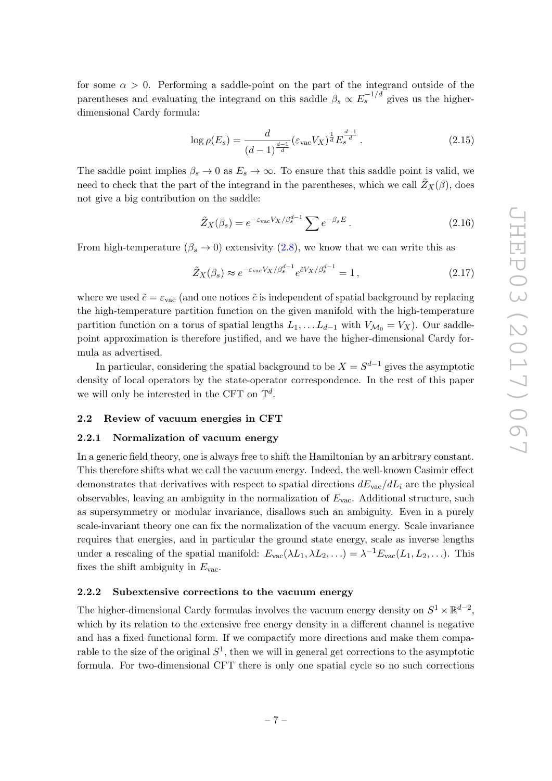for some  $\alpha > 0$ . Performing a saddle-point on the part of the integrand outside of the parentheses and evaluating the integrand on this saddle  $\beta_s \propto E_s^{-1/d}$  gives us the higherdimensional Cardy formula:

<span id="page-8-3"></span>
$$
\log \rho(E_s) = \frac{d}{(d-1)^{\frac{d-1}{d}}} (\varepsilon_{\text{vac}} V_X)^{\frac{1}{d}} E_s^{\frac{d-1}{d}}.
$$
\n(2.15)

The saddle point implies  $\beta_s \to 0$  as  $E_s \to \infty$ . To ensure that this saddle point is valid, we need to check that the part of the integrand in the parentheses, which we call  $\tilde{Z}_X(\beta)$ , does not give a big contribution on the saddle:

$$
\tilde{Z}_X(\beta_s) = e^{-\varepsilon_{\text{vac}}V_X/\beta_s^{d-1}} \sum e^{-\beta_s E}.
$$
\n(2.16)

From high-temperature  $(\beta_s \to 0)$  extensivity [\(2.8\)](#page-7-0), we know that we can write this as

$$
\tilde{Z}_X(\beta_s) \approx e^{-\varepsilon_{\text{vac}} V_X/\beta_s^{d-1}} e^{\tilde{c}V_X/\beta_s^{d-1}} = 1, \qquad (2.17)
$$

where we used  $\tilde{c} = \varepsilon_{\text{vac}}$  (and one notices  $\tilde{c}$  is independent of spatial background by replacing the high-temperature partition function on the given manifold with the high-temperature partition function on a torus of spatial lengths  $L_1, \ldots L_{d-1}$  with  $V_{\mathcal{M}_0} = V_X$ ). Our saddlepoint approximation is therefore justified, and we have the higher-dimensional Cardy formula as advertised.

In particular, considering the spatial background to be  $X = S^{d-1}$  gives the asymptotic density of local operators by the state-operator correspondence. In the rest of this paper we will only be interested in the CFT on  $\mathbb{T}^d$ .

#### <span id="page-8-0"></span>2.2 Review of vacuum energies in CFT

#### <span id="page-8-1"></span>2.2.1 Normalization of vacuum energy

In a generic field theory, one is always free to shift the Hamiltonian by an arbitrary constant. This therefore shifts what we call the vacuum energy. Indeed, the well-known Casimir effect demonstrates that derivatives with respect to spatial directions  $dE_{\text{vac}}/dL_i$  are the physical observables, leaving an ambiguity in the normalization of  $E_{\text{vac}}$ . Additional structure, such as supersymmetry or modular invariance, disallows such an ambiguity. Even in a purely scale-invariant theory one can fix the normalization of the vacuum energy. Scale invariance requires that energies, and in particular the ground state energy, scale as inverse lengths under a rescaling of the spatial manifold:  $E_{\text{vac}}(\lambda L_1, \lambda L_2, ...) = \lambda^{-1} E_{\text{vac}}(L_1, L_2, ...).$  This fixes the shift ambiguity in  $E_{\text{vac}}$ .

## <span id="page-8-2"></span>2.2.2 Subextensive corrections to the vacuum energy

The higher-dimensional Cardy formulas involves the vacuum energy density on  $S^1 \times \mathbb{R}^{d-2}$ , which by its relation to the extensive free energy density in a different channel is negative and has a fixed functional form. If we compactify more directions and make them comparable to the size of the original  $S^1$ , then we will in general get corrections to the asymptotic formula. For two-dimensional CFT there is only one spatial cycle so no such corrections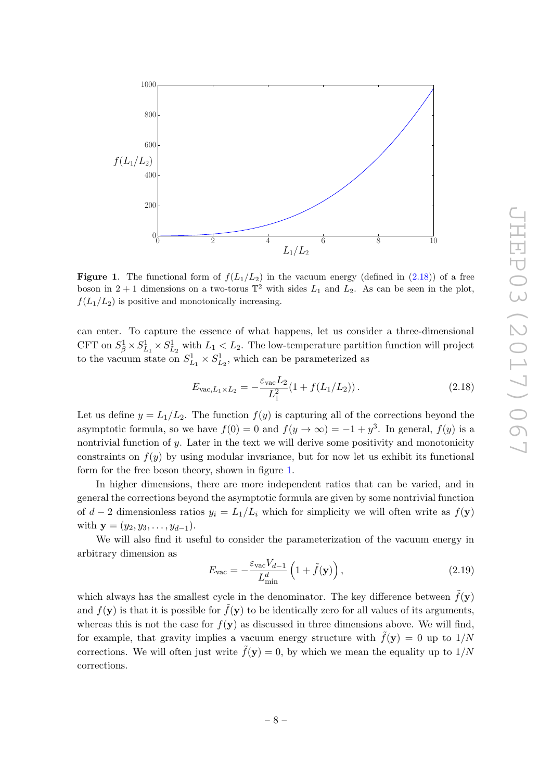

<span id="page-9-1"></span>**Figure 1.** The functional form of  $f(L_1/L_2)$  in the vacuum energy (defined in [\(2.18\)](#page-9-0)) of a free boson in 2 + 1 dimensions on a two-torus  $\mathbb{T}^2$  with sides  $L_1$  and  $L_2$ . As can be seen in the plot,  $f(L_1/L_2)$  is positive and monotonically increasing.

can enter. To capture the essence of what happens, let us consider a three-dimensional CFT on  $S^1_\beta \times S^1_{L_1} \times S^1_{L_2}$  with  $L_1 < L_2$ . The low-temperature partition function will project to the vacuum state on  $S_{L_1}^1 \times S_{L_2}^1$ , which can be parameterized as

<span id="page-9-0"></span>
$$
E_{\text{vac},L_1 \times L_2} = -\frac{\varepsilon_{\text{vac}} L_2}{L_1^2} (1 + f(L_1/L_2)).
$$
\n(2.18)

Let us define  $y = L_1/L_2$ . The function  $f(y)$  is capturing all of the corrections beyond the asymptotic formula, so we have  $f(0) = 0$  and  $f(y \to \infty) = -1 + y^3$ . In general,  $f(y)$  is a nontrivial function of  $y$ . Later in the text we will derive some positivity and monotonicity constraints on  $f(y)$  by using modular invariance, but for now let us exhibit its functional form for the free boson theory, shown in figure [1.](#page-9-1)

In higher dimensions, there are more independent ratios that can be varied, and in general the corrections beyond the asymptotic formula are given by some nontrivial function of  $d-2$  dimensionless ratios  $y_i = L_1/L_i$  which for simplicity we will often write as  $f(\mathbf{y})$ with  $y = (y_2, y_3, \ldots, y_{d-1}).$ 

We will also find it useful to consider the parameterization of the vacuum energy in arbitrary dimension as

$$
E_{\rm vac} = -\frac{\varepsilon_{\rm vac} V_{d-1}}{L_{\rm min}^d} \left( 1 + \tilde{f}(\mathbf{y}) \right),\tag{2.19}
$$

which always has the smallest cycle in the denominator. The key difference between  $\tilde{f}(\mathbf{y})$ and  $f(\mathbf{y})$  is that it is possible for  $\tilde{f}(\mathbf{y})$  to be identically zero for all values of its arguments, whereas this is not the case for  $f(\mathbf{y})$  as discussed in three dimensions above. We will find, for example, that gravity implies a vacuum energy structure with  $\hat{f}(\mathbf{y}) = 0$  up to  $1/N$ corrections. We will often just write  $\tilde{f}(\mathbf{y}) = 0$ , by which we mean the equality up to  $1/N$ corrections.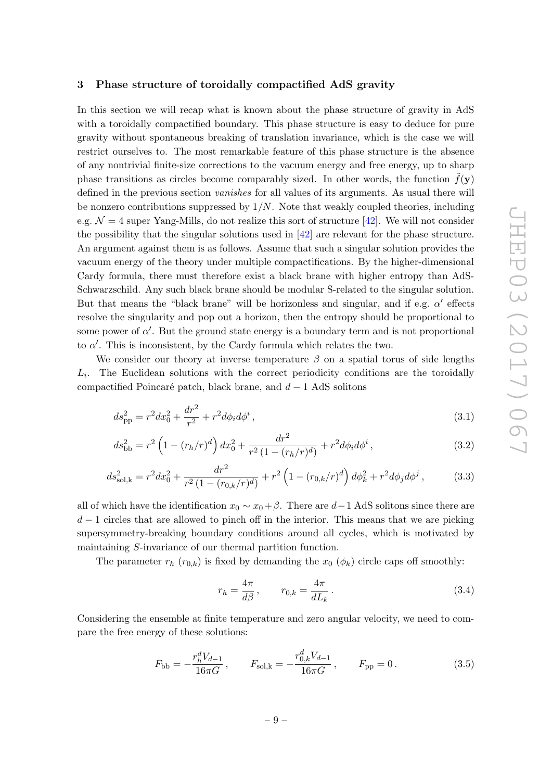#### <span id="page-10-0"></span>3 Phase structure of toroidally compactified AdS gravity

In this section we will recap what is known about the phase structure of gravity in AdS with a toroidally compactified boundary. This phase structure is easy to deduce for pure gravity without spontaneous breaking of translation invariance, which is the case we will restrict ourselves to. The most remarkable feature of this phase structure is the absence of any nontrivial finite-size corrections to the vacuum energy and free energy, up to sharp phase transitions as circles become comparably sized. In other words, the function  $\tilde{f}(\mathbf{y})$ defined in the previous section vanishes for all values of its arguments. As usual there will be nonzero contributions suppressed by  $1/N$ . Note that weakly coupled theories, including e.g.  $\mathcal{N} = 4$  super Yang-Mills, do not realize this sort of structure [\[42\]](#page-43-9). We will not consider the possibility that the singular solutions used in  $[42]$  are relevant for the phase structure. An argument against them is as follows. Assume that such a singular solution provides the vacuum energy of the theory under multiple compactifications. By the higher-dimensional Cardy formula, there must therefore exist a black brane with higher entropy than AdS-Schwarzschild. Any such black brane should be modular S-related to the singular solution. But that means the "black brane" will be horizonless and singular, and if e.g.  $\alpha'$  effects resolve the singularity and pop out a horizon, then the entropy should be proportional to some power of  $\alpha'$ . But the ground state energy is a boundary term and is not proportional to  $\alpha'$ . This is inconsistent, by the Cardy formula which relates the two.

We consider our theory at inverse temperature  $\beta$  on a spatial torus of side lengths  $L_i$ . The Euclidean solutions with the correct periodicity conditions are the toroidally compactified Poincaré patch, black brane, and  $d - 1$  AdS solitons

$$
ds_{\rm pp}^2 = r^2 dx_0^2 + \frac{dr^2}{r^2} + r^2 d\phi_i d\phi^i \,, \tag{3.1}
$$

$$
ds_{\rm bb}^2 = r^2 \left( 1 - (r_h/r)^d \right) dx_0^2 + \frac{dr^2}{r^2 \left( 1 - (r_h/r)^d \right)} + r^2 d\phi_i d\phi^i ,\qquad (3.2)
$$

$$
ds_{\text{sol},k}^2 = r^2 dx_0^2 + \frac{dr^2}{r^2 \left(1 - (r_{0,k}/r)^d\right)} + r^2 \left(1 - (r_{0,k}/r)^d\right) d\phi_k^2 + r^2 d\phi_j d\phi^j ,\qquad (3.3)
$$

all of which have the identification  $x_0 \sim x_0 + \beta$ . There are  $d-1$  AdS solitons since there are  $d-1$  circles that are allowed to pinch off in the interior. This means that we are picking supersymmetry-breaking boundary conditions around all cycles, which is motivated by maintaining S-invariance of our thermal partition function.

The parameter  $r_h$   $(r_{0,k})$  is fixed by demanding the  $x_0$   $(\phi_k)$  circle caps off smoothly:

$$
r_h = \frac{4\pi}{d\beta}, \qquad r_{0,k} = \frac{4\pi}{dL_k} \,. \tag{3.4}
$$

Considering the ensemble at finite temperature and zero angular velocity, we need to compare the free energy of these solutions:

$$
F_{\rm bb} = -\frac{r_h^d V_{d-1}}{16\pi G}, \qquad F_{\rm sol,k} = -\frac{r_{0,k}^d V_{d-1}}{16\pi G}, \qquad F_{\rm pp} = 0.
$$
 (3.5)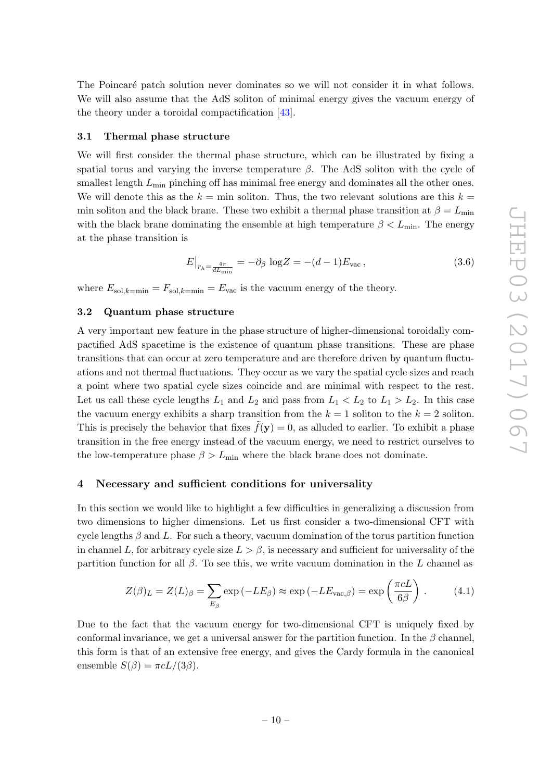The Poincaré patch solution never dominates so we will not consider it in what follows. We will also assume that the AdS soliton of minimal energy gives the vacuum energy of the theory under a toroidal compactification [\[43\]](#page-43-10).

#### <span id="page-11-0"></span>3.1 Thermal phase structure

We will first consider the thermal phase structure, which can be illustrated by fixing a spatial torus and varying the inverse temperature  $\beta$ . The AdS soliton with the cycle of smallest length  $L_{\text{min}}$  pinching off has minimal free energy and dominates all the other ones. We will denote this as the  $k = \min$  soliton. Thus, the two relevant solutions are this  $k =$ min soliton and the black brane. These two exhibit a thermal phase transition at  $\beta = L_{\text{min}}$ with the black brane dominating the ensemble at high temperature  $\beta < L_{\text{min}}$ . The energy at the phase transition is

$$
E\big|_{r_h = \frac{4\pi}{dL_{\min}}} = -\partial_\beta \log Z = -(d-1)E_{\text{vac}}\,,\tag{3.6}
$$

where  $E_{sol,k=\text{min}} = F_{sol,k=\text{min}} = E_{\text{vac}}$  is the vacuum energy of the theory.

#### <span id="page-11-1"></span>3.2 Quantum phase structure

A very important new feature in the phase structure of higher-dimensional toroidally compactified AdS spacetime is the existence of quantum phase transitions. These are phase transitions that can occur at zero temperature and are therefore driven by quantum fluctuations and not thermal fluctuations. They occur as we vary the spatial cycle sizes and reach a point where two spatial cycle sizes coincide and are minimal with respect to the rest. Let us call these cycle lengths  $L_1$  and  $L_2$  and pass from  $L_1 < L_2$  to  $L_1 > L_2$ . In this case the vacuum energy exhibits a sharp transition from the  $k = 1$  soliton to the  $k = 2$  soliton. This is precisely the behavior that fixes  $\tilde{f}(\mathbf{y}) = 0$ , as alluded to earlier. To exhibit a phase transition in the free energy instead of the vacuum energy, we need to restrict ourselves to the low-temperature phase  $\beta > L_{\text{min}}$  where the black brane does not dominate.

#### <span id="page-11-2"></span>4 Necessary and sufficient conditions for universality

In this section we would like to highlight a few difficulties in generalizing a discussion from two dimensions to higher dimensions. Let us first consider a two-dimensional CFT with cycle lengths  $\beta$  and L. For such a theory, vacuum domination of the torus partition function in channel L, for arbitrary cycle size  $L > \beta$ , is necessary and sufficient for universality of the partition function for all  $\beta$ . To see this, we write vacuum domination in the L channel as

$$
Z(\beta)_L = Z(L)_{\beta} = \sum_{E_{\beta}} \exp(-LE_{\beta}) \approx \exp(-LE_{\text{vac},\beta}) = \exp\left(\frac{\pi cL}{6\beta}\right). \tag{4.1}
$$

Due to the fact that the vacuum energy for two-dimensional CFT is uniquely fixed by conformal invariance, we get a universal answer for the partition function. In the  $\beta$  channel, this form is that of an extensive free energy, and gives the Cardy formula in the canonical ensemble  $S(\beta) = \pi cL/(3\beta)$ .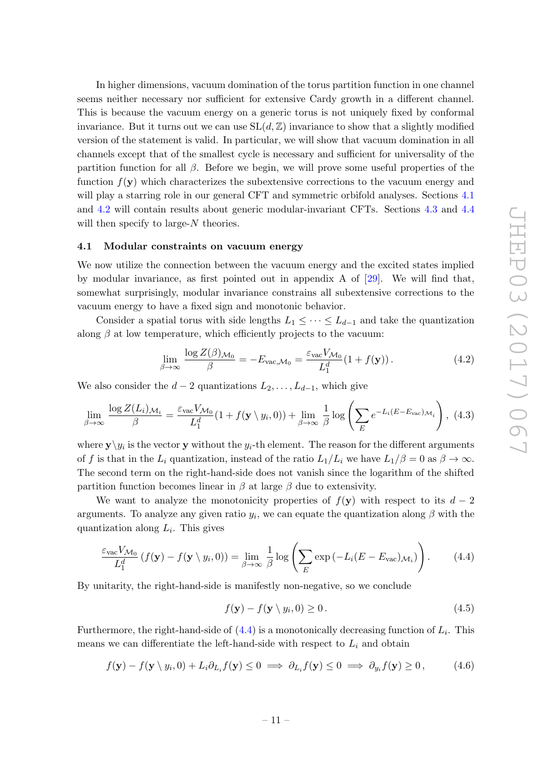In higher dimensions, vacuum domination of the torus partition function in one channel seems neither necessary nor sufficient for extensive Cardy growth in a different channel. This is because the vacuum energy on a generic torus is not uniquely fixed by conformal invariance. But it turns out we can use  $SL(d, \mathbb{Z})$  invariance to show that a slightly modified version of the statement is valid. In particular, we will show that vacuum domination in all channels except that of the smallest cycle is necessary and sufficient for universality of the partition function for all  $\beta$ . Before we begin, we will prove some useful properties of the function  $f(\mathbf{y})$  which characterizes the subextensive corrections to the vacuum energy and will play a starring role in our general CFT and symmetric orbifold analyses. Sections [4.1](#page-12-0) and [4.2](#page-13-0) will contain results about generic modular-invariant CFTs. Sections [4.3](#page-14-0) and [4.4](#page-16-0) will then specify to large-N theories.

#### <span id="page-12-0"></span>4.1 Modular constraints on vacuum energy

We now utilize the connection between the vacuum energy and the excited states implied by modular invariance, as first pointed out in appendix A of [\[29\]](#page-43-2). We will find that, somewhat surprisingly, modular invariance constrains all subextensive corrections to the vacuum energy to have a fixed sign and monotonic behavior.

Consider a spatial torus with side lengths  $L_1 \leq \cdots \leq L_{d-1}$  and take the quantization along  $\beta$  at low temperature, which efficiently projects to the vacuum:

$$
\lim_{\beta \to \infty} \frac{\log Z(\beta)_{\mathcal{M}_0}}{\beta} = -E_{\text{vac},\mathcal{M}_0} = \frac{\varepsilon_{\text{vac}} V_{\mathcal{M}_0}}{L_1^d} (1 + f(\mathbf{y})). \tag{4.2}
$$

We also consider the  $d-2$  quantizations  $L_2, \ldots, L_{d-1}$ , which give

$$
\lim_{\beta \to \infty} \frac{\log Z(L_i)_{\mathcal{M}_i}}{\beta} = \frac{\varepsilon_{\text{vac}} V_{\mathcal{M}_0}}{L_1^d} (1 + f(\mathbf{y} \setminus y_i, 0)) + \lim_{\beta \to \infty} \frac{1}{\beta} \log \left( \sum_E e^{-L_i (E - E_{\text{vac}})_{\mathcal{M}_i}} \right), (4.3)
$$

where  $\mathbf{y} \setminus y_i$  is the vector  $\mathbf{y}$  without the  $y_i$ -th element. The reason for the different arguments of f is that in the  $L_i$  quantization, instead of the ratio  $L_1/L_i$  we have  $L_1/\beta = 0$  as  $\beta \to \infty$ . The second term on the right-hand-side does not vanish since the logarithm of the shifted partition function becomes linear in  $\beta$  at large  $\beta$  due to extensivity.

We want to analyze the monotonicity properties of  $f(y)$  with respect to its  $d-2$ arguments. To analyze any given ratio  $y_i$ , we can equate the quantization along  $\beta$  with the quantization along  $L_i$ . This gives

<span id="page-12-1"></span>
$$
\frac{\varepsilon_{\text{vac}} V_{\mathcal{M}_0}}{L_1^d} \left( f(\mathbf{y}) - f(\mathbf{y} \setminus y_i, 0) \right) = \lim_{\beta \to \infty} \frac{1}{\beta} \log \left( \sum_E \exp \left( -L_i (E - E_{\text{vac}}) \mathcal{M}_i \right) \right). \tag{4.4}
$$

By unitarity, the right-hand-side is manifestly non-negative, so we conclude

$$
f(\mathbf{y}) - f(\mathbf{y} \setminus y_i, 0) \ge 0.
$$
\n(4.5)

Furthermore, the right-hand-side of  $(4.4)$  is a monotonically decreasing function of  $L_i$ . This means we can differentiate the left-hand-side with respect to  $L_i$  and obtain

$$
f(\mathbf{y}) - f(\mathbf{y} \setminus y_i, 0) + L_i \partial_{L_i} f(\mathbf{y}) \le 0 \implies \partial_{L_i} f(\mathbf{y}) \le 0 \implies \partial_{y_i} f(\mathbf{y}) \ge 0, \tag{4.6}
$$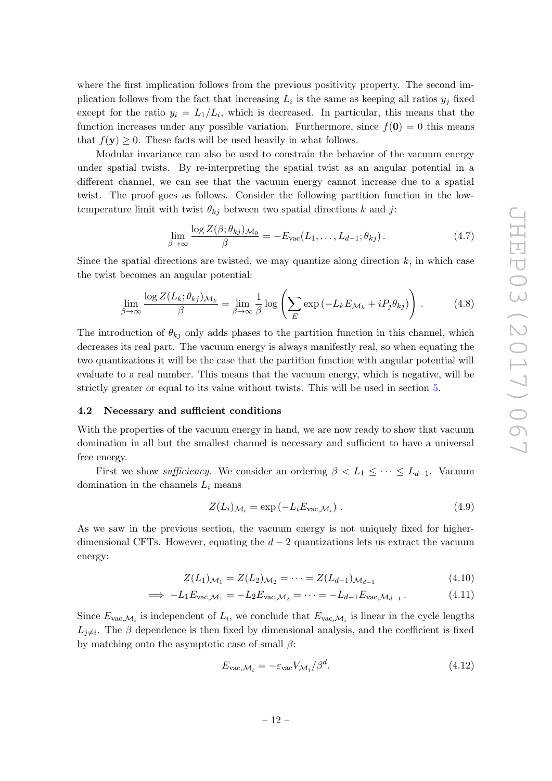where the first implication follows from the previous positivity property. The second implication follows from the fact that increasing  $L_i$  is the same as keeping all ratios  $y_j$  fixed except for the ratio  $y_i = L_1/L_i$ , which is decreased. In particular, this means that the function increases under any possible variation. Furthermore, since  $f(0) = 0$  this means that  $f(\mathbf{y}) \geq 0$ . These facts will be used heavily in what follows.

Modular invariance can also be used to constrain the behavior of the vacuum energy under spatial twists. By re-interpreting the spatial twist as an angular potential in a different channel, we can see that the vacuum energy cannot increase due to a spatial twist. The proof goes as follows. Consider the following partition function in the lowtemperature limit with twist  $\theta_{kj}$  between two spatial directions k and j:

$$
\lim_{\beta \to \infty} \frac{\log Z(\beta; \theta_{kj}) \mathcal{M}_0}{\beta} = -E_{\text{vac}}(L_1, \dots, L_{d-1}; \theta_{kj}). \tag{4.7}
$$

Since the spatial directions are twisted, we may quantize along direction  $k$ , in which case the twist becomes an angular potential:

$$
\lim_{\beta \to \infty} \frac{\log Z(L_k; \theta_{kj})_{\mathcal{M}_k}}{\beta} = \lim_{\beta \to \infty} \frac{1}{\beta} \log \left( \sum_E \exp(-L_k E_{\mathcal{M}_k} + iP_j \theta_{kj}) \right). \tag{4.8}
$$

The introduction of  $\theta_{kj}$  only adds phases to the partition function in this channel, which decreases its real part. The vacuum energy is always manifestly real, so when equating the two quantizations it will be the case that the partition function with angular potential will evaluate to a real number. This means that the vacuum energy, which is negative, will be strictly greater or equal to its value without twists. This will be used in section [5.](#page-18-0)

# <span id="page-13-0"></span>4.2 Necessary and sufficient conditions

With the properties of the vacuum energy in hand, we are now ready to show that vacuum domination in all but the smallest channel is necessary and sufficient to have a universal free energy.

First we show *sufficiency*. We consider an ordering  $\beta < L_1 \leq \cdots \leq L_{d-1}$ . Vacuum domination in the channels  $L_i$  means

$$
Z(L_i)_{\mathcal{M}_i} = \exp(-L_i E_{\text{vac}, \mathcal{M}_i}) \tag{4.9}
$$

As we saw in the previous section, the vacuum energy is not uniquely fixed for higherdimensional CFTs. However, equating the  $d-2$  quantizations lets us extract the vacuum energy:

$$
Z(L_1)_{\mathcal{M}_1} = Z(L_2)_{\mathcal{M}_2} = \dots = Z(L_{d-1})_{\mathcal{M}_{d-1}} \tag{4.10}
$$

$$
\implies -L_1 E_{\text{vac}, \mathcal{M}_1} = -L_2 E_{\text{vac}, \mathcal{M}_2} = \dots = -L_{d-1} E_{\text{vac}, \mathcal{M}_{d-1}}.
$$
\n(4.11)

Since  $E_{\text{vac},\mathcal{M}_i}$  is independent of  $L_i$ , we conclude that  $E_{\text{vac},\mathcal{M}_i}$  is linear in the cycle lengths  $L_{j\neq i}$ . The  $\beta$  dependence is then fixed by dimensional analysis, and the coefficient is fixed by matching onto the asymptotic case of small  $\beta$ :

$$
E_{\text{vac},\mathcal{M}_i} = -\varepsilon_{\text{vac}} V_{\mathcal{M}_i} / \beta^d. \tag{4.12}
$$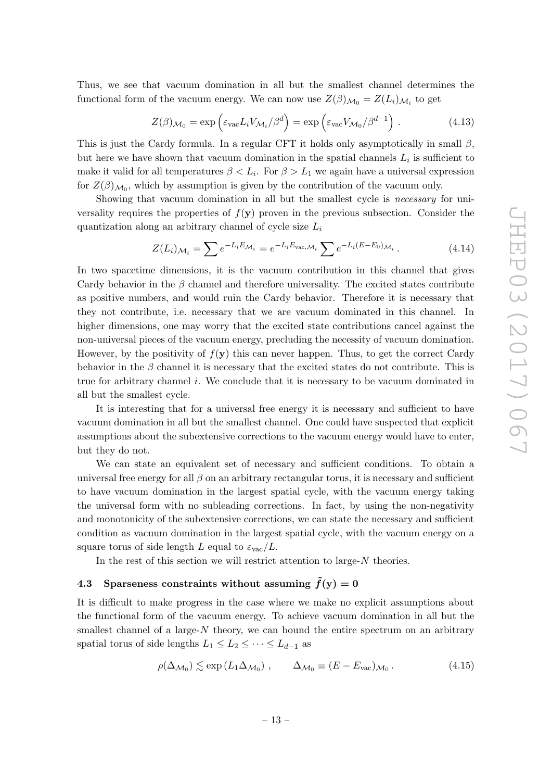Thus, we see that vacuum domination in all but the smallest channel determines the functional form of the vacuum energy. We can now use  $Z(\beta)_{\mathcal{M}_0} = Z(L_i)_{\mathcal{M}_i}$  to get

$$
Z(\beta)_{\mathcal{M}_0} = \exp\left(\varepsilon_{\text{vac}} L_i V_{\mathcal{M}_i} / \beta^d\right) = \exp\left(\varepsilon_{\text{vac}} V_{\mathcal{M}_0} / \beta^{d-1}\right). \tag{4.13}
$$

This is just the Cardy formula. In a regular CFT it holds only asymptotically in small  $\beta$ , but here we have shown that vacuum domination in the spatial channels  $L_i$  is sufficient to make it valid for all temperatures  $\beta < L_i$ . For  $\beta > L_1$  we again have a universal expression for  $Z(\beta)_{\mathcal{M}_0}$ , which by assumption is given by the contribution of the vacuum only.

Showing that vacuum domination in all but the smallest cycle is necessary for universality requires the properties of  $f(y)$  proven in the previous subsection. Consider the quantization along an arbitrary channel of cycle size  $L_i$ 

$$
Z(L_i)_{\mathcal{M}_i} = \sum e^{-L_i E_{\mathcal{M}_i}} = e^{-L_i E_{\text{vac},\mathcal{M}_i}} \sum e^{-L_i (E - E_0)_{\mathcal{M}_i}}.
$$
 (4.14)

In two spacetime dimensions, it is the vacuum contribution in this channel that gives Cardy behavior in the  $\beta$  channel and therefore universality. The excited states contribute as positive numbers, and would ruin the Cardy behavior. Therefore it is necessary that they not contribute, i.e. necessary that we are vacuum dominated in this channel. In higher dimensions, one may worry that the excited state contributions cancel against the non-universal pieces of the vacuum energy, precluding the necessity of vacuum domination. However, by the positivity of  $f(y)$  this can never happen. Thus, to get the correct Cardy behavior in the  $\beta$  channel it is necessary that the excited states do not contribute. This is true for arbitrary channel i. We conclude that it is necessary to be vacuum dominated in all but the smallest cycle.

It is interesting that for a universal free energy it is necessary and sufficient to have vacuum domination in all but the smallest channel. One could have suspected that explicit assumptions about the subextensive corrections to the vacuum energy would have to enter, but they do not.

We can state an equivalent set of necessary and sufficient conditions. To obtain a universal free energy for all  $\beta$  on an arbitrary rectangular torus, it is necessary and sufficient to have vacuum domination in the largest spatial cycle, with the vacuum energy taking the universal form with no subleading corrections. In fact, by using the non-negativity and monotonicity of the subextensive corrections, we can state the necessary and sufficient condition as vacuum domination in the largest spatial cycle, with the vacuum energy on a square torus of side length L equal to  $\varepsilon_{\text{vac}}/L$ .

In the rest of this section we will restrict attention to large-N theories.

# <span id="page-14-0"></span>4.3 Sparseness constraints without assuming  $\tilde{f}(y) = 0$

It is difficult to make progress in the case where we make no explicit assumptions about the functional form of the vacuum energy. To achieve vacuum domination in all but the smallest channel of a large- $N$  theory, we can bound the entire spectrum on an arbitrary spatial torus of side lengths  $L_1 \leq L_2 \leq \cdots \leq L_{d-1}$  as

<span id="page-14-1"></span>
$$
\rho(\Delta_{\mathcal{M}_0}) \lesssim \exp\left(L_1 \Delta_{\mathcal{M}_0}\right), \qquad \Delta_{\mathcal{M}_0} \equiv (E - E_{\text{vac}})_{\mathcal{M}_0}. \tag{4.15}
$$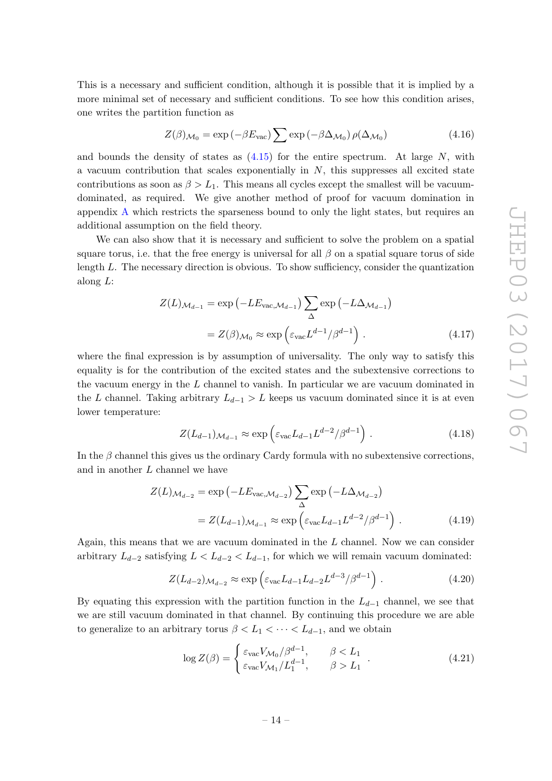This is a necessary and sufficient condition, although it is possible that it is implied by a more minimal set of necessary and sufficient conditions. To see how this condition arises, one writes the partition function as

$$
Z(\beta)_{\mathcal{M}_0} = \exp(-\beta E_{\text{vac}}) \sum \exp(-\beta \Delta_{\mathcal{M}_0}) \rho(\Delta_{\mathcal{M}_0})
$$
(4.16)

and bounds the density of states as  $(4.15)$  for the entire spectrum. At large N, with a vacuum contribution that scales exponentially in  $N$ , this suppresses all excited state contributions as soon as  $\beta > L_1$ . This means all cycles except the smallest will be vacuumdominated, as required. We give another method of proof for vacuum domination in appendix [A](#page-34-2) which restricts the sparseness bound to only the light states, but requires an additional assumption on the field theory.

We can also show that it is necessary and sufficient to solve the problem on a spatial square torus, i.e. that the free energy is universal for all  $\beta$  on a spatial square torus of side length L. The necessary direction is obvious. To show sufficiency, consider the quantization along L:

$$
Z(L)_{\mathcal{M}_{d-1}} = \exp\left(-LE_{\text{vac}, \mathcal{M}_{d-1}}\right) \sum_{\Delta} \exp\left(-L\Delta_{\mathcal{M}_{d-1}}\right)
$$

$$
= Z(\beta)_{\mathcal{M}_0} \approx \exp\left(\varepsilon_{\text{vac}} L^{d-1} / \beta^{d-1}\right). \tag{4.17}
$$

where the final expression is by assumption of universality. The only way to satisfy this equality is for the contribution of the excited states and the subextensive corrections to the vacuum energy in the L channel to vanish. In particular we are vacuum dominated in the L channel. Taking arbitrary  $L_{d-1} > L$  keeps us vacuum dominated since it is at even lower temperature:

$$
Z(L_{d-1})_{\mathcal{M}_{d-1}} \approx \exp\left(\varepsilon_{\text{vac}} L_{d-1} L^{d-2} / \beta^{d-1}\right). \tag{4.18}
$$

In the  $\beta$  channel this gives us the ordinary Cardy formula with no subextensive corrections, and in another L channel we have

$$
Z(L)_{\mathcal{M}_{d-2}} = \exp\left(-LE_{\text{vac}, \mathcal{M}_{d-2}}\right) \sum_{\Delta} \exp\left(-L\Delta_{\mathcal{M}_{d-2}}\right)
$$

$$
= Z(L_{d-1})_{\mathcal{M}_{d-1}} \approx \exp\left(\varepsilon_{\text{vac}}L_{d-1}L^{d-2}/\beta^{d-1}\right). \tag{4.19}
$$

Again, this means that we are vacuum dominated in the L channel. Now we can consider arbitrary  $L_{d-2}$  satisfying  $L < L_{d-2} < L_{d-1}$ , for which we will remain vacuum dominated:

$$
Z(L_{d-2})_{\mathcal{M}_{d-2}} \approx \exp\left(\varepsilon_{\text{vac}}L_{d-1}L_{d-2}L^{d-3}/\beta^{d-1}\right). \tag{4.20}
$$

By equating this expression with the partition function in the  $L_{d-1}$  channel, we see that we are still vacuum dominated in that channel. By continuing this procedure we are able to generalize to an arbitrary torus  $\beta < L_1 < \cdots < L_{d-1}$ , and we obtain

$$
\log Z(\beta) = \begin{cases} \varepsilon_{\text{vac}} V_{\mathcal{M}_0} / \beta^{d-1}, & \beta < L_1 \\ \varepsilon_{\text{vac}} V_{\mathcal{M}_1} / L_1^{d-1}, & \beta > L_1 \end{cases} . \tag{4.21}
$$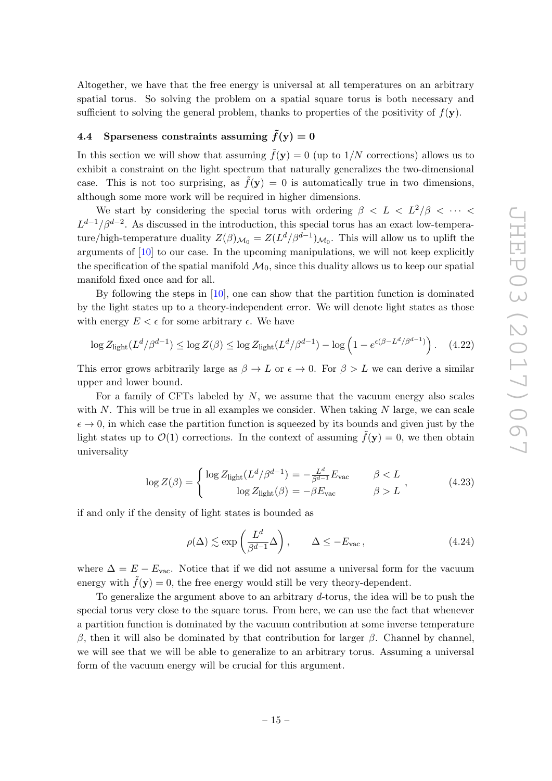Altogether, we have that the free energy is universal at all temperatures on an arbitrary spatial torus. So solving the problem on a spatial square torus is both necessary and sufficient to solving the general problem, thanks to properties of the positivity of  $f(\mathbf{y})$ .

# <span id="page-16-0"></span>4.4 Sparseness constraints assuming  $\tilde{f}(y) = 0$

In this section we will show that assuming  $\tilde{f}(\mathbf{y}) = 0$  (up to  $1/N$  corrections) allows us to exhibit a constraint on the light spectrum that naturally generalizes the two-dimensional case. This is not too surprising, as  $\tilde{f}(\mathbf{y}) = 0$  is automatically true in two dimensions, although some more work will be required in higher dimensions.

We start by considering the special torus with ordering  $\beta < L < L^2/\beta < \cdots <$  $L^{d-1}/\beta^{d-2}$ . As discussed in the introduction, this special torus has an exact low-temperature/high-temperature duality  $Z(\beta)_{\mathcal{M}_0} = Z(L^d/\beta^{d-1})_{\mathcal{M}_0}$ . This will allow us to uplift the arguments of [\[10\]](#page-42-3) to our case. In the upcoming manipulations, we will not keep explicitly the specification of the spatial manifold  $\mathcal{M}_0$ , since this duality allows us to keep our spatial manifold fixed once and for all.

By following the steps in [\[10\]](#page-42-3), one can show that the partition function is dominated by the light states up to a theory-independent error. We will denote light states as those with energy  $E < \epsilon$  for some arbitrary  $\epsilon$ . We have

$$
\log Z_{\text{light}}(L^d/\beta^{d-1}) \le \log Z(\beta) \le \log Z_{\text{light}}(L^d/\beta^{d-1}) - \log \left(1 - e^{\epsilon(\beta - L^d/\beta^{d-1})}\right). \tag{4.22}
$$

This error grows arbitrarily large as  $\beta \to L$  or  $\epsilon \to 0$ . For  $\beta > L$  we can derive a similar upper and lower bound.

For a family of CFTs labeled by  $N$ , we assume that the vacuum energy also scales with N. This will be true in all examples we consider. When taking  $N$  large, we can scale  $\epsilon \to 0$ , in which case the partition function is squeezed by its bounds and given just by the light states up to  $\mathcal{O}(1)$  corrections. In the context of assuming  $\tilde{f}(\mathbf{y}) = 0$ , we then obtain universality

<span id="page-16-1"></span>
$$
\log Z(\beta) = \begin{cases} \log Z_{\text{light}}(L^d/\beta^{d-1}) = -\frac{L^d}{\beta^{d-1}} E_{\text{vac}} & \beta < L \\ \log Z_{\text{light}}(\beta) = -\beta E_{\text{vac}} & \beta > L \end{cases}, \tag{4.23}
$$

if and only if the density of light states is bounded as

<span id="page-16-2"></span>
$$
\rho(\Delta) \lesssim \exp\left(\frac{L^d}{\beta^{d-1}}\Delta\right), \qquad \Delta \leq -E_{\text{vac}},\tag{4.24}
$$

where  $\Delta = E - E_{\text{vac}}$ . Notice that if we did not assume a universal form for the vacuum energy with  $\tilde{f}(\mathbf{y}) = 0$ , the free energy would still be very theory-dependent.

To generalize the argument above to an arbitrary d-torus, the idea will be to push the special torus very close to the square torus. From here, we can use the fact that whenever a partition function is dominated by the vacuum contribution at some inverse temperature β, then it will also be dominated by that contribution for larger β. Channel by channel, we will see that we will be able to generalize to an arbitrary torus. Assuming a universal form of the vacuum energy will be crucial for this argument.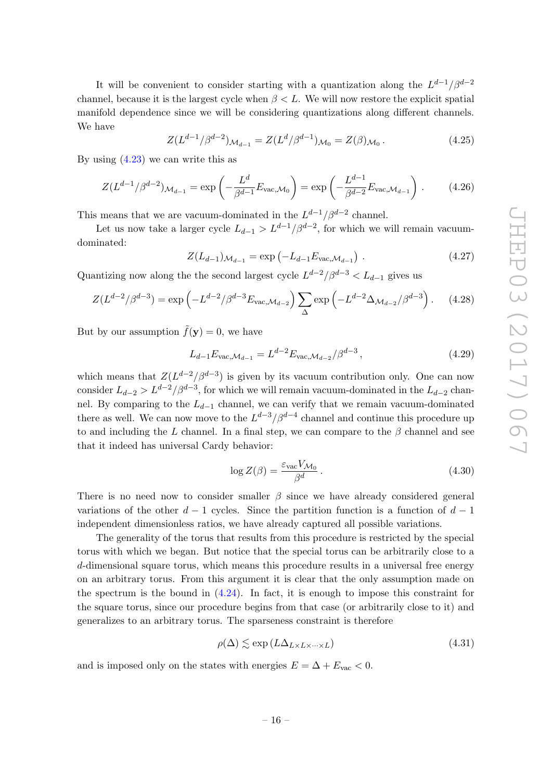It will be convenient to consider starting with a quantization along the  $L^{d-1}/\beta^{d-2}$ channel, because it is the largest cycle when  $\beta < L$ . We will now restore the explicit spatial manifold dependence since we will be considering quantizations along different channels. We have

$$
Z(L^{d-1}/\beta^{d-2})_{\mathcal{M}_{d-1}} = Z(L^d/\beta^{d-1})_{\mathcal{M}_0} = Z(\beta)_{\mathcal{M}_0}.
$$
\n(4.25)

By using  $(4.23)$  we can write this as

$$
Z(L^{d-1}/\beta^{d-2})_{\mathcal{M}_{d-1}} = \exp\left(-\frac{L^d}{\beta^{d-1}}E_{\text{vac},\mathcal{M}_0}\right) = \exp\left(-\frac{L^{d-1}}{\beta^{d-2}}E_{\text{vac},\mathcal{M}_{d-1}}\right). \tag{4.26}
$$

This means that we are vacuum-dominated in the  $L^{d-1}/\beta^{d-2}$  channel.

Let us now take a larger cycle  $L_{d-1} > L^{d-1}/\beta^{d-2}$ , for which we will remain vacuumdominated:

$$
Z(L_{d-1})_{\mathcal{M}_{d-1}} = \exp(-L_{d-1}E_{\text{vac},\mathcal{M}_{d-1}}) \tag{4.27}
$$

Quantizing now along the the second largest cycle  $L^{d-2}/\beta^{d-3} < L_{d-1}$  gives us

$$
Z(L^{d-2}/\beta^{d-3}) = \exp\left(-L^{d-2}/\beta^{d-3} E_{\text{vac},\mathcal{M}_{d-2}}\right) \sum_{\Delta} \exp\left(-L^{d-2}\Delta_{\mathcal{M}_{d-2}}/\beta^{d-3}\right). \tag{4.28}
$$

But by our assumption  $\tilde{f}(\mathbf{y}) = 0$ , we have

$$
L_{d-1}E_{\text{vac},\mathcal{M}_{d-1}} = L^{d-2}E_{\text{vac},\mathcal{M}_{d-2}}/\beta^{d-3},\tag{4.29}
$$

which means that  $Z(L^{d-2}/\beta^{d-3})$  is given by its vacuum contribution only. One can now consider  $L_{d-2} > L^{d-2}/\beta^{d-3}$ , for which we will remain vacuum-dominated in the  $L_{d-2}$  channel. By comparing to the  $L_{d-1}$  channel, we can verify that we remain vacuum-dominated there as well. We can now move to the  $L^{d-3}/\beta^{d-4}$  channel and continue this procedure up to and including the L channel. In a final step, we can compare to the  $\beta$  channel and see that it indeed has universal Cardy behavior:

$$
\log Z(\beta) = \frac{\varepsilon_{\text{vac}} V_{\mathcal{M}_0}}{\beta^d} \,. \tag{4.30}
$$

There is no need now to consider smaller  $\beta$  since we have already considered general variations of the other  $d-1$  cycles. Since the partition function is a function of  $d-1$ independent dimensionless ratios, we have already captured all possible variations.

The generality of the torus that results from this procedure is restricted by the special torus with which we began. But notice that the special torus can be arbitrarily close to a d-dimensional square torus, which means this procedure results in a universal free energy on an arbitrary torus. From this argument it is clear that the only assumption made on the spectrum is the bound in  $(4.24)$ . In fact, it is enough to impose this constraint for the square torus, since our procedure begins from that case (or arbitrarily close to it) and generalizes to an arbitrary torus. The sparseness constraint is therefore

<span id="page-17-0"></span>
$$
\rho(\Delta) \lesssim \exp\left(L\Delta_{L \times L \times \dots \times L}\right) \tag{4.31}
$$

and is imposed only on the states with energies  $E = \Delta + E_{\text{vac}} < 0$ .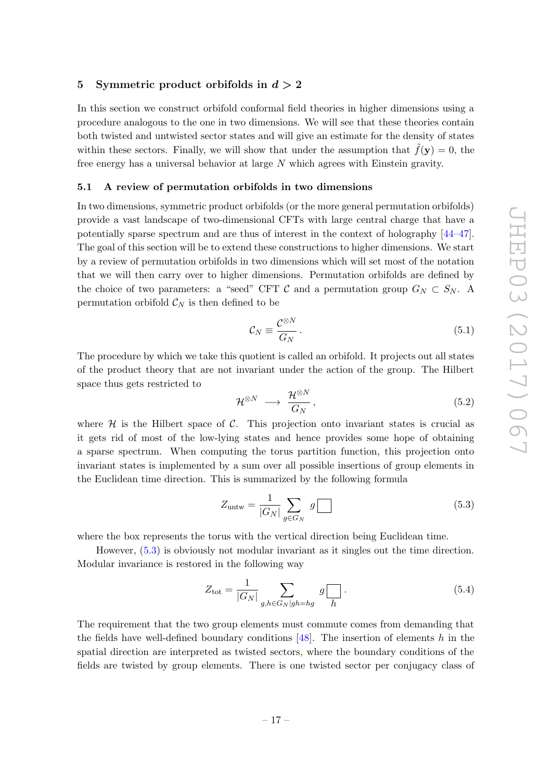## <span id="page-18-0"></span>5 Symmetric product orbifolds in  $d > 2$

In this section we construct orbifold conformal field theories in higher dimensions using a procedure analogous to the one in two dimensions. We will see that these theories contain both twisted and untwisted sector states and will give an estimate for the density of states within these sectors. Finally, we will show that under the assumption that  $\hat{f}(\mathbf{y}) = 0$ , the free energy has a universal behavior at large N which agrees with Einstein gravity.

#### <span id="page-18-1"></span>5.1 A review of permutation orbifolds in two dimensions

In two dimensions, symmetric product orbifolds (or the more general permutation orbifolds) provide a vast landscape of two-dimensional CFTs with large central charge that have a potentially sparse spectrum and are thus of interest in the context of holography [\[44–](#page-43-11)[47\]](#page-44-0). The goal of this section will be to extend these constructions to higher dimensions. We start by a review of permutation orbifolds in two dimensions which will set most of the notation that we will then carry over to higher dimensions. Permutation orbifolds are defined by the choice of two parameters: a "seed" CFT C and a permutation group  $G_N \subset S_N$ . A permutation orbifold  $\mathcal{C}_N$  is then defined to be

$$
\mathcal{C}_N \equiv \frac{\mathcal{C}^{\otimes N}}{G_N} \,. \tag{5.1}
$$

The procedure by which we take this quotient is called an orbifold. It projects out all states of the product theory that are not invariant under the action of the group. The Hilbert space thus gets restricted to

$$
\mathcal{H}^{\otimes N} \longrightarrow \frac{\mathcal{H}^{\otimes N}}{G_N},\tag{5.2}
$$

where  $H$  is the Hilbert space of C. This projection onto invariant states is crucial as it gets rid of most of the low-lying states and hence provides some hope of obtaining a sparse spectrum. When computing the torus partition function, this projection onto invariant states is implemented by a sum over all possible insertions of group elements in the Euclidean time direction. This is summarized by the following formula

<span id="page-18-2"></span>
$$
Z_{\text{untw}} = \frac{1}{|G_N|} \sum_{g \in G_N} g \boxed{\qquad} \tag{5.3}
$$

where the box represents the torus with the vertical direction being Euclidean time.

However, [\(5.3\)](#page-18-2) is obviously not modular invariant as it singles out the time direction. Modular invariance is restored in the following way

$$
Z_{\text{tot}} = \frac{1}{|G_N|} \sum_{g,h \in G_N \mid gh = hg} g \boxed{h} \,. \tag{5.4}
$$

The requirement that the two group elements must commute comes from demanding that the fields have well-defined boundary conditions  $[48]$ . The insertion of elements h in the spatial direction are interpreted as twisted sectors, where the boundary conditions of the fields are twisted by group elements. There is one twisted sector per conjugacy class of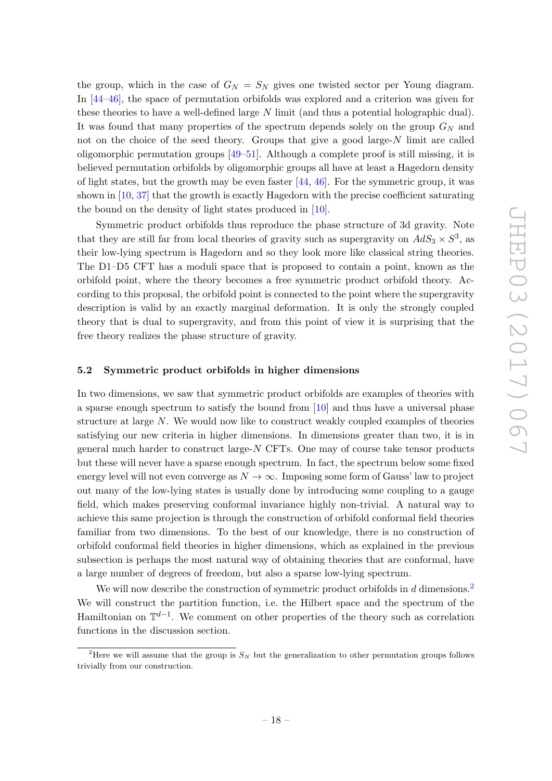the group, which in the case of  $G_N = S_N$  gives one twisted sector per Young diagram. In [\[44](#page-43-11)[–46\]](#page-43-12), the space of permutation orbifolds was explored and a criterion was given for these theories to have a well-defined large N limit (and thus a potential holographic dual). It was found that many properties of the spectrum depends solely on the group  $G_N$  and not on the choice of the seed theory. Groups that give a good large-N limit are called oligomorphic permutation groups [\[49](#page-44-2)[–51\]](#page-44-3). Although a complete proof is still missing, it is believed permutation orbifolds by oligomorphic groups all have at least a Hagedorn density of light states, but the growth may be even faster  $[44, 46]$  $[44, 46]$  $[44, 46]$ . For the symmetric group, it was shown in [\[10,](#page-42-3) [37\]](#page-43-5) that the growth is exactly Hagedorn with the precise coefficient saturating the bound on the density of light states produced in [\[10\]](#page-42-3).

Symmetric product orbifolds thus reproduce the phase structure of 3d gravity. Note that they are still far from local theories of gravity such as supergravity on  $AdS_3 \times S^3$ , as their low-lying spectrum is Hagedorn and so they look more like classical string theories. The D1–D5 CFT has a moduli space that is proposed to contain a point, known as the orbifold point, where the theory becomes a free symmetric product orbifold theory. According to this proposal, the orbifold point is connected to the point where the supergravity description is valid by an exactly marginal deformation. It is only the strongly coupled theory that is dual to supergravity, and from this point of view it is surprising that the free theory realizes the phase structure of gravity.

#### <span id="page-19-0"></span>5.2 Symmetric product orbifolds in higher dimensions

In two dimensions, we saw that symmetric product orbifolds are examples of theories with a sparse enough spectrum to satisfy the bound from [\[10\]](#page-42-3) and thus have a universal phase structure at large N. We would now like to construct weakly coupled examples of theories satisfying our new criteria in higher dimensions. In dimensions greater than two, it is in general much harder to construct large-N CFTs. One may of course take tensor products but these will never have a sparse enough spectrum. In fact, the spectrum below some fixed energy level will not even converge as  $N \to \infty$ . Imposing some form of Gauss' law to project out many of the low-lying states is usually done by introducing some coupling to a gauge field, which makes preserving conformal invariance highly non-trivial. A natural way to achieve this same projection is through the construction of orbifold conformal field theories familiar from two dimensions. To the best of our knowledge, there is no construction of orbifold conformal field theories in higher dimensions, which as explained in the previous subsection is perhaps the most natural way of obtaining theories that are conformal, have a large number of degrees of freedom, but also a sparse low-lying spectrum.

We will now describe the construction of symmetric product orbifolds in  $d$  dimensions.<sup>[2](#page-19-1)</sup> We will construct the partition function, i.e. the Hilbert space and the spectrum of the Hamiltonian on  $\mathbb{T}^{d-1}$ . We comment on other properties of the theory such as correlation functions in the discussion section.

<span id="page-19-1"></span><sup>&</sup>lt;sup>2</sup>Here we will assume that the group is  $S_N$  but the generalization to other permutation groups follows trivially from our construction.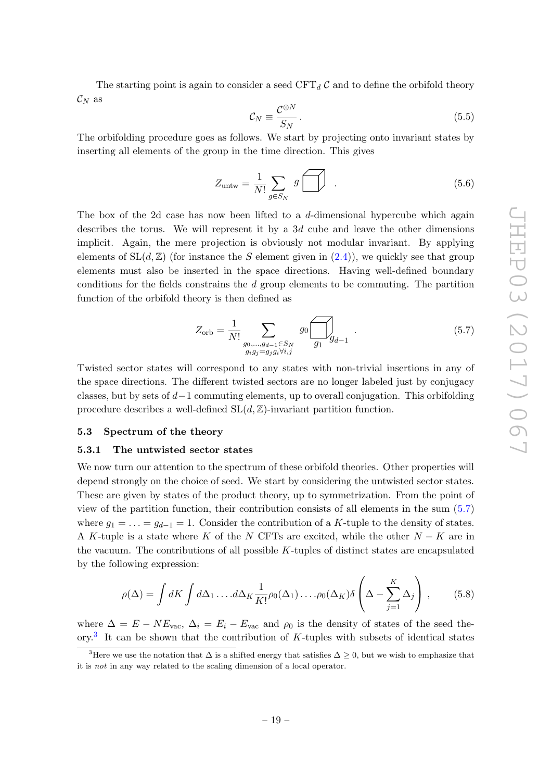The starting point is again to consider a seed  $CFT_d C$  and to define the orbifold theory  $\mathcal{C}_N$  as

$$
\mathcal{C}_N \equiv \frac{\mathcal{C}^{\otimes N}}{S_N} \,. \tag{5.5}
$$

The orbifolding procedure goes as follows. We start by projecting onto invariant states by inserting all elements of the group in the time direction. This gives

$$
Z_{\text{untw}} = \frac{1}{N!} \sum_{g \in S_N} g \boxed{}
$$
 (5.6)

The box of the 2d case has now been lifted to a d-dimensional hypercube which again describes the torus. We will represent it by a  $3d$  cube and leave the other dimensions implicit. Again, the mere projection is obviously not modular invariant. By applying elements of  $SL(d, \mathbb{Z})$  (for instance the S element given in  $(2.4)$ ), we quickly see that group elements must also be inserted in the space directions. Having well-defined boundary conditions for the fields constrains the d group elements to be commuting. The partition function of the orbifold theory is then defined as

<span id="page-20-2"></span>
$$
Z_{\rm orb} = \frac{1}{N!} \sum_{\substack{g_0, \dots, g_{d-1} \in S_N \\ g_i g_j = g_j g_i \forall i, j}} g_0 \boxed{\int g_{d-1}} \tag{5.7}
$$

Twisted sector states will correspond to any states with non-trivial insertions in any of the space directions. The different twisted sectors are no longer labeled just by conjugacy classes, but by sets of  $d-1$  commuting elements, up to overall conjugation. This orbifolding procedure describes a well-defined  $SL(d, \mathbb{Z})$ -invariant partition function.

#### <span id="page-20-0"></span>5.3 Spectrum of the theory

#### <span id="page-20-1"></span>5.3.1 The untwisted sector states

We now turn our attention to the spectrum of these orbifold theories. Other properties will depend strongly on the choice of seed. We start by considering the untwisted sector states. These are given by states of the product theory, up to symmetrization. From the point of view of the partition function, their contribution consists of all elements in the sum [\(5.7\)](#page-20-2) where  $g_1 = \ldots = g_{d-1} = 1$ . Consider the contribution of a K-tuple to the density of states. A K-tuple is a state where K of the N CFTs are excited, while the other  $N - K$  are in the vacuum. The contributions of all possible  $K$ -tuples of distinct states are encapsulated by the following expression:

$$
\rho(\Delta) = \int dK \int d\Delta_1 \dots d\Delta_K \frac{1}{K!} \rho_0(\Delta_1) \dots \rho_0(\Delta_K) \delta\left(\Delta - \sum_{j=1}^K \Delta_j\right), \qquad (5.8)
$$

where  $\Delta = E - N E_{\text{vac}}$ ,  $\Delta_i = E_i - E_{\text{vac}}$  and  $\rho_0$  is the density of states of the seed the-ory.<sup>[3](#page-20-3)</sup> It can be shown that the contribution of  $K$ -tuples with subsets of identical states

<span id="page-20-3"></span><sup>&</sup>lt;sup>3</sup>Here we use the notation that  $\Delta$  is a shifted energy that satisfies  $\Delta > 0$ , but we wish to emphasize that it is not in any way related to the scaling dimension of a local operator.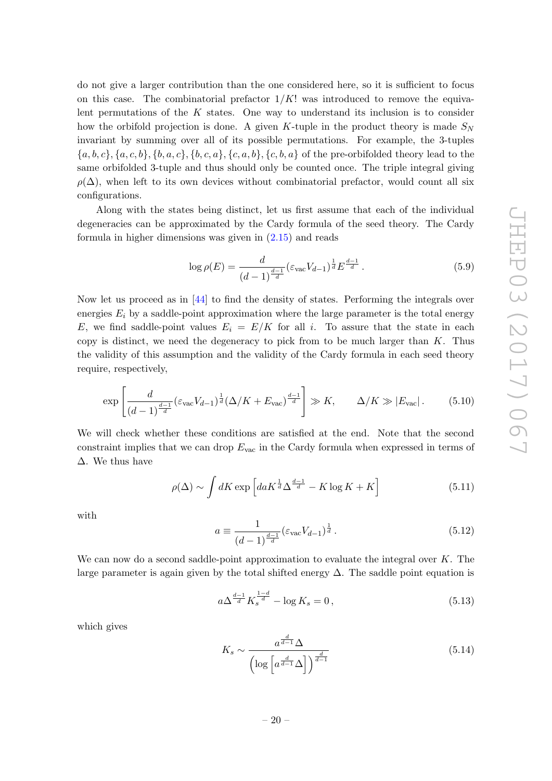do not give a larger contribution than the one considered here, so it is sufficient to focus on this case. The combinatorial prefactor  $1/K!$  was introduced to remove the equivalent permutations of the  $K$  states. One way to understand its inclusion is to consider how the orbifold projection is done. A given K-tuple in the product theory is made  $S_N$ invariant by summing over all of its possible permutations. For example, the 3-tuples  ${a, b, c}, {a, c, b}, {b, a, c}, {b, c, a}, {c, a}, {c, b, a}$  of the pre-orbifolded theory lead to the same orbifolded 3-tuple and thus should only be counted once. The triple integral giving  $\rho(\Delta)$ , when left to its own devices without combinatorial prefactor, would count all six configurations.

Along with the states being distinct, let us first assume that each of the individual degeneracies can be approximated by the Cardy formula of the seed theory. The Cardy formula in higher dimensions was given in  $(2.15)$  and reads

$$
\log \rho(E) = \frac{d}{(d-1)^{\frac{d-1}{d}}} (\varepsilon_{\text{vac}} V_{d-1})^{\frac{1}{d}} E^{\frac{d-1}{d}}.
$$
\n(5.9)

Now let us proceed as in [\[44\]](#page-43-11) to find the density of states. Performing the integrals over energies  $E_i$  by a saddle-point approximation where the large parameter is the total energy E, we find saddle-point values  $E_i = E/K$  for all i. To assure that the state in each copy is distinct, we need the degeneracy to pick from to be much larger than  $K$ . Thus the validity of this assumption and the validity of the Cardy formula in each seed theory require, respectively,

$$
\exp\left[\frac{d}{(d-1)^{\frac{d-1}{d}}}(\varepsilon_{\text{vac}}V_{d-1})^{\frac{1}{d}}(\Delta/K + E_{\text{vac}})^{\frac{d-1}{d}}\right] \gg K, \qquad \Delta/K \gg |E_{\text{vac}}|.
$$
 (5.10)

We will check whether these conditions are satisfied at the end. Note that the second constraint implies that we can drop  $E_{\text{vac}}$  in the Cardy formula when expressed in terms of ∆. We thus have

$$
\rho(\Delta) \sim \int dK \exp\left[ d\alpha K^{\frac{1}{d}} \Delta^{\frac{d-1}{d}} - K \log K + K \right]
$$
\n(5.11)

with

<span id="page-21-0"></span>
$$
a \equiv \frac{1}{(d-1)^{\frac{d-1}{d}}} (\varepsilon_{\text{vac}} V_{d-1})^{\frac{1}{d}}.
$$
 (5.12)

We can now do a second saddle-point approximation to evaluate the integral over  $K$ . The large parameter is again given by the total shifted energy  $\Delta$ . The saddle point equation is

$$
a\Delta^{\frac{d-1}{d}}K_s^{\frac{1-d}{d}} - \log K_s = 0, \qquad (5.13)
$$

which gives

$$
K_s \sim \frac{a^{\frac{d}{d-1}} \Delta}{\left(\log\left[a^{\frac{d}{d-1}} \Delta\right]\right)^{\frac{d}{d-1}}}
$$
\n(5.14)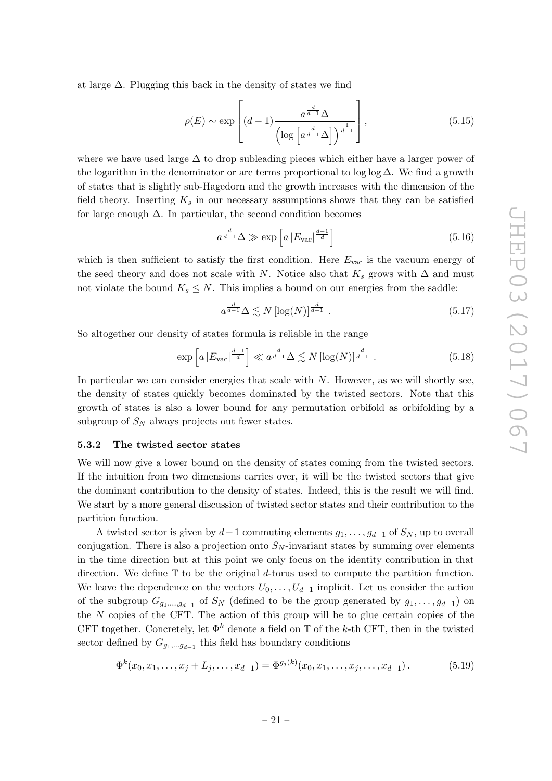at large ∆. Plugging this back in the density of states we find

$$
\rho(E) \sim \exp\left[ (d-1) \frac{a^{\frac{d}{d-1}} \Delta}{\left( \log \left[ a^{\frac{d}{d-1}} \Delta \right] \right)^{\frac{1}{d-1}}} \right],\tag{5.15}
$$

where we have used large  $\Delta$  to drop subleading pieces which either have a larger power of the logarithm in the denominator or are terms proportional to log log  $\Delta$ . We find a growth of states that is slightly sub-Hagedorn and the growth increases with the dimension of the field theory. Inserting  $K_s$  in our necessary assumptions shows that they can be satisfied for large enough  $\Delta$ . In particular, the second condition becomes

$$
a^{\frac{d}{d-1}} \Delta \gg \exp\left[a \left| E_{\text{vac}} \right|^{\frac{d-1}{d}}\right] \tag{5.16}
$$

which is then sufficient to satisfy the first condition. Here  $E_{\text{vac}}$  is the vacuum energy of the seed theory and does not scale with N. Notice also that  $K_s$  grows with  $\Delta$  and must not violate the bound  $K_s \leq N$ . This implies a bound on our energies from the saddle:

$$
a^{\frac{d}{d-1}} \Delta \lesssim N \left[ \log(N) \right]^{\frac{d}{d-1}} . \tag{5.17}
$$

So altogether our density of states formula is reliable in the range

$$
\exp\left[a\left|E_{\text{vac}}\right|^{\frac{d-1}{d}}\right] \ll a^{\frac{d}{d-1}} \Delta \lesssim N\left[\log(N)\right]^{\frac{d}{d-1}}.
$$
\n(5.18)

In particular we can consider energies that scale with  $N$ . However, as we will shortly see, the density of states quickly becomes dominated by the twisted sectors. Note that this growth of states is also a lower bound for any permutation orbifold as orbifolding by a subgroup of  $S_N$  always projects out fewer states.

#### <span id="page-22-0"></span>5.3.2 The twisted sector states

We will now give a lower bound on the density of states coming from the twisted sectors. If the intuition from two dimensions carries over, it will be the twisted sectors that give the dominant contribution to the density of states. Indeed, this is the result we will find. We start by a more general discussion of twisted sector states and their contribution to the partition function.

A twisted sector is given by  $d-1$  commuting elements  $g_1, \ldots, g_{d-1}$  of  $S_N$ , up to overall conjugation. There is also a projection onto  $S_N$ -invariant states by summing over elements in the time direction but at this point we only focus on the identity contribution in that direction. We define  $\mathbb T$  to be the original d-torus used to compute the partition function. We leave the dependence on the vectors  $U_0, \ldots, U_{d-1}$  implicit. Let us consider the action of the subgroup  $G_{g_1,...,g_{d-1}}$  of  $S_N$  (defined to be the group generated by  $g_1,...,g_{d-1}$ ) on the  $N$  copies of the CFT. The action of this group will be to glue certain copies of the CFT together. Concretely, let  $\Phi^k$  denote a field on  $\mathbb T$  of the k-th CFT, then in the twisted sector defined by  $G_{g_1,...g_{d-1}}$  this field has boundary conditions

$$
\Phi^k(x_0, x_1, \dots, x_j + L_j, \dots, x_{d-1}) = \Phi^{g_j(k)}(x_0, x_1, \dots, x_j, \dots, x_{d-1}). \tag{5.19}
$$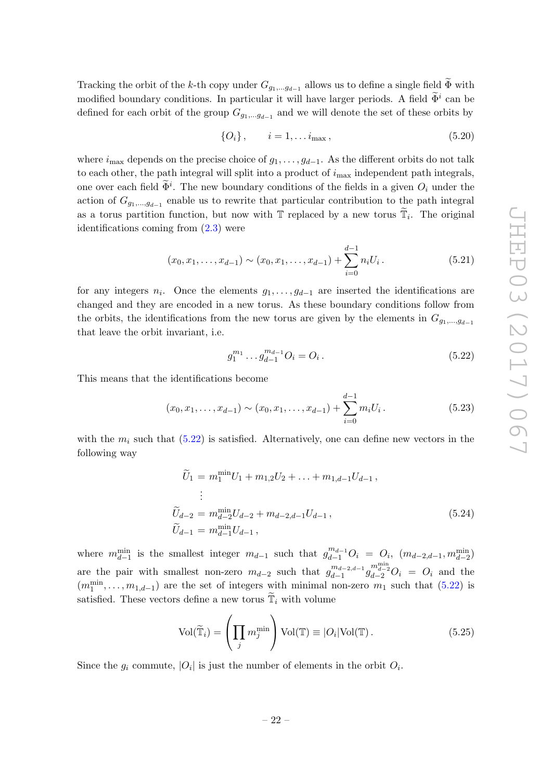Tracking the orbit of the k-th copy under  $G_{g_1,...g_{d-1}}$  allows us to define a single field  $\Phi$  with modified boundary conditions. In particular it will have larger periods. A field  $\tilde{\Phi}^i$  can be defined for each orbit of the group  $G_{g_1,...g_{d-1}}$  and we will denote the set of these orbits by

$$
\{O_i\}, \qquad i = 1, \dots i_{\text{max}}, \tag{5.20}
$$

where  $i_{\text{max}}$  depends on the precise choice of  $g_1, \ldots, g_{d-1}$ . As the different orbits do not talk to each other, the path integral will split into a product of  $i_{\text{max}}$  independent path integrals, one over each field  $\tilde{\Phi}^i$ . The new boundary conditions of the fields in a given  $O_i$  under the action of  $G_{g_1,...,g_{d-1}}$  enable us to rewrite that particular contribution to the path integral as a torus partition function, but now with  $\mathbb T$  replaced by a new torus  $\widetilde{\mathbb T}_i$ . The original identifications coming from  $(2.3)$  were

$$
(x_0, x_1, \dots, x_{d-1}) \sim (x_0, x_1, \dots, x_{d-1}) + \sum_{i=0}^{d-1} n_i U_i.
$$
 (5.21)

for any integers  $n_i$ . Once the elements  $g_1, \ldots, g_{d-1}$  are inserted the identifications are changed and they are encoded in a new torus. As these boundary conditions follow from the orbits, the identifications from the new torus are given by the elements in  $G_{q_1,...,q_{d-1}}$ that leave the orbit invariant, i.e.

<span id="page-23-0"></span>
$$
g_1^{m_1} \dots g_{d-1}^{m_{d-1}} O_i = O_i. \tag{5.22}
$$

This means that the identifications become

$$
(x_0, x_1, \dots, x_{d-1}) \sim (x_0, x_1, \dots, x_{d-1}) + \sum_{i=0}^{d-1} m_i U_i.
$$
 (5.23)

with the  $m_i$  such that  $(5.22)$  is satisfied. Alternatively, one can define new vectors in the following way

$$
\widetilde{U}_1 = m_1^{\min} U_1 + m_{1,2} U_2 + \dots + m_{1,d-1} U_{d-1} ,
$$
\n
$$
\vdots
$$
\n
$$
\widetilde{U}_{d-2} = m_{d-2}^{\min} U_{d-2} + m_{d-2,d-1} U_{d-1} ,
$$
\n
$$
\widetilde{U}_{d-1} = m_{d-1}^{\min} U_{d-1} ,
$$
\n(5.24)

where  $m_{d-1}^{\min}$  is the smallest integer  $m_{d-1}$  such that  $g_{d-1}^{m_{d-1}}O_i = O_i$ ,  $(m_{d-2,d-1}, m_{d-2}^{\min})$ are the pair with smallest non-zero  $m_{d-2}$  such that  $g_{d-1}^{m_{d-2,d-1}}$  $\int_{d-1}^{m_{d-2},d-1} g_{d-2}^{\min} O_i = O_i$  and the  $(m_1^{\text{min}}, \ldots, m_{1,d-1})$  are the set of integers with minimal non-zero  $m_1$  such that  $(5.22)$  is satisfied. These vectors define a new torus  $\tilde{\mathbb{T}}_i$  with volume

$$
\text{Vol}(\widetilde{\mathbb{T}}_i) = \left(\prod_j m_j^{\min}\right) \text{Vol}(\mathbb{T}) \equiv |O_i|\text{Vol}(\mathbb{T}).\tag{5.25}
$$

Since the  $g_i$  commute,  $|O_i|$  is just the number of elements in the orbit  $O_i$ .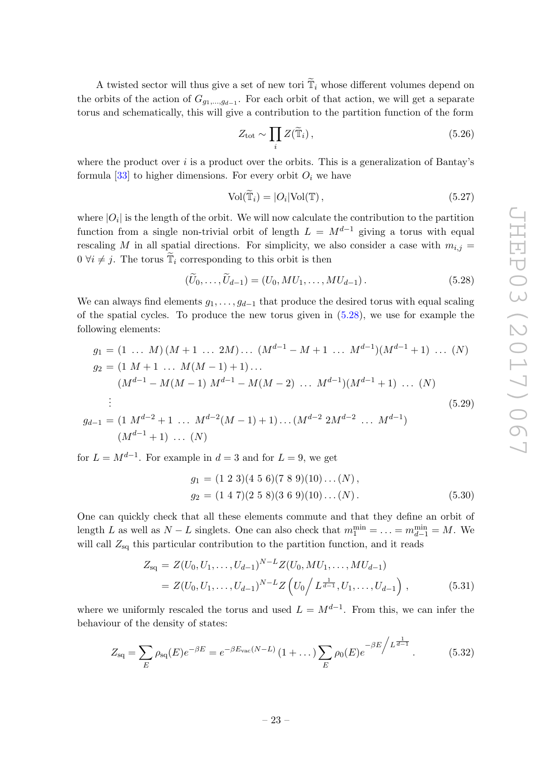A twisted sector will thus give a set of new tori  $\tilde{T}_i$  whose different volumes depend on the orbits of the action of  $G_{g_1,...,g_{d-1}}$ . For each orbit of that action, we will get a separate torus and schematically, this will give a contribution to the partition function of the form

$$
Z_{\text{tot}} \sim \prod_{i} Z(\widetilde{T}_i), \qquad (5.26)
$$

where the product over  $i$  is a product over the orbits. This is a generalization of Bantay's formula [\[33\]](#page-43-13) to higher dimensions. For every orbit  $O_i$  we have

$$
Vol(\widetilde{T}_i) = |O_i| Vol(\mathbb{T}), \qquad (5.27)
$$

where  $|O_i|$  is the length of the orbit. We will now calculate the contribution to the partition function from a single non-trivial orbit of length  $L = M^{d-1}$  giving a torus with equal rescaling M in all spatial directions. For simplicity, we also consider a case with  $m_{i,j} =$  $0 \forall i \neq j$ . The torus  $\widetilde{T}_i$  corresponding to this orbit is then

<span id="page-24-0"></span>
$$
(U_0, \ldots, U_{d-1}) = (U_0, MU_1, \ldots, MU_{d-1}).
$$
\n(5.28)

We can always find elements  $g_1, \ldots, g_{d-1}$  that produce the desired torus with equal scaling of the spatial cycles. To produce the new torus given in [\(5.28\)](#page-24-0), we use for example the following elements:

$$
g_1 = (1 \dots M) (M + 1 \dots 2M) \dots (M^{d-1} - M + 1 \dots M^{d-1})(M^{d-1} + 1) \dots (N)
$$
  
\n
$$
g_2 = (1 M + 1 \dots M(M - 1) + 1) \dots
$$
  
\n
$$
(M^{d-1} - M(M - 1) M^{d-1} - M(M - 2) \dots M^{d-1})(M^{d-1} + 1) \dots (N)
$$
  
\n:  
\n
$$
g_{d-1} = (1 M^{d-2} + 1 \dots M^{d-2}(M - 1) + 1) \dots (M^{d-2} 2M^{d-2} \dots M^{d-1})
$$
  
\n
$$
(M^{d-1} + 1) \dots (N)
$$
  
\n(5.29)

for  $L = M^{d-1}$ . For example in  $d = 3$  and for  $L = 9$ , we get

$$
g_1 = (1\ 2\ 3)(4\ 5\ 6)(7\ 8\ 9)(10)\dots(N),
$$
  
\n
$$
g_2 = (1\ 4\ 7)(2\ 5\ 8)(3\ 6\ 9)(10)\dots(N).
$$
\n(5.30)

One can quickly check that all these elements commute and that they define an orbit of length L as well as  $N - L$  singlets. One can also check that  $m_1^{\text{min}} = \ldots = m_{d-1}^{\text{min}} = M$ . We will call  $Z_{sq}$  this particular contribution to the partition function, and it reads

$$
Z_{\text{sq}} = Z(U_0, U_1, \dots, U_{d-1})^{N-L} Z(U_0, MU_1, \dots, MU_{d-1})
$$
  
=  $Z(U_0, U_1, \dots, U_{d-1})^{N-L} Z\left(U_0 \middle/ L^{\frac{1}{d-1}}, U_1, \dots, U_{d-1}\right)$ , (5.31)

where we uniformly rescaled the torus and used  $L = M^{d-1}$ . From this, we can infer the behaviour of the density of states:

$$
Z_{\rm sq} = \sum_{E} \rho_{\rm sq}(E) e^{-\beta E} = e^{-\beta E_{\rm vac}(N-L)} (1 + \dots) \sum_{E} \rho_0(E) e^{-\beta E \left/ L^{\frac{1}{d-1}} \right.} \tag{5.32}
$$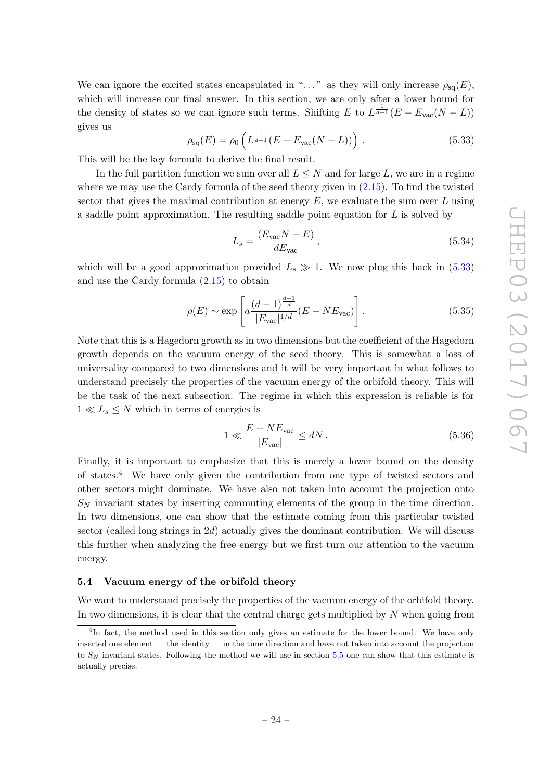We can ignore the excited states encapsulated in "..." as they will only increase  $\rho_{sq}(E)$ , which will increase our final answer. In this section, we are only after a lower bound for the density of states so we can ignore such terms. Shifting E to  $L^{\frac{1}{d-1}}(E - E_{\text{vac}}(N - L))$ gives us

<span id="page-25-1"></span>
$$
\rho_{\text{sq}}(E) = \rho_0 \left( L^{\frac{1}{d-1}} (E - E_{\text{vac}} (N - L)) \right) . \tag{5.33}
$$

This will be the key formula to derive the final result.

In the full partition function we sum over all  $L \leq N$  and for large L, we are in a regime where we may use the Cardy formula of the seed theory given in [\(2.15\)](#page-8-3). To find the twisted sector that gives the maximal contribution at energy  $E$ , we evaluate the sum over  $L$  using a saddle point approximation. The resulting saddle point equation for  $L$  is solved by

$$
L_s = \frac{(E_{\text{vac}}N - E)}{dE_{\text{vac}}},\tag{5.34}
$$

which will be a good approximation provided  $L_s \gg 1$ . We now plug this back in [\(5.33\)](#page-25-1) and use the Cardy formula [\(2.15\)](#page-8-3) to obtain

<span id="page-25-3"></span>
$$
\rho(E) \sim \exp\left[a\frac{(d-1)^{\frac{d-1}{d}}}{|E_{\text{vac}}|^{1/d}}(E - NE_{\text{vac}})\right].
$$
\n(5.35)

Note that this is a Hagedorn growth as in two dimensions but the coefficient of the Hagedorn growth depends on the vacuum energy of the seed theory. This is somewhat a loss of universality compared to two dimensions and it will be very important in what follows to understand precisely the properties of the vacuum energy of the orbifold theory. This will be the task of the next subsection. The regime in which this expression is reliable is for  $1 \ll L_s \leq N$  which in terms of energies is

$$
1 \ll \frac{E - NE_{\text{vac}}}{|E_{\text{vac}}|} \le dN. \tag{5.36}
$$

Finally, it is important to emphasize that this is merely a lower bound on the density of states.[4](#page-25-2) We have only given the contribution from one type of twisted sectors and other sectors might dominate. We have also not taken into account the projection onto  $S_N$  invariant states by inserting commuting elements of the group in the time direction. In two dimensions, one can show that the estimate coming from this particular twisted sector (called long strings in 2d) actually gives the dominant contribution. We will discuss this further when analyzing the free energy but we first turn our attention to the vacuum energy.

#### <span id="page-25-0"></span>5.4 Vacuum energy of the orbifold theory

We want to understand precisely the properties of the vacuum energy of the orbifold theory. In two dimensions, it is clear that the central charge gets multiplied by  $N$  when going from

<span id="page-25-2"></span><sup>&</sup>lt;sup>4</sup>In fact, the method used in this section only gives an estimate for the lower bound. We have only inserted one element — the identity — in the time direction and have not taken into account the projection to  $S<sub>N</sub>$  invariant states. Following the method we will use in section [5.5](#page-27-0) one can show that this estimate is actually precise.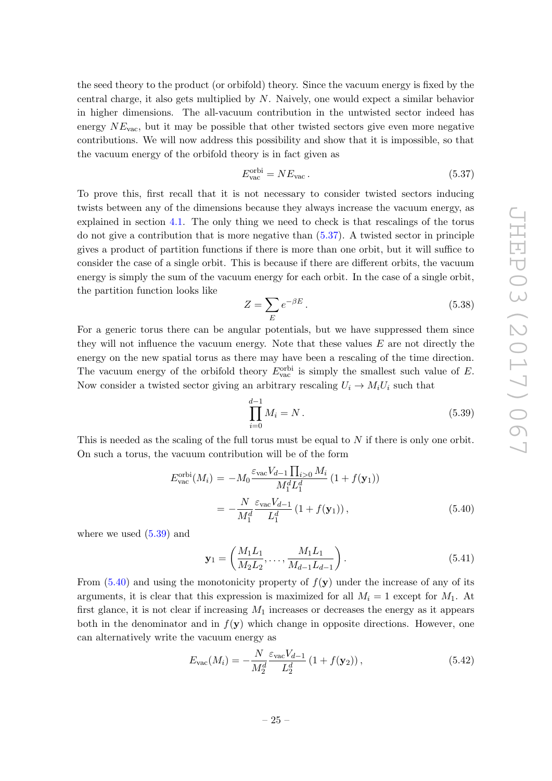the seed theory to the product (or orbifold) theory. Since the vacuum energy is fixed by the central charge, it also gets multiplied by N. Naively, one would expect a similar behavior in higher dimensions. The all-vacuum contribution in the untwisted sector indeed has energy  $NE<sub>vac</sub>$ , but it may be possible that other twisted sectors give even more negative contributions. We will now address this possibility and show that it is impossible, so that the vacuum energy of the orbifold theory is in fact given as

<span id="page-26-0"></span>
$$
E_{\text{vac}}^{\text{orbit}} = NE_{\text{vac}}.
$$
\n(5.37)

To prove this, first recall that it is not necessary to consider twisted sectors inducing twists between any of the dimensions because they always increase the vacuum energy, as explained in section [4.1.](#page-12-0) The only thing we need to check is that rescalings of the torus do not give a contribution that is more negative than [\(5.37\)](#page-26-0). A twisted sector in principle gives a product of partition functions if there is more than one orbit, but it will suffice to consider the case of a single orbit. This is because if there are different orbits, the vacuum energy is simply the sum of the vacuum energy for each orbit. In the case of a single orbit, the partition function looks like

$$
Z = \sum_{E} e^{-\beta E} \,. \tag{5.38}
$$

For a generic torus there can be angular potentials, but we have suppressed them since they will not influence the vacuum energy. Note that these values  $E$  are not directly the energy on the new spatial torus as there may have been a rescaling of the time direction. The vacuum energy of the orbifold theory  $E_{\text{vac}}^{\text{orbit}}$  is simply the smallest such value of E. Now consider a twisted sector giving an arbitrary rescaling  $U_i \rightarrow M_i U_i$  such that

<span id="page-26-1"></span>
$$
\prod_{i=0}^{d-1} M_i = N.
$$
\n(5.39)

This is needed as the scaling of the full torus must be equal to N if there is only one orbit. On such a torus, the vacuum contribution will be of the form

<span id="page-26-2"></span>
$$
E_{\text{vac}}^{\text{orbit}}(M_i) = -M_0 \frac{\varepsilon_{\text{vac}} V_{d-1} \prod_{i>0} M_i}{M_1^d L_1^d} (1 + f(\mathbf{y}_1))
$$
  
= 
$$
-\frac{N}{M_1^d} \frac{\varepsilon_{\text{vac}} V_{d-1}}{L_1^d} (1 + f(\mathbf{y}_1)), \qquad (5.40)
$$

where we used  $(5.39)$  and

$$
\mathbf{y}_1 = \left(\frac{M_1 L_1}{M_2 L_2}, \dots, \frac{M_1 L_1}{M_{d-1} L_{d-1}}\right). \tag{5.41}
$$

From  $(5.40)$  and using the monotonicity property of  $f(\mathbf{y})$  under the increase of any of its arguments, it is clear that this expression is maximized for all  $M_i = 1$  except for  $M_1$ . At first glance, it is not clear if increasing  $M_1$  increases or decreases the energy as it appears both in the denominator and in  $f(\mathbf{y})$  which change in opposite directions. However, one can alternatively write the vacuum energy as

$$
E_{\rm vac}(M_i) = -\frac{N}{M_2^d} \frac{\varepsilon_{\rm vac} V_{d-1}}{L_2^d} \left(1 + f(\mathbf{y}_2)\right),\tag{5.42}
$$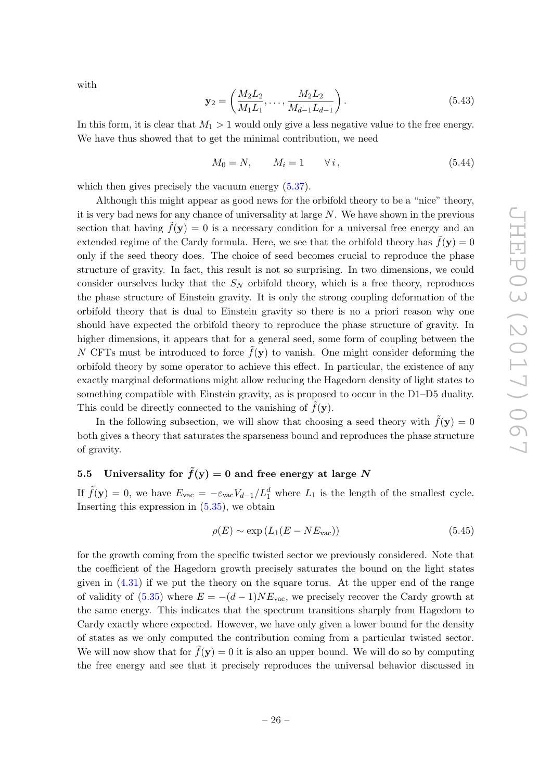with

$$
\mathbf{y}_2 = \left(\frac{M_2 L_2}{M_1 L_1}, \dots, \frac{M_2 L_2}{M_{d-1} L_{d-1}}\right). \tag{5.43}
$$

In this form, it is clear that  $M_1 > 1$  would only give a less negative value to the free energy. We have thus showed that to get the minimal contribution, we need

$$
M_0 = N, \qquad M_i = 1 \qquad \forall i,
$$
\n
$$
(5.44)
$$

which then gives precisely the vacuum energy  $(5.37)$ .

Although this might appear as good news for the orbifold theory to be a "nice" theory, it is very bad news for any chance of universality at large N. We have shown in the previous section that having  $\tilde{f}(\mathbf{y}) = 0$  is a necessary condition for a universal free energy and an extended regime of the Cardy formula. Here, we see that the orbifold theory has  $\tilde{f}(\mathbf{y}) = 0$ only if the seed theory does. The choice of seed becomes crucial to reproduce the phase structure of gravity. In fact, this result is not so surprising. In two dimensions, we could consider ourselves lucky that the  $S_N$  orbifold theory, which is a free theory, reproduces the phase structure of Einstein gravity. It is only the strong coupling deformation of the orbifold theory that is dual to Einstein gravity so there is no a priori reason why one should have expected the orbifold theory to reproduce the phase structure of gravity. In higher dimensions, it appears that for a general seed, some form of coupling between the N CFTs must be introduced to force  $\tilde{f}(\mathbf{y})$  to vanish. One might consider deforming the orbifold theory by some operator to achieve this effect. In particular, the existence of any exactly marginal deformations might allow reducing the Hagedorn density of light states to something compatible with Einstein gravity, as is proposed to occur in the D1–D5 duality. This could be directly connected to the vanishing of  $\tilde{f}(\mathbf{y})$ .

In the following subsection, we will show that choosing a seed theory with  $\tilde{f}(\mathbf{y}) = 0$ both gives a theory that saturates the sparseness bound and reproduces the phase structure of gravity.

# <span id="page-27-0"></span>5.5 Universality for  $\tilde{f}(y) = 0$  and free energy at large N

If  $\tilde{f}(\mathbf{y}) = 0$ , we have  $E_{\text{vac}} = -\varepsilon_{\text{vac}} V_{d-1}/L_1^d$  where  $L_1$  is the length of the smallest cycle. Inserting this expression in  $(5.35)$ , we obtain

<span id="page-27-1"></span>
$$
\rho(E) \sim \exp\left(L_1(E - NE_{\text{vac}})\right) \tag{5.45}
$$

for the growth coming from the specific twisted sector we previously considered. Note that the coefficient of the Hagedorn growth precisely saturates the bound on the light states given in [\(4.31\)](#page-17-0) if we put the theory on the square torus. At the upper end of the range of validity of  $(5.35)$  where  $E = -(d-1)NE_{\text{vac}}$ , we precisely recover the Cardy growth at the same energy. This indicates that the spectrum transitions sharply from Hagedorn to Cardy exactly where expected. However, we have only given a lower bound for the density of states as we only computed the contribution coming from a particular twisted sector. We will now show that for  $f(\mathbf{y}) = 0$  it is also an upper bound. We will do so by computing the free energy and see that it precisely reproduces the universal behavior discussed in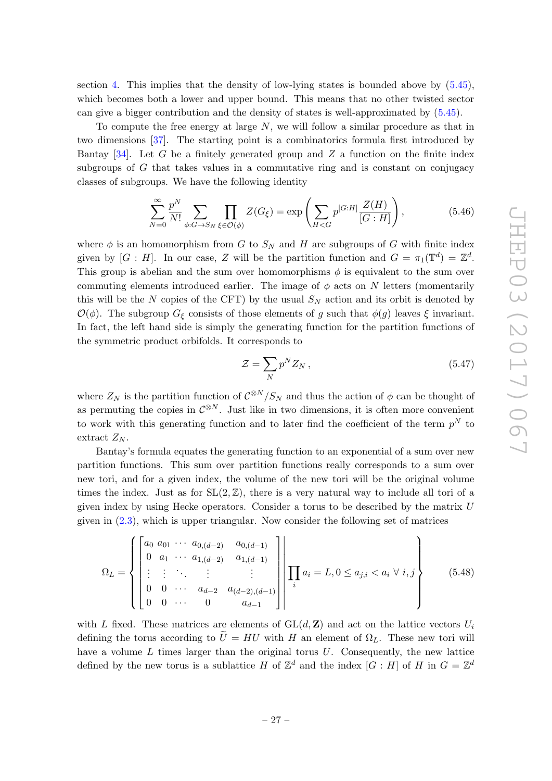section [4.](#page-11-2) This implies that the density of low-lying states is bounded above by  $(5.45)$ , which becomes both a lower and upper bound. This means that no other twisted sector can give a bigger contribution and the density of states is well-approximated by [\(5.45\)](#page-27-1).

To compute the free energy at large  $N$ , we will follow a similar procedure as that in two dimensions [\[37\]](#page-43-5). The starting point is a combinatorics formula first introduced by Bantay  $[34]$ . Let G be a finitely generated group and Z a function on the finite index subgroups of  $G$  that takes values in a commutative ring and is constant on conjugacy classes of subgroups. We have the following identity

$$
\sum_{N=0}^{\infty} \frac{p^N}{N!} \sum_{\phi: G \to S_N} \prod_{\xi \in \mathcal{O}(\phi)} Z(G_{\xi}) = \exp\left(\sum_{H < G} p^{[G:H]} \frac{Z(H)}{[G:H]}\right),\tag{5.46}
$$

where  $\phi$  is an homomorphism from G to  $S_N$  and H are subgroups of G with finite index given by  $[G : H]$ . In our case, Z will be the partition function and  $G = \pi_1(\mathbb{T}^d) = \mathbb{Z}^d$ . This group is abelian and the sum over homomorphisms  $\phi$  is equivalent to the sum over commuting elements introduced earlier. The image of  $\phi$  acts on N letters (momentarily this will be the N copies of the CFT) by the usual  $S_N$  action and its orbit is denoted by  $\mathcal{O}(\phi)$ . The subgroup  $G_{\xi}$  consists of those elements of g such that  $\phi(g)$  leaves  $\xi$  invariant. In fact, the left hand side is simply the generating function for the partition functions of the symmetric product orbifolds. It corresponds to

$$
\mathcal{Z} = \sum_{N} p^{N} Z_{N} , \qquad (5.47)
$$

where  $Z_N$  is the partition function of  $\mathcal{C}^{\otimes N}/S_N$  and thus the action of  $\phi$  can be thought of as permuting the copies in  $\mathcal{C}^{\otimes N}$ . Just like in two dimensions, it is often more convenient to work with this generating function and to later find the coefficient of the term  $p^N$  to extract  $Z_N$ .

Bantay's formula equates the generating function to an exponential of a sum over new partition functions. This sum over partition functions really corresponds to a sum over new tori, and for a given index, the volume of the new tori will be the original volume times the index. Just as for  $SL(2, \mathbb{Z})$ , there is a very natural way to include all tori of a given index by using Hecke operators. Consider a torus to be described by the matrix U given in [\(2.3\)](#page-5-1), which is upper triangular. Now consider the following set of matrices

$$
\Omega_L = \begin{Bmatrix} \begin{bmatrix} a_0 & a_{01} & \cdots & a_{0,(d-2)} & a_{0,(d-1)} \\ 0 & a_1 & \cdots & a_{1,(d-2)} & a_{1,(d-1)} \\ \vdots & \vdots & \ddots & \vdots & \vdots \\ 0 & 0 & \cdots & a_{d-2} & a_{(d-2),(d-1)} \\ 0 & 0 & \cdots & 0 & a_{d-1} \end{bmatrix} & \begin{bmatrix} a_i = L, 0 \le a_{j,i} < a_i \ \forall \ i, j \\ 0 & \cdots & 0 \end{bmatrix}
$$
 (5.48)

with L fixed. These matrices are elements of  $GL(d, \mathbb{Z})$  and act on the lattice vectors  $U_i$ defining the torus according to  $\tilde{U} = HU$  with H an element of  $\Omega_L$ . These new tori will have a volume  $L$  times larger than the original torus  $U$ . Consequently, the new lattice defined by the new torus is a sublattice H of  $\mathbb{Z}^d$  and the index  $[G:H]$  of H in  $G=\mathbb{Z}^d$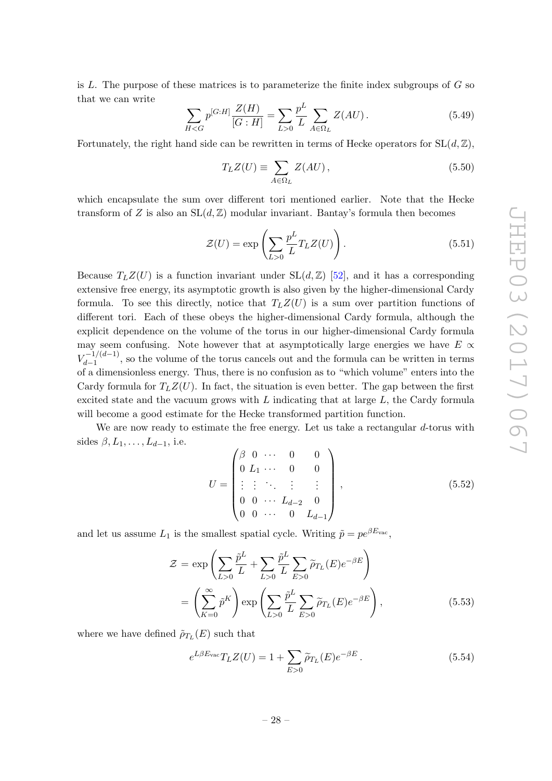is  $L$ . The purpose of these matrices is to parameterize the finite index subgroups of  $G$  so that we can write

$$
\sum_{H < G} p^{[G:H]} \frac{Z(H)}{[G:H]} = \sum_{L > 0} \frac{p^L}{L} \sum_{A \in \Omega_L} Z(AU). \tag{5.49}
$$

Fortunately, the right hand side can be rewritten in terms of Hecke operators for  $SL(d, \mathbb{Z})$ ,

$$
T_L Z(U) \equiv \sum_{A \in \Omega_L} Z(AU) \,, \tag{5.50}
$$

which encapsulate the sum over different tori mentioned earlier. Note that the Hecke transform of Z is also an  $SL(d, \mathbb{Z})$  modular invariant. Bantay's formula then becomes

$$
\mathcal{Z}(U) = \exp\left(\sum_{L>0} \frac{p^L}{L} T_L Z(U)\right). \tag{5.51}
$$

Because  $T_LZ(U)$  is a function invariant under  $SL(d,\mathbb{Z})$  [\[52\]](#page-44-4), and it has a corresponding extensive free energy, its asymptotic growth is also given by the higher-dimensional Cardy formula. To see this directly, notice that  $T_LZ(U)$  is a sum over partition functions of different tori. Each of these obeys the higher-dimensional Cardy formula, although the explicit dependence on the volume of the torus in our higher-dimensional Cardy formula may seem confusing. Note however that at asymptotically large energies we have  $E \propto$  $V_{d-1}^{-1/(d-1)}$  $\zeta_{d-1}^{-1/(a-1)}$ , so the volume of the torus cancels out and the formula can be written in terms of a dimensionless energy. Thus, there is no confusion as to "which volume" enters into the Cardy formula for  $T_LZ(U)$ . In fact, the situation is even better. The gap between the first excited state and the vacuum grows with  $L$  indicating that at large  $L$ , the Cardy formula will become a good estimate for the Hecke transformed partition function.

We are now ready to estimate the free energy. Let us take a rectangular  $d$ -torus with sides  $\beta, L_1, \ldots, L_{d-1}$ , i.e.

$$
U = \begin{pmatrix} \beta & 0 & \cdots & 0 & 0 \\ 0 & L_1 & \cdots & 0 & 0 \\ \vdots & \vdots & \ddots & \vdots & \vdots \\ 0 & 0 & \cdots & L_{d-2} & 0 \\ 0 & 0 & \cdots & 0 & L_{d-1} \end{pmatrix},
$$
(5.52)

and let us assume  $L_1$  is the smallest spatial cycle. Writing  $\tilde{p} = p e^{\beta E_{\text{vac}}},$ 

<span id="page-29-0"></span>
$$
\mathcal{Z} = \exp\left(\sum_{L>0} \frac{\tilde{p}^L}{L} + \sum_{L>0} \frac{\tilde{p}^L}{L} \sum_{E>0} \tilde{\rho}_{T_L}(E) e^{-\beta E}\right)
$$

$$
= \left(\sum_{K=0}^{\infty} \tilde{p}^K\right) \exp\left(\sum_{L>0} \frac{\tilde{p}^L}{L} \sum_{E>0} \tilde{\rho}_{T_L}(E) e^{-\beta E}\right), \tag{5.53}
$$

where we have defined  $\tilde{\rho}_{T_L}(E)$  such that

$$
e^{L\beta E_{\text{vac}}} T_L Z(U) = 1 + \sum_{E>0} \widetilde{\rho}_{T_L}(E) e^{-\beta E}.
$$
 (5.54)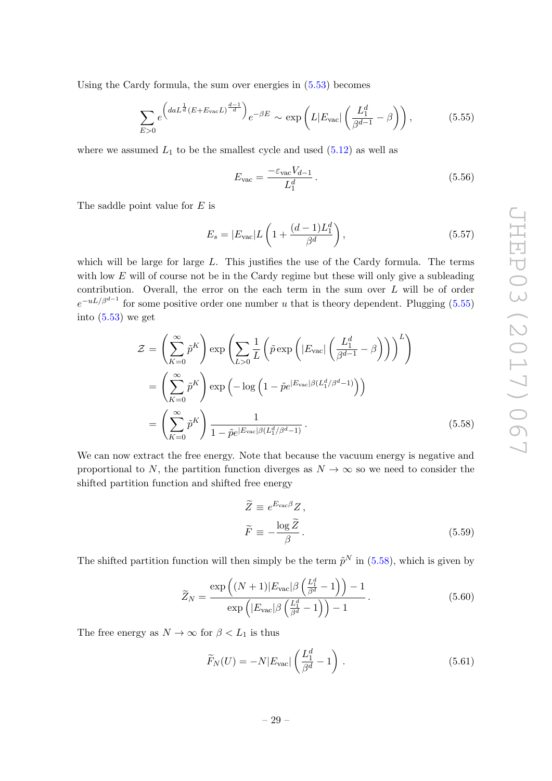Using the Cardy formula, the sum over energies in [\(5.53\)](#page-29-0) becomes

<span id="page-30-0"></span>
$$
\sum_{E>0} e^{\left( d a L^{\frac{1}{d}} (E + E_{\text{vac}} L)^{\frac{d-1}{d}} \right)} e^{-\beta E} \sim \exp \left( L |E_{\text{vac}}| \left( \frac{L_1^d}{\beta^{d-1}} - \beta \right) \right), \tag{5.55}
$$

where we assumed  $L_1$  to be the smallest cycle and used  $(5.12)$  as well as

$$
E_{\rm vac} = \frac{-\varepsilon_{\rm vac} V_{d-1}}{L_1^d} \,. \tag{5.56}
$$

The saddle point value for E is

$$
E_s = |E_{\text{vac}}| L \left( 1 + \frac{(d-1)L_1^d}{\beta^d} \right), \tag{5.57}
$$

which will be large for large  $L$ . This justifies the use of the Cardy formula. The terms with low  $E$  will of course not be in the Cardy regime but these will only give a subleading contribution. Overall, the error on the each term in the sum over  $L$  will be of order  $e^{-uL/\beta^{d-1}}$  for some positive order one number u that is theory dependent. Plugging [\(5.55\)](#page-30-0) into  $(5.53)$  we get

<span id="page-30-1"></span>
$$
\mathcal{Z} = \left(\sum_{K=0}^{\infty} \tilde{p}^{K}\right) \exp\left(\sum_{L>0} \frac{1}{L} \left(\tilde{p} \exp\left(|E_{\text{vac}}| \left(\frac{L_{1}^{d}}{\beta^{d-1}} - \beta\right)\right)\right)^{L}\right)
$$

$$
= \left(\sum_{K=0}^{\infty} \tilde{p}^{K}\right) \exp\left(-\log\left(1 - \tilde{p}e^{|E_{\text{vac}}|\beta(L_{1}^{d}/\beta^{d}-1)}\right)\right)
$$

$$
= \left(\sum_{K=0}^{\infty} \tilde{p}^{K}\right) \frac{1}{1 - \tilde{p}e^{|E_{\text{vac}}|\beta(L_{1}^{d}/\beta^{d}-1)}}.
$$
(5.58)

We can now extract the free energy. Note that because the vacuum energy is negative and proportional to N, the partition function diverges as  $N \to \infty$  so we need to consider the shifted partition function and shifted free energy

$$
\widetilde{Z} \equiv e^{E_{\text{vac}}\beta} Z ,
$$
\n
$$
\widetilde{F} \equiv -\frac{\log \widetilde{Z}}{\beta} .
$$
\n(5.59)

The shifted partition function will then simply be the term  $\tilde{p}^N$  in [\(5.58\)](#page-30-1), which is given by

$$
\widetilde{Z}_N = \frac{\exp\left((N+1)|E_{\text{vac}}|\beta\left(\frac{L_1^d}{\beta^d} - 1\right)\right) - 1}{\exp\left(|E_{\text{vac}}|\beta\left(\frac{L_1^d}{\beta^d} - 1\right)\right) - 1}.
$$
\n(5.60)

The free energy as  $N \to \infty$  for  $\beta < L_1$  is thus

$$
\widetilde{F}_N(U) = -N|E_{\text{vac}}| \left(\frac{L_1^d}{\beta^d} - 1\right). \tag{5.61}
$$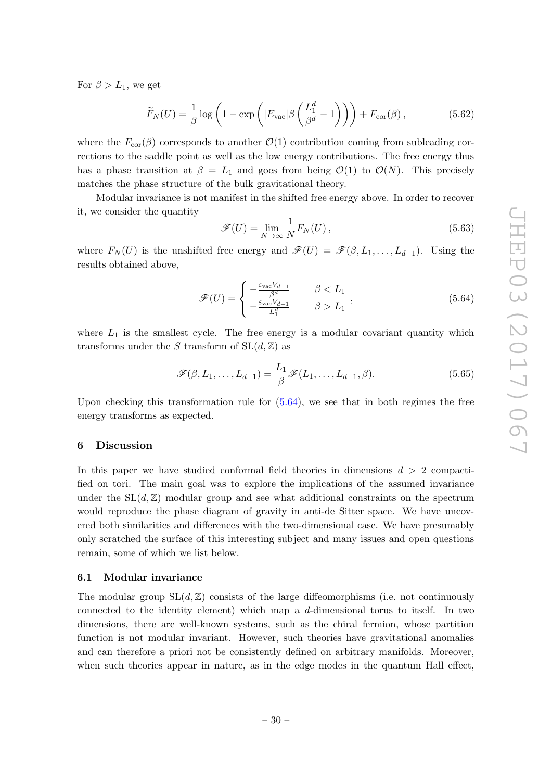For  $\beta > L_1$ , we get

$$
\widetilde{F}_N(U) = \frac{1}{\beta} \log \left( 1 - \exp \left( |E_{\text{vac}}| \beta \left( \frac{L_1^d}{\beta^d} - 1 \right) \right) \right) + F_{\text{cor}}(\beta), \tag{5.62}
$$

where the  $F_{\text{cor}}(\beta)$  corresponds to another  $\mathcal{O}(1)$  contribution coming from subleading corrections to the saddle point as well as the low energy contributions. The free energy thus has a phase transition at  $\beta = L_1$  and goes from being  $\mathcal{O}(1)$  to  $\mathcal{O}(N)$ . This precisely matches the phase structure of the bulk gravitational theory.

Modular invariance is not manifest in the shifted free energy above. In order to recover it, we consider the quantity

$$
\mathscr{F}(U) = \lim_{N \to \infty} \frac{1}{N} F_N(U), \qquad (5.63)
$$

where  $F_N(U)$  is the unshifted free energy and  $\mathscr{F}(U) = \mathscr{F}(\beta, L_1, \ldots, L_{d-1})$ . Using the results obtained above,

<span id="page-31-2"></span>
$$
\mathscr{F}(U) = \begin{cases}\n-\frac{\varepsilon_{\text{vac}}V_{d-1}}{\beta^d} & \beta < L_1 \\
-\frac{\varepsilon_{\text{vac}}V_{d-1}}{L_1^d} & \beta > L_1\n\end{cases},\n\tag{5.64}
$$

where  $L_1$  is the smallest cycle. The free energy is a modular covariant quantity which transforms under the S transform of  $SL(d, \mathbb{Z})$  as

$$
\mathscr{F}(\beta, L_1, \dots, L_{d-1}) = \frac{L_1}{\beta} \mathscr{F}(L_1, \dots, L_{d-1}, \beta).
$$
 (5.65)

Upon checking this transformation rule for  $(5.64)$ , we see that in both regimes the free energy transforms as expected.

## <span id="page-31-0"></span>6 Discussion

In this paper we have studied conformal field theories in dimensions  $d > 2$  compactified on tori. The main goal was to explore the implications of the assumed invariance under the  $SL(d, \mathbb{Z})$  modular group and see what additional constraints on the spectrum would reproduce the phase diagram of gravity in anti-de Sitter space. We have uncovered both similarities and differences with the two-dimensional case. We have presumably only scratched the surface of this interesting subject and many issues and open questions remain, some of which we list below.

#### <span id="page-31-1"></span>6.1 Modular invariance

The modular group  $SL(d, \mathbb{Z})$  consists of the large diffeomorphisms (i.e. not continuously connected to the identity element) which map a d-dimensional torus to itself. In two dimensions, there are well-known systems, such as the chiral fermion, whose partition function is not modular invariant. However, such theories have gravitational anomalies and can therefore a priori not be consistently defined on arbitrary manifolds. Moreover, when such theories appear in nature, as in the edge modes in the quantum Hall effect,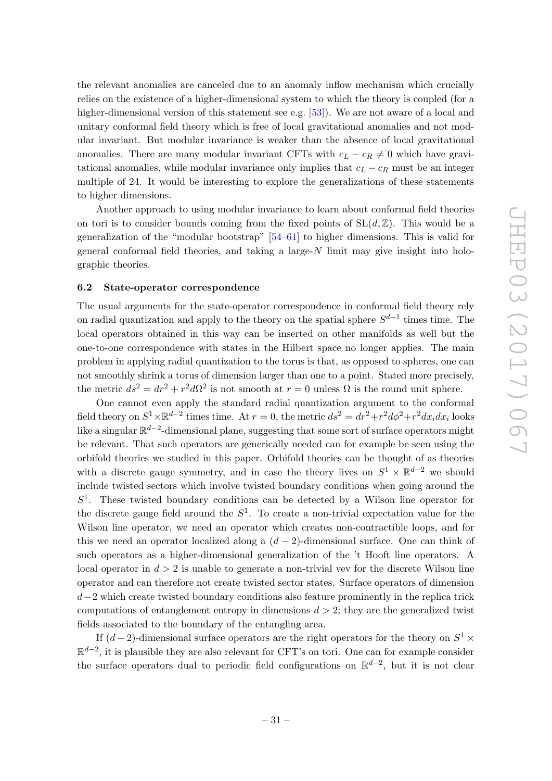the relevant anomalies are canceled due to an anomaly inflow mechanism which crucially relies on the existence of a higher-dimensional system to which the theory is coupled (for a higher-dimensional version of this statement see e.g. [\[53\]](#page-44-5)). We are not aware of a local and unitary conformal field theory which is free of local gravitational anomalies and not modular invariant. But modular invariance is weaker than the absence of local gravitational anomalies. There are many modular invariant CFTs with  $c_L - c_R \neq 0$  which have gravitational anomalies, while modular invariance only implies that  $c_L - c_R$  must be an integer multiple of 24. It would be interesting to explore the generalizations of these statements to higher dimensions.

Another approach to using modular invariance to learn about conformal field theories on tori is to consider bounds coming from the fixed points of  $SL(d, \mathbb{Z})$ . This would be a generalization of the "modular bootstrap" [\[54](#page-44-6)[–61\]](#page-44-7) to higher dimensions. This is valid for general conformal field theories, and taking a large-N limit may give insight into holographic theories.

#### <span id="page-32-0"></span>6.2 State-operator correspondence

The usual arguments for the state-operator correspondence in conformal field theory rely on radial quantization and apply to the theory on the spatial sphere  $S^{d-1}$  times time. The local operators obtained in this way can be inserted on other manifolds as well but the one-to-one correspondence with states in the Hilbert space no longer applies. The main problem in applying radial quantization to the torus is that, as opposed to spheres, one can not smoothly shrink a torus of dimension larger than one to a point. Stated more precisely, the metric  $ds^2 = dr^2 + r^2 d\Omega^2$  is not smooth at  $r = 0$  unless  $\Omega$  is the round unit sphere.

One cannot even apply the standard radial quantization argument to the conformal field theory on  $S^1 \times \mathbb{R}^{d-2}$  times time. At  $r = 0$ , the metric  $ds^2 = dr^2 + r^2 d\phi^2 + r^2 dx_i dx_i$  looks like a singular  $\mathbb{R}^{d-2}$ -dimensional plane, suggesting that some sort of surface operators might be relevant. That such operators are generically needed can for example be seen using the orbifold theories we studied in this paper. Orbifold theories can be thought of as theories with a discrete gauge symmetry, and in case the theory lives on  $S^1 \times \mathbb{R}^{d-2}$  we should include twisted sectors which involve twisted boundary conditions when going around the  $S<sup>1</sup>$ . These twisted boundary conditions can be detected by a Wilson line operator for the discrete gauge field around the  $S^1$ . To create a non-trivial expectation value for the Wilson line operator, we need an operator which creates non-contractible loops, and for this we need an operator localized along a  $(d-2)$ -dimensional surface. One can think of such operators as a higher-dimensional generalization of the 't Hooft line operators. A local operator in  $d > 2$  is unable to generate a non-trivial vev for the discrete Wilson line operator and can therefore not create twisted sector states. Surface operators of dimension  $d-2$  which create twisted boundary conditions also feature prominently in the replica trick computations of entanglement entropy in dimensions  $d > 2$ ; they are the generalized twist fields associated to the boundary of the entangling area.

If  $(d-2)$ -dimensional surface operators are the right operators for the theory on  $S^1$  ×  $\mathbb{R}^{d-2}$ , it is plausible they are also relevant for CFT's on tori. One can for example consider the surface operators dual to periodic field configurations on  $\mathbb{R}^{d-2}$ , but it is not clear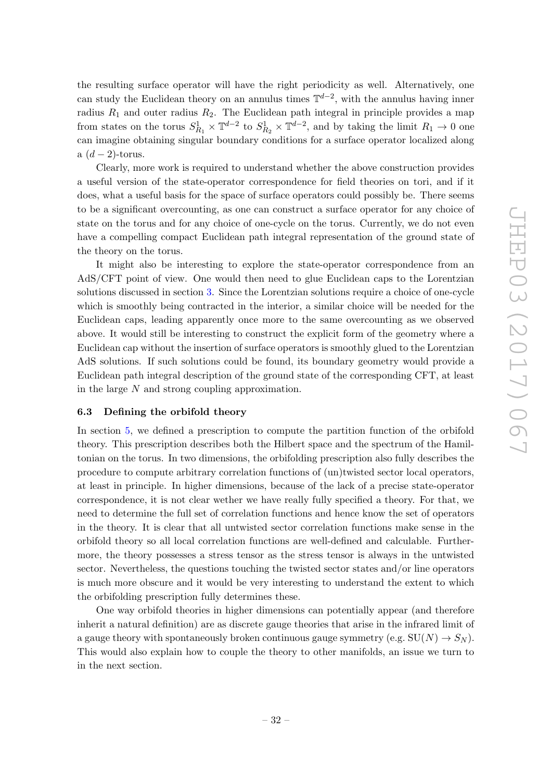the resulting surface operator will have the right periodicity as well. Alternatively, one can study the Euclidean theory on an annulus times  $\mathbb{T}^{d-2}$ , with the annulus having inner radius  $R_1$  and outer radius  $R_2$ . The Euclidean path integral in principle provides a map from states on the torus  $S_{R_1}^1 \times \mathbb{T}^{d-2}$  to  $S_{R_2}^1 \times \mathbb{T}^{d-2}$ , and by taking the limit  $R_1 \to 0$  one can imagine obtaining singular boundary conditions for a surface operator localized along a  $(d-2)$ -torus.

Clearly, more work is required to understand whether the above construction provides a useful version of the state-operator correspondence for field theories on tori, and if it does, what a useful basis for the space of surface operators could possibly be. There seems to be a significant overcounting, as one can construct a surface operator for any choice of state on the torus and for any choice of one-cycle on the torus. Currently, we do not even have a compelling compact Euclidean path integral representation of the ground state of the theory on the torus.

It might also be interesting to explore the state-operator correspondence from an AdS/CFT point of view. One would then need to glue Euclidean caps to the Lorentzian solutions discussed in section [3.](#page-10-0) Since the Lorentzian solutions require a choice of one-cycle which is smoothly being contracted in the interior, a similar choice will be needed for the Euclidean caps, leading apparently once more to the same overcounting as we observed above. It would still be interesting to construct the explicit form of the geometry where a Euclidean cap without the insertion of surface operators is smoothly glued to the Lorentzian AdS solutions. If such solutions could be found, its boundary geometry would provide a Euclidean path integral description of the ground state of the corresponding CFT, at least in the large N and strong coupling approximation.

## <span id="page-33-0"></span>6.3 Defining the orbifold theory

In section [5,](#page-18-0) we defined a prescription to compute the partition function of the orbifold theory. This prescription describes both the Hilbert space and the spectrum of the Hamiltonian on the torus. In two dimensions, the orbifolding prescription also fully describes the procedure to compute arbitrary correlation functions of (un)twisted sector local operators, at least in principle. In higher dimensions, because of the lack of a precise state-operator correspondence, it is not clear wether we have really fully specified a theory. For that, we need to determine the full set of correlation functions and hence know the set of operators in the theory. It is clear that all untwisted sector correlation functions make sense in the orbifold theory so all local correlation functions are well-defined and calculable. Furthermore, the theory possesses a stress tensor as the stress tensor is always in the untwisted sector. Nevertheless, the questions touching the twisted sector states and/or line operators is much more obscure and it would be very interesting to understand the extent to which the orbifolding prescription fully determines these.

One way orbifold theories in higher dimensions can potentially appear (and therefore inherit a natural definition) are as discrete gauge theories that arise in the infrared limit of a gauge theory with spontaneously broken continuous gauge symmetry (e.g.  $SU(N) \rightarrow S_N$ ). This would also explain how to couple the theory to other manifolds, an issue we turn to in the next section.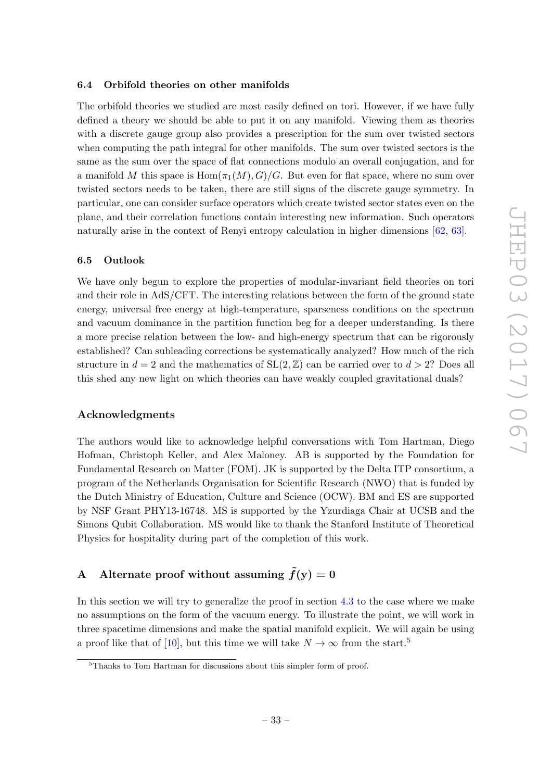#### <span id="page-34-0"></span>6.4 Orbifold theories on other manifolds

The orbifold theories we studied are most easily defined on tori. However, if we have fully defined a theory we should be able to put it on any manifold. Viewing them as theories with a discrete gauge group also provides a prescription for the sum over twisted sectors when computing the path integral for other manifolds. The sum over twisted sectors is the same as the sum over the space of flat connections modulo an overall conjugation, and for a manifold M this space is  $Hom(\pi_1(M), G)/G$ . But even for flat space, where no sum over twisted sectors needs to be taken, there are still signs of the discrete gauge symmetry. In particular, one can consider surface operators which create twisted sector states even on the plane, and their correlation functions contain interesting new information. Such operators naturally arise in the context of Renyi entropy calculation in higher dimensions [\[62,](#page-44-8) [63\]](#page-44-9).

## <span id="page-34-1"></span>6.5 Outlook

We have only begun to explore the properties of modular-invariant field theories on tori and their role in AdS/CFT. The interesting relations between the form of the ground state energy, universal free energy at high-temperature, sparseness conditions on the spectrum and vacuum dominance in the partition function beg for a deeper understanding. Is there a more precise relation between the low- and high-energy spectrum that can be rigorously established? Can subleading corrections be systematically analyzed? How much of the rich structure in  $d = 2$  and the mathematics of  $SL(2, \mathbb{Z})$  can be carried over to  $d > 2$ ? Does all this shed any new light on which theories can have weakly coupled gravitational duals?

## Acknowledgments

The authors would like to acknowledge helpful conversations with Tom Hartman, Diego Hofman, Christoph Keller, and Alex Maloney. AB is supported by the Foundation for Fundamental Research on Matter (FOM). JK is supported by the Delta ITP consortium, a program of the Netherlands Organisation for Scientific Research (NWO) that is funded by the Dutch Ministry of Education, Culture and Science (OCW). BM and ES are supported by NSF Grant PHY13-16748. MS is supported by the Yzurdiaga Chair at UCSB and the Simons Qubit Collaboration. MS would like to thank the Stanford Institute of Theoretical Physics for hospitality during part of the completion of this work.

# <span id="page-34-2"></span>A Alternate proof without assuming  $\tilde{f}(y) = 0$

In this section we will try to generalize the proof in section [4.3](#page-14-0) to the case where we make no assumptions on the form of the vacuum energy. To illustrate the point, we will work in three spacetime dimensions and make the spatial manifold explicit. We will again be using a proof like that of [\[10\]](#page-42-3), but this time we will take  $N \to \infty$  from the start.<sup>[5](#page-34-3)</sup>

<span id="page-34-3"></span><sup>5</sup>Thanks to Tom Hartman for discussions about this simpler form of proof.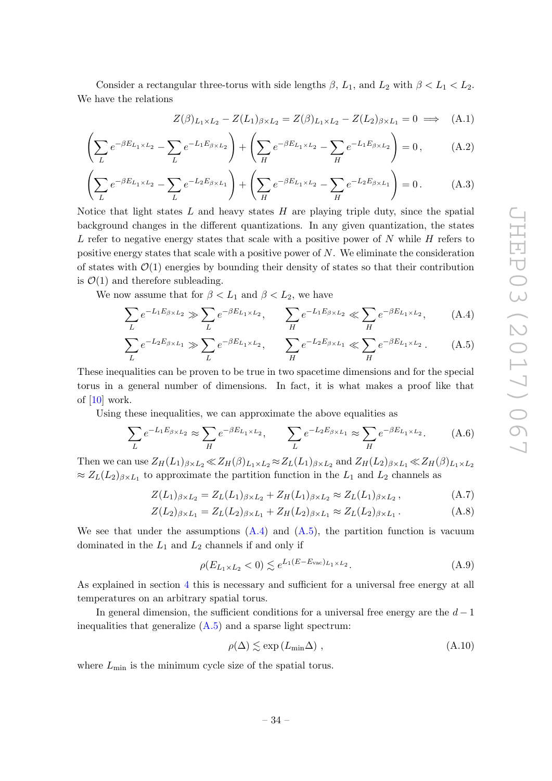Consider a rectangular three-torus with side lengths  $\beta$ ,  $L_1$ , and  $L_2$  with  $\beta < L_1 < L_2$ . We have the relations

$$
Z(\beta)_{L_1\times L_2} - Z(L_1)_{\beta\times L_2} = Z(\beta)_{L_1\times L_2} - Z(L_2)_{\beta\times L_1} = 0 \implies (A.1)
$$

$$
\left(\sum_{L} e^{-\beta E_{L_1 \times L_2}} - \sum_{L} e^{-L_1 E_{\beta \times L_2}}\right) + \left(\sum_{H} e^{-\beta E_{L_1 \times L_2}} - \sum_{H} e^{-L_1 E_{\beta \times L_2}}\right) = 0, \quad (A.2)
$$

$$
\left(\sum_{L} e^{-\beta E_{L_1 \times L_2}} - \sum_{L} e^{-L_2 E_{\beta \times L_1}}\right) + \left(\sum_{H} e^{-\beta E_{L_1 \times L_2}} - \sum_{H} e^{-L_2 E_{\beta \times L_1}}\right) = 0.
$$
 (A.3)

Notice that light states  $L$  and heavy states  $H$  are playing triple duty, since the spatial background changes in the different quantizations. In any given quantization, the states L refer to negative energy states that scale with a positive power of N while H refers to positive energy states that scale with a positive power of N. We eliminate the consideration of states with  $\mathcal{O}(1)$  energies by bounding their density of states so that their contribution is  $\mathcal{O}(1)$  and therefore subleading.

We now assume that for  $\beta < L_1$  and  $\beta < L_2$ , we have

$$
\sum_{L} e^{-L_1 E_{\beta \times L_2}} \gg \sum_{L} e^{-\beta E_{L_1 \times L_2}}, \qquad \sum_{H} e^{-L_1 E_{\beta \times L_2}} \ll \sum_{H} e^{-\beta E_{L_1 \times L_2}}, \tag{A.4}
$$

<span id="page-35-1"></span><span id="page-35-0"></span>
$$
\sum_{L} e^{-L_2 E_{\beta \times L_1}} \gg \sum_{L} e^{-\beta E_{L_1 \times L_2}}, \qquad \sum_{H} e^{-L_2 E_{\beta \times L_1}} \ll \sum_{H} e^{-\beta E_{L_1 \times L_2}}.
$$
 (A.5)

These inequalities can be proven to be true in two spacetime dimensions and for the special torus in a general number of dimensions. In fact, it is what makes a proof like that of  $[10]$  work.

Using these inequalities, we can approximate the above equalities as

$$
\sum_{L} e^{-L_1 E_{\beta \times L_2}} \approx \sum_{H} e^{-\beta E_{L_1 \times L_2}}, \qquad \sum_{L} e^{-L_2 E_{\beta \times L_1}} \approx \sum_{H} e^{-\beta E_{L_1 \times L_2}}.
$$
 (A.6)

Then we can use  $Z_H(L_1)_{\beta \times L_2} \ll Z_H(\beta)_{L_1 \times L_2} \approx Z_L(L_1)_{\beta \times L_2}$  and  $Z_H(L_2)_{\beta \times L_1} \ll Z_H(\beta)_{L_1 \times L_2}$  $\approx Z_L(L_2)_{\beta \times L_1}$  to approximate the partition function in the  $L_1$  and  $L_2$  channels as

$$
Z(L_1)_{\beta \times L_2} = Z_L(L_1)_{\beta \times L_2} + Z_H(L_1)_{\beta \times L_2} \approx Z_L(L_1)_{\beta \times L_2}, \tag{A.7}
$$

$$
Z(L_2)_{\beta \times L_1} = Z_L(L_2)_{\beta \times L_1} + Z_H(L_2)_{\beta \times L_1} \approx Z_L(L_2)_{\beta \times L_1}.
$$
 (A.8)

We see that under the assumptions  $(A.4)$  and  $(A.5)$ , the partition function is vacuum dominated in the  $L_1$  and  $L_2$  channels if and only if

$$
\rho(E_{L_1 \times L_2} < 0) \lesssim e^{L_1 (E - E_{\text{vac}})_{L_1 \times L_2}}.\tag{A.9}
$$

As explained in section [4](#page-11-2) this is necessary and sufficient for a universal free energy at all temperatures on an arbitrary spatial torus.

In general dimension, the sufficient conditions for a universal free energy are the  $d-1$ inequalities that generalize  $(A.5)$  and a sparse light spectrum:

$$
\rho(\Delta) \lesssim \exp\left(L_{\min}\Delta\right) \,,\tag{A.10}
$$

where  $L_{\text{min}}$  is the minimum cycle size of the spatial torus.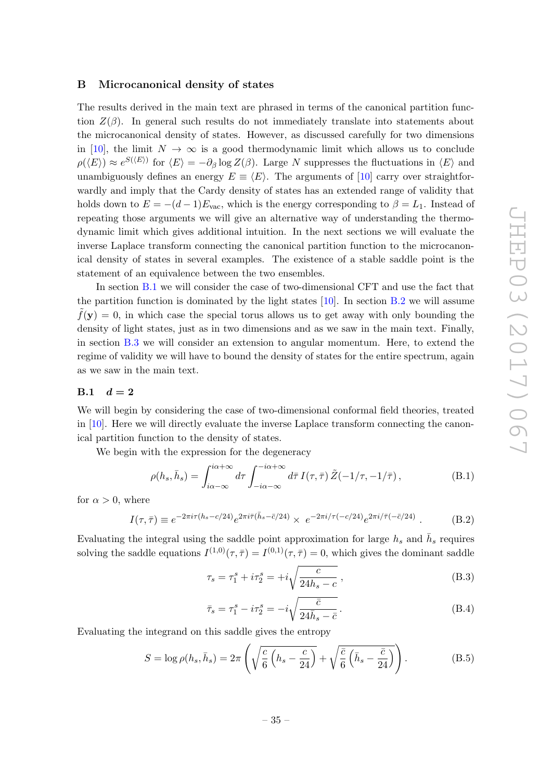#### <span id="page-36-0"></span>B Microcanonical density of states

The results derived in the main text are phrased in terms of the canonical partition function  $Z(\beta)$ . In general such results do not immediately translate into statements about the microcanonical density of states. However, as discussed carefully for two dimensions in [\[10\]](#page-42-3), the limit  $N \to \infty$  is a good thermodynamic limit which allows us to conclude  $\rho(\langle E \rangle) \approx e^{S(\langle E \rangle)}$  for  $\langle E \rangle = -\partial_{\beta} \log Z(\beta)$ . Large N suppresses the fluctuations in  $\langle E \rangle$  and unambiguously defines an energy  $E \equiv \langle E \rangle$ . The arguments of [\[10\]](#page-42-3) carry over straightforwardly and imply that the Cardy density of states has an extended range of validity that holds down to  $E = -(d-1)E_{\text{vac}}$ , which is the energy corresponding to  $\beta = L_1$ . Instead of repeating those arguments we will give an alternative way of understanding the thermodynamic limit which gives additional intuition. In the next sections we will evaluate the inverse Laplace transform connecting the canonical partition function to the microcanonical density of states in several examples. The existence of a stable saddle point is the statement of an equivalence between the two ensembles.

In section [B.1](#page-36-1) we will consider the case of two-dimensional CFT and use the fact that the partition function is dominated by the light states [\[10\]](#page-42-3). In section [B.2](#page-37-0) we will assume  $f(\mathbf{y}) = 0$ , in which case the special torus allows us to get away with only bounding the density of light states, just as in two dimensions and as we saw in the main text. Finally, in section [B.3](#page-38-0) we will consider an extension to angular momentum. Here, to extend the regime of validity we will have to bound the density of states for the entire spectrum, again as we saw in the main text.

## <span id="page-36-1"></span>B.1  $d = 2$

We will begin by considering the case of two-dimensional conformal field theories, treated in [\[10\]](#page-42-3). Here we will directly evaluate the inverse Laplace transform connecting the canonical partition function to the density of states.

We begin with the expression for the degeneracy

$$
\rho(h_s, \bar{h}_s) = \int_{i\alpha - \infty}^{i\alpha + \infty} d\tau \int_{-i\alpha - \infty}^{-i\alpha + \infty} d\bar{\tau} I(\tau, \bar{\tau}) \, \tilde{Z}(-1/\tau, -1/\bar{\tau}), \tag{B.1}
$$

for  $\alpha > 0$ , where

$$
I(\tau,\bar{\tau}) \equiv e^{-2\pi i \tau (h_s - c/24)} e^{2\pi i \bar{\tau} (\bar{h}_s - \bar{c}/24)} \times e^{-2\pi i / \tau (-c/24)} e^{2\pi i / \bar{\tau} (-\bar{c}/24)} . \tag{B.2}
$$

Evaluating the integral using the saddle point approximation for large  $h_s$  and  $\bar{h}_s$  requires solving the saddle equations  $I^{(1,0)}(\tau,\bar{\tau})=I^{(0,1)}(\tau,\bar{\tau})=0$ , which gives the dominant saddle

$$
\tau_s = \tau_1^s + i\tau_2^s = +i\sqrt{\frac{c}{24h_s - c}}\,,\tag{B.3}
$$

$$
\bar{\tau}_s = \tau_1^s - i\tau_2^s = -i\sqrt{\frac{\bar{c}}{24\bar{h}_s - \bar{c}}}.
$$
\n(B.4)

Evaluating the integrand on this saddle gives the entropy

$$
S = \log \rho(h_s, \bar{h}_s) = 2\pi \left( \sqrt{\frac{c}{6} \left( h_s - \frac{c}{24} \right)} + \sqrt{\frac{\bar{c}}{6} \left( \bar{h}_s - \frac{\bar{c}}{24} \right)} \right). \tag{B.5}
$$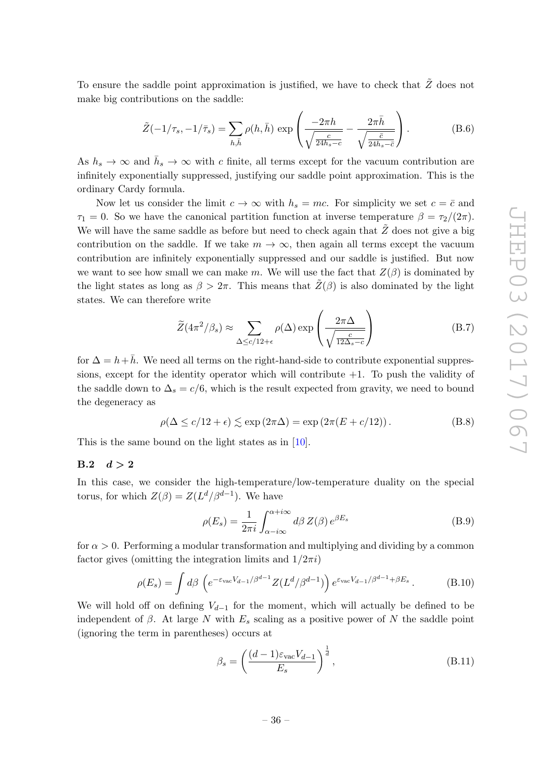To ensure the saddle point approximation is justified, we have to check that  $\tilde{Z}$  does not make big contributions on the saddle:

$$
\tilde{Z}(-1/\tau_s, -1/\bar{\tau}_s) = \sum_{h,\bar{h}} \rho(h,\bar{h}) \exp\left(\frac{-2\pi h}{\sqrt{\frac{c}{24h_s-c}}} - \frac{2\pi \bar{h}}{\sqrt{\frac{\bar{c}}{24\bar{h}_s-\bar{c}}}}\right).
$$
(B.6)

As  $h_s \to \infty$  and  $\bar{h}_s \to \infty$  with c finite, all terms except for the vacuum contribution are infinitely exponentially suppressed, justifying our saddle point approximation. This is the ordinary Cardy formula.

Now let us consider the limit  $c \to \infty$  with  $h_s = mc$ . For simplicity we set  $c = \bar{c}$  and  $\tau_1 = 0$ . So we have the canonical partition function at inverse temperature  $\beta = \tau_2/(2\pi)$ . We will have the same saddle as before but need to check again that  $\tilde{Z}$  does not give a big contribution on the saddle. If we take  $m \to \infty$ , then again all terms except the vacuum contribution are infinitely exponentially suppressed and our saddle is justified. But now we want to see how small we can make m. We will use the fact that  $Z(\beta)$  is dominated by the light states as long as  $\beta > 2\pi$ . This means that  $\tilde{Z}(\beta)$  is also dominated by the light states. We can therefore write

$$
\widetilde{Z}(4\pi^2/\beta_s) \approx \sum_{\Delta \le c/12 + \epsilon} \rho(\Delta) \exp\left(\frac{2\pi\Delta}{\sqrt{\frac{c}{12\Delta_s - c}}}\right)
$$
(B.7)

for  $\Delta = h + \bar{h}$ . We need all terms on the right-hand-side to contribute exponential suppressions, except for the identity operator which will contribute  $+1$ . To push the validity of the saddle down to  $\Delta_s = c/6$ , which is the result expected from gravity, we need to bound the degeneracy as

$$
\rho(\Delta \le c/12 + \epsilon) \lesssim \exp(2\pi\Delta) = \exp(2\pi(E + c/12)).
$$
\n(B.8)

This is the same bound on the light states as in [\[10\]](#page-42-3).

## <span id="page-37-0"></span>B.2  $d > 2$

In this case, we consider the high-temperature/low-temperature duality on the special torus, for which  $Z(\beta) = Z(L^d/\beta^{d-1})$ . We have

$$
\rho(E_s) = \frac{1}{2\pi i} \int_{\alpha - i\infty}^{\alpha + i\infty} d\beta \, Z(\beta) \, e^{\beta E_s} \tag{B.9}
$$

for  $\alpha > 0$ . Performing a modular transformation and multiplying and dividing by a common factor gives (omitting the integration limits and  $1/2\pi i$ )

$$
\rho(E_s) = \int d\beta \left( e^{-\varepsilon_{\text{vac}} V_{d-1}/\beta^{d-1}} Z(L^d/\beta^{d-1}) \right) e^{\varepsilon_{\text{vac}} V_{d-1}/\beta^{d-1} + \beta E_s}.
$$
 (B.10)

We will hold off on defining  $V_{d-1}$  for the moment, which will actually be defined to be independent of  $\beta$ . At large N with  $E_s$  scaling as a positive power of N the saddle point (ignoring the term in parentheses) occurs at

$$
\beta_s = \left(\frac{(d-1)\varepsilon_{\text{vac}}V_{d-1}}{E_s}\right)^{\frac{1}{d}},\tag{B.11}
$$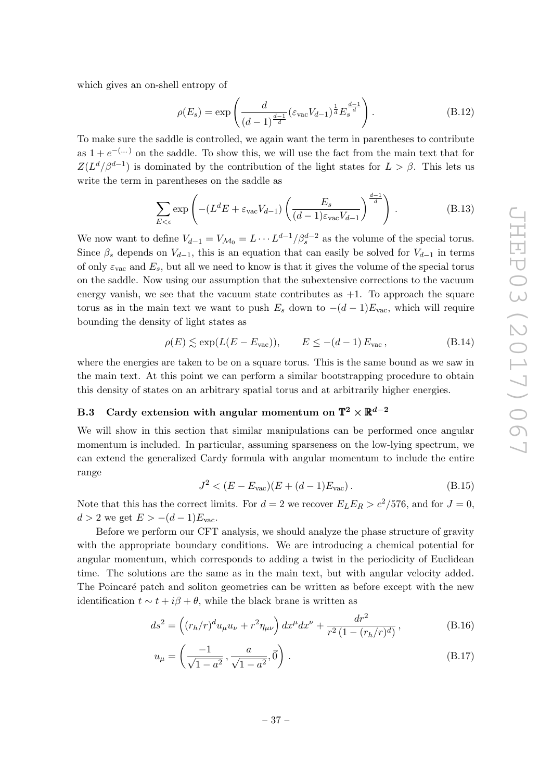which gives an on-shell entropy of

$$
\rho(E_s) = \exp\left(\frac{d}{(d-1)^{\frac{d-1}{d}}}(\varepsilon_{\text{vac}}V_{d-1})^{\frac{1}{d}}E_s^{\frac{d-1}{d}}\right).
$$
\n(B.12)

To make sure the saddle is controlled, we again want the term in parentheses to contribute as  $1 + e^{-(\ldots)}$  on the saddle. To show this, we will use the fact from the main text that for  $Z(L^d/\beta^{d-1})$  is dominated by the contribution of the light states for  $L > \beta$ . This lets us write the term in parentheses on the saddle as

$$
\sum_{E < \epsilon} \exp\left(-\left(L^d E + \varepsilon_{\text{vac}} V_{d-1}\right) \left(\frac{E_s}{(d-1)\varepsilon_{\text{vac}} V_{d-1}}\right)^{\frac{d-1}{d}}\right). \tag{B.13}
$$

We now want to define  $V_{d-1} = V_{\mathcal{M}_0} = L \cdots L^{d-1} / \beta_s^{d-2}$  as the volume of the special torus. Since  $\beta_s$  depends on  $V_{d-1}$ , this is an equation that can easily be solved for  $V_{d-1}$  in terms of only  $\varepsilon_{\text{vac}}$  and  $E_s$ , but all we need to know is that it gives the volume of the special torus on the saddle. Now using our assumption that the subextensive corrections to the vacuum energy vanish, we see that the vacuum state contributes as  $+1$ . To approach the square torus as in the main text we want to push  $E_s$  down to  $-(d-1)E_{\text{vac}}$ , which will require bounding the density of light states as

$$
\rho(E) \lesssim \exp(L(E - E_{\text{vac}})), \qquad E \leq -(d - 1) E_{\text{vac}}, \tag{B.14}
$$

where the energies are taken to be on a square torus. This is the same bound as we saw in the main text. At this point we can perform a similar bootstrapping procedure to obtain this density of states on an arbitrary spatial torus and at arbitrarily higher energies.

# <span id="page-38-0"></span>B.3  $\,$  Cardy extension with angular momentum on  $\mathbb{T}^2\times\mathbb{R}^{d-2}$

We will show in this section that similar manipulations can be performed once angular momentum is included. In particular, assuming sparseness on the low-lying spectrum, we can extend the generalized Cardy formula with angular momentum to include the entire range

$$
J^2 < (E - E_{\text{vac}})(E + (d - 1)E_{\text{vac}}). \tag{B.15}
$$

Note that this has the correct limits. For  $d = 2$  we recover  $E_L E_R > c^2/576$ , and for  $J = 0$ ,  $d > 2$  we get  $E > -(d-1)E_{\text{vac}}$ .

Before we perform our CFT analysis, we should analyze the phase structure of gravity with the appropriate boundary conditions. We are introducing a chemical potential for angular momentum, which corresponds to adding a twist in the periodicity of Euclidean time. The solutions are the same as in the main text, but with angular velocity added. The Poincaré patch and soliton geometries can be written as before except with the new identification  $t \sim t + i\beta + \theta$ , while the black brane is written as

$$
ds^{2} = \left( (r_{h}/r)^{d} u_{\mu} u_{\nu} + r^{2} \eta_{\mu\nu} \right) dx^{\mu} dx^{\nu} + \frac{dr^{2}}{r^{2} \left( 1 - (r_{h}/r)^{d} \right)},
$$
(B.16)

$$
u_{\mu} = \left(\frac{-1}{\sqrt{1-a^2}}, \frac{a}{\sqrt{1-a^2}}, \vec{0}\right). \tag{B.17}
$$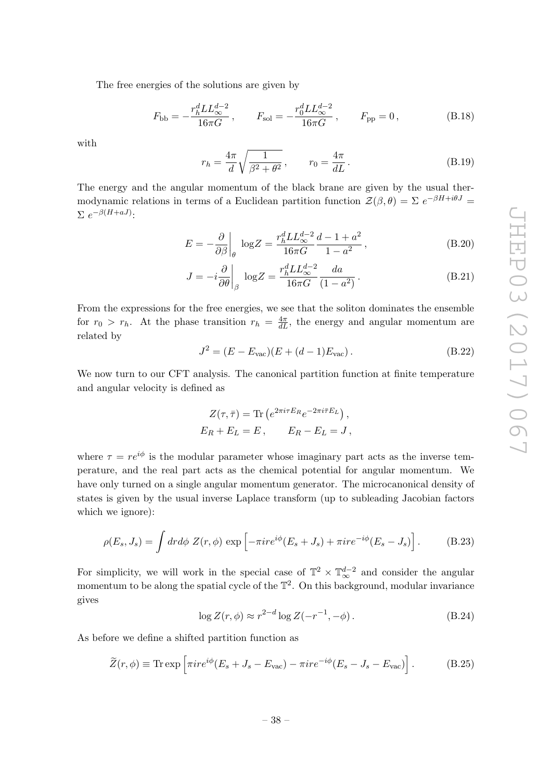The free energies of the solutions are given by

$$
F_{\rm bb} = -\frac{r_h^d L L_{\infty}^{d-2}}{16\pi G}, \qquad F_{\rm sol} = -\frac{r_0^d L L_{\infty}^{d-2}}{16\pi G}, \qquad F_{\rm pp} = 0,
$$
 (B.18)

with

$$
r_h = \frac{4\pi}{d} \sqrt{\frac{1}{\beta^2 + \theta^2}}, \qquad r_0 = \frac{4\pi}{dL}.
$$
 (B.19)

The energy and the angular momentum of the black brane are given by the usual thermodynamic relations in terms of a Euclidean partition function  $\mathcal{Z}(\beta,\theta) = \Sigma e^{-\beta H + i\theta J} =$  $\sum e^{-\beta(H+aJ)}$ :

$$
E = -\frac{\partial}{\partial \beta}\Big|_{\theta} \log Z = \frac{r_h^d L L_{\infty}^{d-2}}{16\pi G} \frac{d-1+a^2}{1-a^2}, \tag{B.20}
$$

$$
J = -i\frac{\partial}{\partial \theta}\Big|_{\beta} \log Z = \frac{r_h^d L L_{\infty}^{d-2}}{16\pi G} \frac{da}{(1 - a^2)}.
$$
 (B.21)

From the expressions for the free energies, we see that the soliton dominates the ensemble for  $r_0 > r_h$ . At the phase transition  $r_h = \frac{4\pi}{dL}$ , the energy and angular momentum are related by

<span id="page-39-0"></span>
$$
J^{2} = (E - E_{\text{vac}})(E + (d - 1)E_{\text{vac}}).
$$
 (B.22)

We now turn to our CFT analysis. The canonical partition function at finite temperature and angular velocity is defined as

$$
Z(\tau, \bar{\tau}) = \text{Tr} \left( e^{2\pi i \tau E_R} e^{-2\pi i \bar{\tau} E_L} \right),
$$
  

$$
E_R + E_L = E, \qquad E_R - E_L = J,
$$

where  $\tau = re^{i\phi}$  is the modular parameter whose imaginary part acts as the inverse temperature, and the real part acts as the chemical potential for angular momentum. We have only turned on a single angular momentum generator. The microcanonical density of states is given by the usual inverse Laplace transform (up to subleading Jacobian factors which we ignore):

$$
\rho(E_s, J_s) = \int dr d\phi \ Z(r, \phi) \exp\left[-\pi i r e^{i\phi} (E_s + J_s) + \pi i r e^{-i\phi} (E_s - J_s)\right].
$$
 (B.23)

For simplicity, we will work in the special case of  $\mathbb{T}^2 \times \mathbb{T}_{\infty}^{d-2}$  and consider the angular momentum to be along the spatial cycle of the  $\mathbb{T}^2$ . On this background, modular invariance gives

$$
\log Z(r,\phi) \approx r^{2-d} \log Z(-r^{-1}, -\phi). \tag{B.24}
$$

As before we define a shifted partition function as

$$
\widetilde{Z}(r,\phi) \equiv \text{Tr} \exp\left[\pi i r e^{i\phi} (E_s + J_s - E_{\text{vac}}) - \pi i r e^{-i\phi} (E_s - J_s - E_{\text{vac}})\right].\tag{B.25}
$$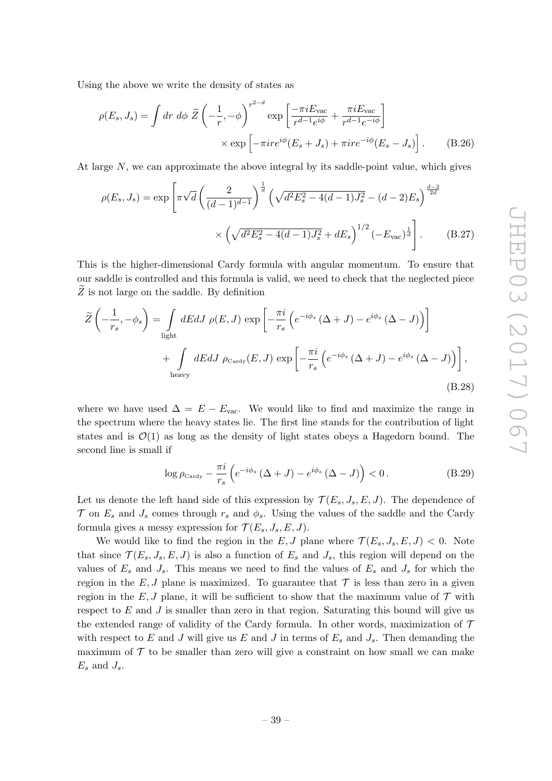Using the above we write the density of states as

$$
\rho(E_s, J_s) = \int dr \ d\phi \ \widetilde{Z} \left( -\frac{1}{r}, -\phi \right)^{r^{2-d}} \exp \left[ \frac{-\pi i E_{\text{vac}}}{r^{d-1} e^{i\phi}} + \frac{\pi i E_{\text{vac}}}{r^{d-1} e^{-i\phi}} \right] \times \exp \left[ -\pi i r e^{i\phi} (E_s + J_s) + \pi i r e^{-i\phi} (E_s - J_s) \right]. \tag{B.26}
$$

At large N, we can approximate the above integral by its saddle-point value, which gives

$$
\rho(E_s, J_s) = \exp\left[\pi\sqrt{d}\left(\frac{2}{(d-1)^{d-1}}\right)^{\frac{1}{d}} \left(\sqrt{d^2 E_s^2 - 4(d-1)J_s^2} - (d-2)E_s\right)^{\frac{d-2}{2d}}\right]
$$

$$
\times \left(\sqrt{d^2 E_s^2 - 4(d-1)J_s^2} + dE_s\right)^{1/2} \left(-E_{\text{vac}}\right)^{\frac{1}{d}}\right].
$$
(B.27)

This is the higher-dimensional Cardy formula with angular momentum. To ensure that our saddle is controlled and this formula is valid, we need to check that the neglected piece  $\widetilde{Z}$  is not large on the saddle. By definition

$$
\widetilde{Z}\left(-\frac{1}{r_s}, -\phi_s\right) = \int_{\text{light}} dEdJ \rho(E, J) \exp\left[-\frac{\pi i}{r_s} \left(e^{-i\phi_s} \left(\Delta + J\right) - e^{i\phi_s} \left(\Delta - J\right)\right)\right]
$$
  
+ 
$$
\int_{\text{heavy}} dEdJ \rho_{\text{Cardy}}(E, J) \exp\left[-\frac{\pi i}{r_s} \left(e^{-i\phi_s} \left(\Delta + J\right) - e^{i\phi_s} \left(\Delta - J\right)\right)\right],
$$
\n(B.28)

where we have used  $\Delta = E - E_{\text{vac}}$ . We would like to find and maximize the range in the spectrum where the heavy states lie. The first line stands for the contribution of light states and is  $\mathcal{O}(1)$  as long as the density of light states obeys a Hagedorn bound. The second line is small if

$$
\log \rho_{\text{Cardy}} - \frac{\pi i}{r_s} \left( e^{-i\phi_s} \left( \Delta + J \right) - e^{i\phi_s} \left( \Delta - J \right) \right) < 0. \tag{B.29}
$$

Let us denote the left hand side of this expression by  $\mathcal{T}(E_s, J_s, E, J)$ . The dependence of  $\mathcal T$  on  $E_s$  and  $J_s$  comes through  $r_s$  and  $\phi_s$ . Using the values of the saddle and the Cardy formula gives a messy expression for  $\mathcal{T}(E_s, J_s, E, J)$ .

We would like to find the region in the E, J plane where  $\mathcal{T}(E_s, J_s, E, J) < 0$ . Note that since  $\mathcal{T}(E_s, J_s, E, J)$  is also a function of  $E_s$  and  $J_s$ , this region will depend on the values of  $E_s$  and  $J_s$ . This means we need to find the values of  $E_s$  and  $J_s$  for which the region in the  $E, J$  plane is maximized. To guarantee that  $\mathcal T$  is less than zero in a given region in the E, J plane, it will be sufficient to show that the maximum value of  $\mathcal T$  with respect to  $E$  and  $J$  is smaller than zero in that region. Saturating this bound will give us the extended range of validity of the Cardy formula. In other words, maximization of  $\mathcal T$ with respect to E and J will give us E and J in terms of  $E_s$  and  $J_s$ . Then demanding the maximum of  $\mathcal T$  to be smaller than zero will give a constraint on how small we can make  $E_s$  and  $J_s$ .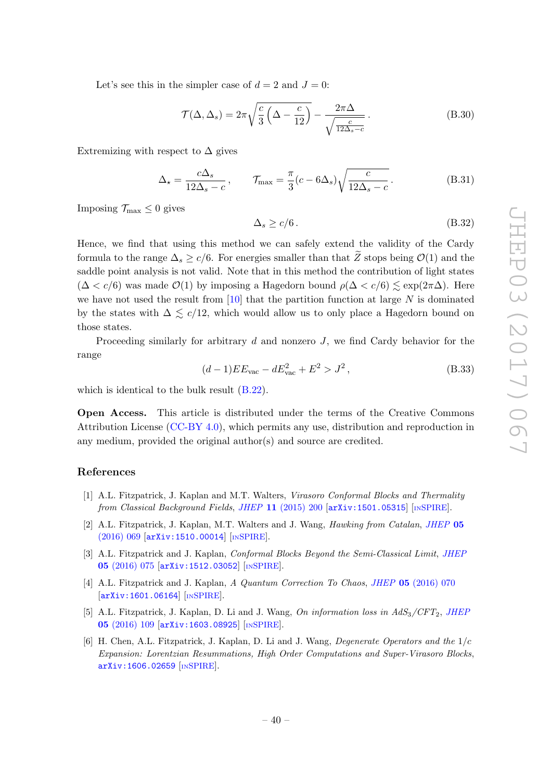Let's see this in the simpler case of  $d = 2$  and  $J = 0$ :

$$
\mathcal{T}(\Delta, \Delta_s) = 2\pi \sqrt{\frac{c}{3} \left(\Delta - \frac{c}{12}\right)} - \frac{2\pi \Delta}{\sqrt{\frac{c}{12\Delta_s - c}}}.
$$
\n(B.30)

Extremizing with respect to  $\Delta$  gives

$$
\Delta_{\star} = \frac{c\Delta_s}{12\Delta_s - c}, \qquad \mathcal{T}_{\text{max}} = \frac{\pi}{3}(c - 6\Delta_s)\sqrt{\frac{c}{12\Delta_s - c}}.
$$
\n(B.31)

Imposing  $\mathcal{T}_{\text{max}} \leq 0$  gives

$$
\Delta_s \ge c/6. \tag{B.32}
$$

Hence, we find that using this method we can safely extend the validity of the Cardy formula to the range  $\Delta_s \geq c/6$ . For energies smaller than that  $\widetilde{Z}$  stops being  $\mathcal{O}(1)$  and the saddle point analysis is not valid. Note that in this method the contribution of light states  $(\Delta < c/6)$  was made  $\mathcal{O}(1)$  by imposing a Hagedorn bound  $\rho(\Delta < c/6) \lesssim \exp(2\pi\Delta)$ . Here we have not used the result from  $[10]$  that the partition function at large N is dominated by the states with  $\Delta \lesssim c/12$ , which would allow us to only place a Hagedorn bound on those states.

Proceeding similarly for arbitrary  $d$  and nonzero  $J$ , we find Cardy behavior for the range

$$
(d-1)EE_{\text{vac}} - dE_{\text{vac}}^2 + E^2 > J^2, \qquad (B.33)
$$

which is identical to the bulk result  $(B.22)$ .

Open Access. This article is distributed under the terms of the Creative Commons Attribution License [\(CC-BY 4.0\)](http://creativecommons.org/licenses/by/4.0/), which permits any use, distribution and reproduction in any medium, provided the original author(s) and source are credited.

# References

- <span id="page-41-0"></span>[1] A.L. Fitzpatrick, J. Kaplan and M.T. Walters, Virasoro Conformal Blocks and Thermality from Classical Background Fields, JHEP 11 [\(2015\) 200](http://dx.doi.org/10.1007/JHEP11(2015)200) [[arXiv:1501.05315](https://arxiv.org/abs/1501.05315)] [IN[SPIRE](http://inspirehep.net/search?p=find+EPRINT+arXiv:1501.05315)].
- [2] A.L. Fitzpatrick, J. Kaplan, M.T. Walters and J. Wang, *Hawking from Catalan, [JHEP](http://dx.doi.org/10.1007/JHEP05(2016)069)* 05 [\(2016\) 069](http://dx.doi.org/10.1007/JHEP05(2016)069) [[arXiv:1510.00014](https://arxiv.org/abs/1510.00014)] [IN[SPIRE](http://inspirehep.net/search?p=find+EPRINT+arXiv:1510.00014)].
- [3] A.L. Fitzpatrick and J. Kaplan, Conformal Blocks Beyond the Semi-Classical Limit, [JHEP](http://dx.doi.org/10.1007/JHEP05(2016)075) 05 [\(2016\) 075](http://dx.doi.org/10.1007/JHEP05(2016)075) [[arXiv:1512.03052](https://arxiv.org/abs/1512.03052)] [IN[SPIRE](http://inspirehep.net/search?p=find+EPRINT+arXiv:1512.03052)].
- [4] A.L. Fitzpatrick and J. Kaplan, A Quantum Correction To Chaos, JHEP 05 [\(2016\) 070](http://dx.doi.org/10.1007/JHEP05(2016)070) [[arXiv:1601.06164](https://arxiv.org/abs/1601.06164)] [IN[SPIRE](http://inspirehep.net/search?p=find+EPRINT+arXiv:1601.06164)].
- [5] A.L. Fitzpatrick, J. Kaplan, D. Li and J. Wang, On information loss in  $AdS_3/CFT_2$ , [JHEP](http://dx.doi.org/10.1007/JHEP05(2016)109) 05 [\(2016\) 109](http://dx.doi.org/10.1007/JHEP05(2016)109) [[arXiv:1603.08925](https://arxiv.org/abs/1603.08925)] [IN[SPIRE](http://inspirehep.net/search?p=find+EPRINT+arXiv:1603.08925)].
- [6] H. Chen, A.L. Fitzpatrick, J. Kaplan, D. Li and J. Wang, Degenerate Operators and the  $1/c$ Expansion: Lorentzian Resummations, High Order Computations and Super-Virasoro Blocks, [arXiv:1606.02659](https://arxiv.org/abs/1606.02659) [IN[SPIRE](http://inspirehep.net/search?p=find+EPRINT+arXiv:1606.02659)].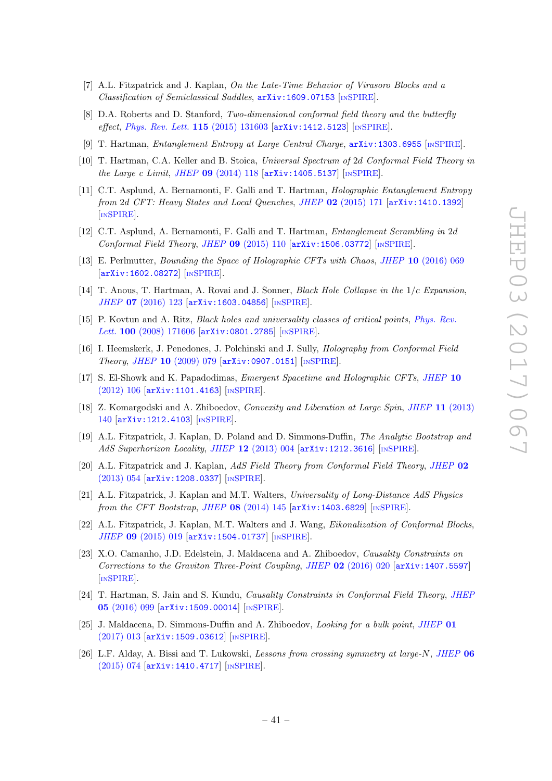- [7] A.L. Fitzpatrick and J. Kaplan, On the Late-Time Behavior of Virasoro Blocks and a Classification of Semiclassical Saddles,  $arXiv:1609.07153$  [IN[SPIRE](http://inspirehep.net/search?p=find+EPRINT+arXiv:1609.07153)].
- [8] D.A. Roberts and D. Stanford, Two-dimensional conformal field theory and the butterfly effect, [Phys. Rev. Lett.](http://dx.doi.org/10.1103/PhysRevLett.115.131603) **115** (2015) 131603 [[arXiv:1412.5123](https://arxiv.org/abs/1412.5123)] [IN[SPIRE](http://inspirehep.net/search?p=find+EPRINT+arXiv:1412.5123)].
- [9] T. Hartman, Entanglement Entropy at Large Central Charge, [arXiv:1303.6955](https://arxiv.org/abs/1303.6955) [IN[SPIRE](http://inspirehep.net/search?p=find+EPRINT+arXiv:1303.6955)].
- <span id="page-42-3"></span>[10] T. Hartman, C.A. Keller and B. Stoica, Universal Spectrum of 2d Conformal Field Theory in the Large c Limit, JHEP  $09$  [\(2014\) 118](http://dx.doi.org/10.1007/JHEP09(2014)118)  $\text{arXiv:1405.5137}$  $\text{arXiv:1405.5137}$  $\text{arXiv:1405.5137}$  [IN[SPIRE](http://inspirehep.net/search?p=find+EPRINT+arXiv:1405.5137)].
- [11] C.T. Asplund, A. Bernamonti, F. Galli and T. Hartman, Holographic Entanglement Entropy from 2d CFT: Heavy States and Local Quenches, JHEP 02 [\(2015\) 171](http://dx.doi.org/10.1007/JHEP02(2015)171) [[arXiv:1410.1392](https://arxiv.org/abs/1410.1392)] [IN[SPIRE](http://inspirehep.net/search?p=find+EPRINT+arXiv:1410.1392)].
- [12] C.T. Asplund, A. Bernamonti, F. Galli and T. Hartman, Entanglement Scrambling in 2d Conformal Field Theory, JHEP  $09$  [\(2015\) 110](http://dx.doi.org/10.1007/JHEP09(2015)110)  $\text{arXiv:1506.03772}$  $\text{arXiv:1506.03772}$  $\text{arXiv:1506.03772}$  [IN[SPIRE](http://inspirehep.net/search?p=find+EPRINT+arXiv:1506.03772)].
- [13] E. Perlmutter, Bounding the Space of Holographic CFTs with Chaos, JHEP 10 [\(2016\) 069](http://dx.doi.org/10.1007/JHEP10(2016)069) [[arXiv:1602.08272](https://arxiv.org/abs/1602.08272)] [IN[SPIRE](http://inspirehep.net/search?p=find+EPRINT+arXiv:1602.08272)].
- <span id="page-42-0"></span>[14] T. Anous, T. Hartman, A. Rovai and J. Sonner, Black Hole Collapse in the 1/c Expansion, JHEP 07 [\(2016\) 123](http://dx.doi.org/10.1007/JHEP07(2016)123) [[arXiv:1603.04856](https://arxiv.org/abs/1603.04856)] [IN[SPIRE](http://inspirehep.net/search?p=find+EPRINT+arXiv:1603.04856)].
- <span id="page-42-1"></span>[15] P. Kovtun and A. Ritz, Black holes and universality classes of critical points, [Phys. Rev.](http://dx.doi.org/10.1103/PhysRevLett.100.171606) Lett. 100 [\(2008\) 171606](http://dx.doi.org/10.1103/PhysRevLett.100.171606) [[arXiv:0801.2785](https://arxiv.org/abs/0801.2785)] [IN[SPIRE](http://inspirehep.net/search?p=find+EPRINT+arXiv:0801.2785)].
- [16] I. Heemskerk, J. Penedones, J. Polchinski and J. Sully, Holography from Conformal Field Theory, JHEP 10 [\(2009\) 079](http://dx.doi.org/10.1088/1126-6708/2009/10/079) [[arXiv:0907.0151](https://arxiv.org/abs/0907.0151)] [IN[SPIRE](http://inspirehep.net/search?p=find+EPRINT+arXiv:0907.0151)].
- [17] S. El-Showk and K. Papadodimas, Emergent Spacetime and Holographic CFTs, [JHEP](http://dx.doi.org/10.1007/JHEP10(2012)106) 10 [\(2012\) 106](http://dx.doi.org/10.1007/JHEP10(2012)106) [[arXiv:1101.4163](https://arxiv.org/abs/1101.4163)] [IN[SPIRE](http://inspirehep.net/search?p=find+EPRINT+arXiv:1101.4163)].
- [18] Z. Komargodski and A. Zhiboedov, Convexity and Liberation at Large Spin, JHEP 11 [\(2013\)](http://dx.doi.org/10.1007/JHEP11(2013)140) [140](http://dx.doi.org/10.1007/JHEP11(2013)140) [[arXiv:1212.4103](https://arxiv.org/abs/1212.4103)] [IN[SPIRE](http://inspirehep.net/search?p=find+EPRINT+arXiv:1212.4103)].
- [19] A.L. Fitzpatrick, J. Kaplan, D. Poland and D. Simmons-Duffin, The Analytic Bootstrap and AdS Superhorizon Locality, JHEP 12 [\(2013\) 004](http://dx.doi.org/10.1007/JHEP12(2013)004) [[arXiv:1212.3616](https://arxiv.org/abs/1212.3616)] [IN[SPIRE](http://inspirehep.net/search?p=find+EPRINT+arXiv:1212.3616)].
- [20] A.L. Fitzpatrick and J. Kaplan, AdS Field Theory from Conformal Field Theory, [JHEP](http://dx.doi.org/10.1007/JHEP02(2013)054) 02 [\(2013\) 054](http://dx.doi.org/10.1007/JHEP02(2013)054) [[arXiv:1208.0337](https://arxiv.org/abs/1208.0337)] [IN[SPIRE](http://inspirehep.net/search?p=find+EPRINT+arXiv:1208.0337)].
- [21] A.L. Fitzpatrick, J. Kaplan and M.T. Walters, Universality of Long-Distance AdS Physics from the CFT Bootstrap, JHEP  $08$  [\(2014\) 145](http://dx.doi.org/10.1007/JHEP08(2014)145)  $\text{arXiv:1403.6829}$  $\text{arXiv:1403.6829}$  $\text{arXiv:1403.6829}$  [IN[SPIRE](http://inspirehep.net/search?p=find+EPRINT+arXiv:1403.6829)].
- [22] A.L. Fitzpatrick, J. Kaplan, M.T. Walters and J. Wang, Eikonalization of Conformal Blocks, JHEP 09 [\(2015\) 019](http://dx.doi.org/10.1007/JHEP09(2015)019) [[arXiv:1504.01737](https://arxiv.org/abs/1504.01737)] [IN[SPIRE](http://inspirehep.net/search?p=find+EPRINT+arXiv:1504.01737)].
- [23] X.O. Camanho, J.D. Edelstein, J. Maldacena and A. Zhiboedov, Causality Constraints on Corrections to the Graviton Three-Point Coupling, JHEP 02 [\(2016\) 020](http://dx.doi.org/10.1007/JHEP02(2016)020) [[arXiv:1407.5597](https://arxiv.org/abs/1407.5597)] [IN[SPIRE](http://inspirehep.net/search?p=find+EPRINT+arXiv:1407.5597)].
- [24] T. Hartman, S. Jain and S. Kundu, Causality Constraints in Conformal Field Theory, [JHEP](http://dx.doi.org/10.1007/JHEP05(2016)099) 05 [\(2016\) 099](http://dx.doi.org/10.1007/JHEP05(2016)099) [[arXiv:1509.00014](https://arxiv.org/abs/1509.00014)] [IN[SPIRE](http://inspirehep.net/search?p=find+EPRINT+arXiv:1509.00014)].
- [25] J. Maldacena, D. Simmons-Duffin and A. Zhiboedov, Looking for a bulk point, [JHEP](http://dx.doi.org/10.1007/JHEP01(2017)013) 01 [\(2017\) 013](http://dx.doi.org/10.1007/JHEP01(2017)013) [[arXiv:1509.03612](https://arxiv.org/abs/1509.03612)] [IN[SPIRE](http://inspirehep.net/search?p=find+EPRINT+arXiv:1509.03612)].
- <span id="page-42-2"></span>[26] L.F. Alday, A. Bissi and T. Lukowski, Lessons from crossing symmetry at large-N, [JHEP](http://dx.doi.org/10.1007/JHEP06(2015)074) 06 [\(2015\) 074](http://dx.doi.org/10.1007/JHEP06(2015)074) [[arXiv:1410.4717](https://arxiv.org/abs/1410.4717)] [IN[SPIRE](http://inspirehep.net/search?p=find+EPRINT+arXiv:1410.4717)].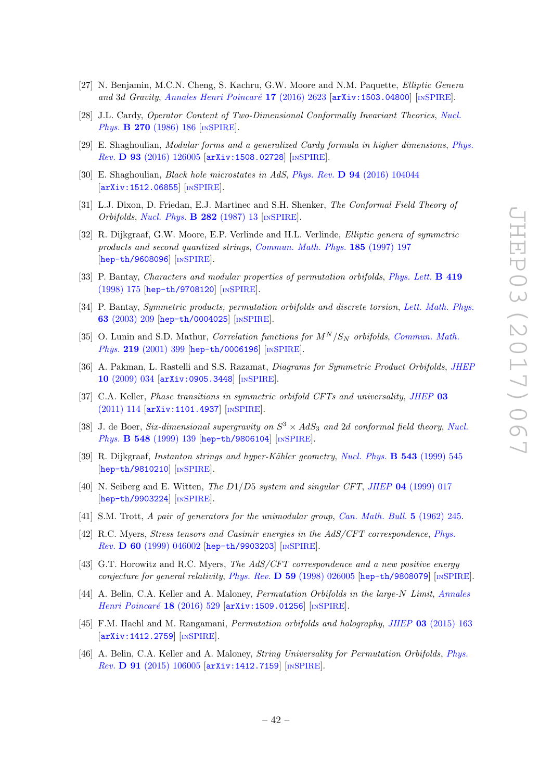- <span id="page-43-0"></span>[27] N. Benjamin, M.C.N. Cheng, S. Kachru, G.W. Moore and N.M. Paquette, Elliptic Genera and 3d Gravity, Annales Henri Poincaré  $17$  (2016) 2623  $\text{arXiv:1503.04800}$  $\text{arXiv:1503.04800}$  $\text{arXiv:1503.04800}$  [IN[SPIRE](http://inspirehep.net/search?p=find+EPRINT+arXiv:1503.04800)].
- <span id="page-43-1"></span>[28] J.L. Cardy, Operator Content of Two-Dimensional Conformally Invariant Theories, [Nucl.](http://dx.doi.org/10.1016/0550-3213(86)90552-3) Phys. B 270 [\(1986\) 186](http://dx.doi.org/10.1016/0550-3213(86)90552-3) [IN[SPIRE](http://inspirehep.net/search?p=find+J+%22Nucl.Phys.,B270,186%22)].
- <span id="page-43-2"></span>[29] E. Shaghoulian, Modular forms and a generalized Cardy formula in higher dimensions, [Phys.](http://dx.doi.org/10.1103/PhysRevD.93.126005) Rev. D 93 [\(2016\) 126005](http://dx.doi.org/10.1103/PhysRevD.93.126005) [[arXiv:1508.02728](https://arxiv.org/abs/1508.02728)] [IN[SPIRE](http://inspirehep.net/search?p=find+EPRINT+arXiv:1508.02728)].
- <span id="page-43-3"></span>[30] E. Shaghoulian, Black hole microstates in AdS, Phys. Rev. D 94 [\(2016\) 104044](http://dx.doi.org/10.1103/PhysRevD.94.104044) [[arXiv:1512.06855](https://arxiv.org/abs/1512.06855)] [IN[SPIRE](http://inspirehep.net/search?p=find+EPRINT+arXiv:1512.06855)].
- <span id="page-43-4"></span>[31] L.J. Dixon, D. Friedan, E.J. Martinec and S.H. Shenker, The Conformal Field Theory of Orbifolds, [Nucl. Phys.](http://dx.doi.org/10.1016/0550-3213(87)90676-6) B 282 (1987) 13 [IN[SPIRE](http://inspirehep.net/search?p=find+J+%22Nucl.Phys.,B282,13%22)].
- [32] R. Dijkgraaf, G.W. Moore, E.P. Verlinde and H.L. Verlinde, Elliptic genera of symmetric products and second quantized strings, [Commun. Math. Phys.](http://dx.doi.org/10.1007/s002200050087) 185 (1997) 197 [[hep-th/9608096](https://arxiv.org/abs/hep-th/9608096)] [IN[SPIRE](http://inspirehep.net/search?p=find+EPRINT+hep-th/9608096)].
- <span id="page-43-13"></span>[33] P. Bantay, Characters and modular properties of permutation orbifolds, [Phys. Lett.](http://dx.doi.org/10.1016/S0370-2693(97)01464-0) **B 419** [\(1998\) 175](http://dx.doi.org/10.1016/S0370-2693(97)01464-0) [[hep-th/9708120](https://arxiv.org/abs/hep-th/9708120)] [IN[SPIRE](http://inspirehep.net/search?p=find+EPRINT+hep-th/9708120)].
- <span id="page-43-14"></span>[34] P. Bantay, Symmetric products, permutation orbifolds and discrete torsion, [Lett. Math. Phys.](http://dx.doi.org/10.1023/A:1024453119772) 63 [\(2003\) 209](http://dx.doi.org/10.1023/A:1024453119772) [[hep-th/0004025](https://arxiv.org/abs/hep-th/0004025)] [IN[SPIRE](http://inspirehep.net/search?p=find+EPRINT+hep-th/0004025)].
- [35] O. Lunin and S.D. Mathur, Correlation functions for  $M^N/S_N$  orbifolds, [Commun. Math.](http://dx.doi.org/10.1007/s002200100431) Phys. 219 [\(2001\) 399](http://dx.doi.org/10.1007/s002200100431) [[hep-th/0006196](https://arxiv.org/abs/hep-th/0006196)] [IN[SPIRE](http://inspirehep.net/search?p=find+EPRINT+hep-th/0006196)].
- [36] A. Pakman, L. Rastelli and S.S. Razamat, Diagrams for Symmetric Product Orbifolds, [JHEP](http://dx.doi.org/10.1088/1126-6708/2009/10/034) 10 [\(2009\) 034](http://dx.doi.org/10.1088/1126-6708/2009/10/034) [[arXiv:0905.3448](https://arxiv.org/abs/0905.3448)] [IN[SPIRE](http://inspirehep.net/search?p=find+EPRINT+arXiv:0905.3448)].
- <span id="page-43-5"></span>[37] C.A. Keller, *Phase transitions in symmetric orbifold CFTs and universality*, *[JHEP](http://dx.doi.org/10.1007/JHEP03(2011)114)* 03 [\(2011\) 114](http://dx.doi.org/10.1007/JHEP03(2011)114) [[arXiv:1101.4937](https://arxiv.org/abs/1101.4937)] [IN[SPIRE](http://inspirehep.net/search?p=find+EPRINT+arXiv:1101.4937)].
- <span id="page-43-6"></span>[38] J. de Boer, Six-dimensional supergravity on  $S^3 \times AdS_3$  and 2d conformal field theory, [Nucl.](http://dx.doi.org/10.1016/S0550-3213(99)00160-1) Phys. **B 548** [\(1999\) 139](http://dx.doi.org/10.1016/S0550-3213(99)00160-1) [[hep-th/9806104](https://arxiv.org/abs/hep-th/9806104)] [IN[SPIRE](http://inspirehep.net/search?p=find+EPRINT+hep-th/9806104)].
- [39] R. Dijkgraaf, *Instanton strings and hyper-Kähler geometry, [Nucl. Phys.](http://dx.doi.org/10.1016/S0550-3213(98)00869-4)* **B 543** (1999) 545 [[hep-th/9810210](https://arxiv.org/abs/hep-th/9810210)] [IN[SPIRE](http://inspirehep.net/search?p=find+EPRINT+hep-th/9810210)].
- <span id="page-43-7"></span>[40] N. Seiberg and E. Witten, The D1/D5 system and singular CFT, JHEP 04 [\(1999\) 017](http://dx.doi.org/10.1088/1126-6708/1999/04/017) [[hep-th/9903224](https://arxiv.org/abs/hep-th/9903224)] [IN[SPIRE](http://inspirehep.net/search?p=find+EPRINT+hep-th/9903224)].
- <span id="page-43-8"></span>[41] S.M. Trott, A pair of generators for the unimodular group, [Can. Math. Bull.](http://dx.doi.org/10.4153/CMB-1962-024-x) 5 (1962) 245.
- <span id="page-43-9"></span>[42] R.C. Myers, Stress tensors and Casimir energies in the AdS/CFT correspondence, [Phys.](http://dx.doi.org/10.1103/PhysRevD.60.046002) Rev. D 60 [\(1999\) 046002](http://dx.doi.org/10.1103/PhysRevD.60.046002) [[hep-th/9903203](https://arxiv.org/abs/hep-th/9903203)] [IN[SPIRE](http://inspirehep.net/search?p=find+EPRINT+hep-th/9903203)].
- <span id="page-43-10"></span>[43] G.T. Horowitz and R.C. Myers, The AdS/CFT correspondence and a new positive energy conjecture for general relativity, Phys. Rev.  $\bf{D}$  59 [\(1998\) 026005](http://dx.doi.org/10.1103/PhysRevD.59.026005) [[hep-th/9808079](https://arxiv.org/abs/hep-th/9808079)] [IN[SPIRE](http://inspirehep.net/search?p=find+EPRINT+hep-th/9808079)].
- <span id="page-43-11"></span>[44] A. Belin, C.A. Keller and A. Maloney, *Permutation Orbifolds in the large-N Limit, [Annales](http://dx.doi.org/10.1007/s00023-016-0529-y)* Henri Poincaré 18 (2016) 529 [[arXiv:1509.01256](https://arxiv.org/abs/1509.01256)] [IN[SPIRE](http://inspirehep.net/search?p=find+EPRINT+arXiv:1509.01256)].
- [45] F.M. Haehl and M. Rangamani, *Permutation orbifolds and holography*, *JHEP* 03 [\(2015\) 163](http://dx.doi.org/10.1007/JHEP03(2015)163) [[arXiv:1412.2759](https://arxiv.org/abs/1412.2759)] [IN[SPIRE](http://inspirehep.net/search?p=find+EPRINT+arXiv:1412.2759)].
- <span id="page-43-12"></span>[46] A. Belin, C.A. Keller and A. Maloney, String Universality for Permutation Orbifolds, [Phys.](http://dx.doi.org/10.1103/PhysRevD.91.106005) Rev. D 91 [\(2015\) 106005](http://dx.doi.org/10.1103/PhysRevD.91.106005) [[arXiv:1412.7159](https://arxiv.org/abs/1412.7159)] [IN[SPIRE](http://inspirehep.net/search?p=find+EPRINT+arXiv:1412.7159)].